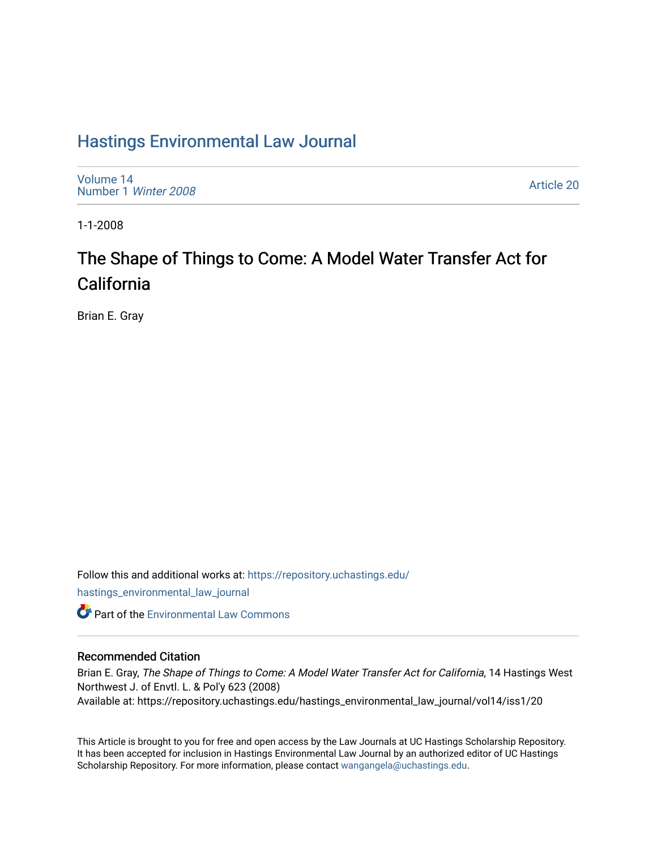## [Hastings Environmental Law Journal](https://repository.uchastings.edu/hastings_environmental_law_journal)

[Volume 14](https://repository.uchastings.edu/hastings_environmental_law_journal/vol14) [Number 1](https://repository.uchastings.edu/hastings_environmental_law_journal/vol14/iss1) Winter 2008

[Article 20](https://repository.uchastings.edu/hastings_environmental_law_journal/vol14/iss1/20) 

1-1-2008

# The Shape of Things to Come: A Model Water Transfer Act for California

Brian E. Gray

Follow this and additional works at: [https://repository.uchastings.edu/](https://repository.uchastings.edu/hastings_environmental_law_journal?utm_source=repository.uchastings.edu%2Fhastings_environmental_law_journal%2Fvol14%2Fiss1%2F20&utm_medium=PDF&utm_campaign=PDFCoverPages) [hastings\\_environmental\\_law\\_journal](https://repository.uchastings.edu/hastings_environmental_law_journal?utm_source=repository.uchastings.edu%2Fhastings_environmental_law_journal%2Fvol14%2Fiss1%2F20&utm_medium=PDF&utm_campaign=PDFCoverPages) 

**C** Part of the [Environmental Law Commons](http://network.bepress.com/hgg/discipline/599?utm_source=repository.uchastings.edu%2Fhastings_environmental_law_journal%2Fvol14%2Fiss1%2F20&utm_medium=PDF&utm_campaign=PDFCoverPages)

## Recommended Citation

Brian E. Gray, The Shape of Things to Come: A Model Water Transfer Act for California, 14 Hastings West Northwest J. of Envtl. L. & Pol'y 623 (2008) Available at: https://repository.uchastings.edu/hastings\_environmental\_law\_journal/vol14/iss1/20

This Article is brought to you for free and open access by the Law Journals at UC Hastings Scholarship Repository. It has been accepted for inclusion in Hastings Environmental Law Journal by an authorized editor of UC Hastings Scholarship Repository. For more information, please contact [wangangela@uchastings.edu.](mailto:wangangela@uchastings.edu)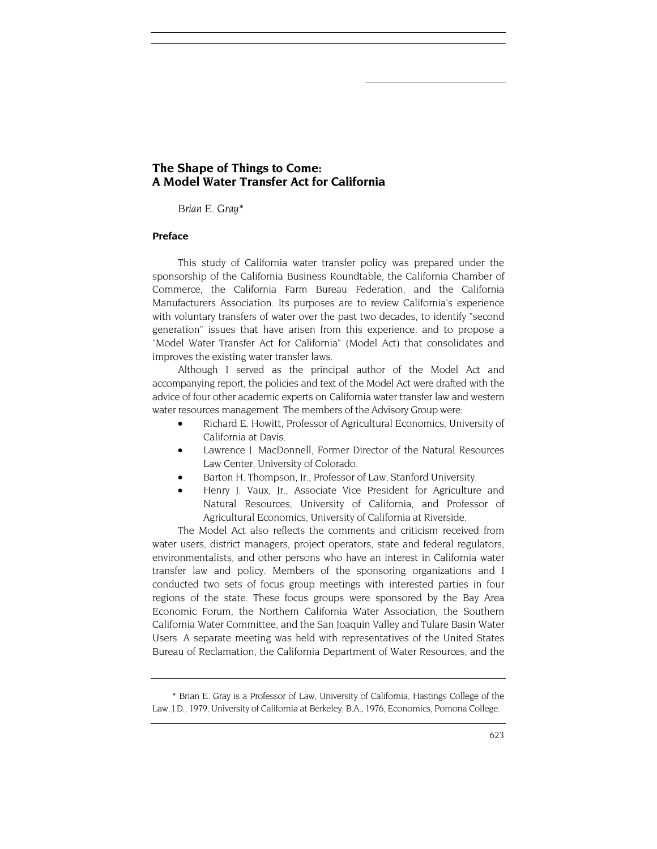## **The Shape of Things to Come: A Model Water Transfer Act for California**

 *Brian E. Gra[y\\*](#page-1-0)* 

## **Preface**

This study of California water transfer policy was prepared under the sponsorship of the California Business Roundtable, the California Chamber of Commerce, the California Farm Bureau Federation, and the California Manufacturers Association. Its purposes are to review California's experience with voluntary transfers of water over the past two decades, to identify "second generation" issues that have arisen from this experience, and to propose a "Model Water Transfer Act for California" (Model Act) that consolidates and improves the existing water transfer laws.

Although I served as the principal author of the Model Act and accompanying report, the policies and text of the Model Act were drafted with the advice of four other academic experts on California water transfer law and western water resources management. The members of the Advisory Group were:

- Richard E. Howitt, Professor of Agricultural Economics, University of California at Davis.
- Lawrence J. MacDonnell, Former Director of the Natural Resources Law Center, University of Colorado.
- Barton H. Thompson, Jr., Professor of Law, Stanford University.
- Henry J. Vaux, Jr., Associate Vice President for Agriculture and Natural Resources, University of California, and Professor of Agricultural Economics, University of California at Riverside.

The Model Act also reflects the comments and criticism received from water users, district managers, project operators, state and federal regulators, environmentalists, and other persons who have an interest in California water transfer law and policy. Members of the sponsoring organizations and I conducted two sets of focus group meetings with interested parties in four regions of the state. These focus groups were sponsored by the Bay Area Economic Forum, the Northern California Water Association, the Southern California Water Committee, and the San Joaquin Valley and Tulare Basin Water Users. A separate meeting was held with representatives of the United States Bureau of Reclamation, the California Department of Water Resources, and the

<span id="page-1-0"></span><sup>\*</sup> Brian E. Gray is a Professor of Law, University of California, Hastings College of the Law. J.D., 1979, University of California at Berkeley; B.A., 1976, Economics, Pomona College.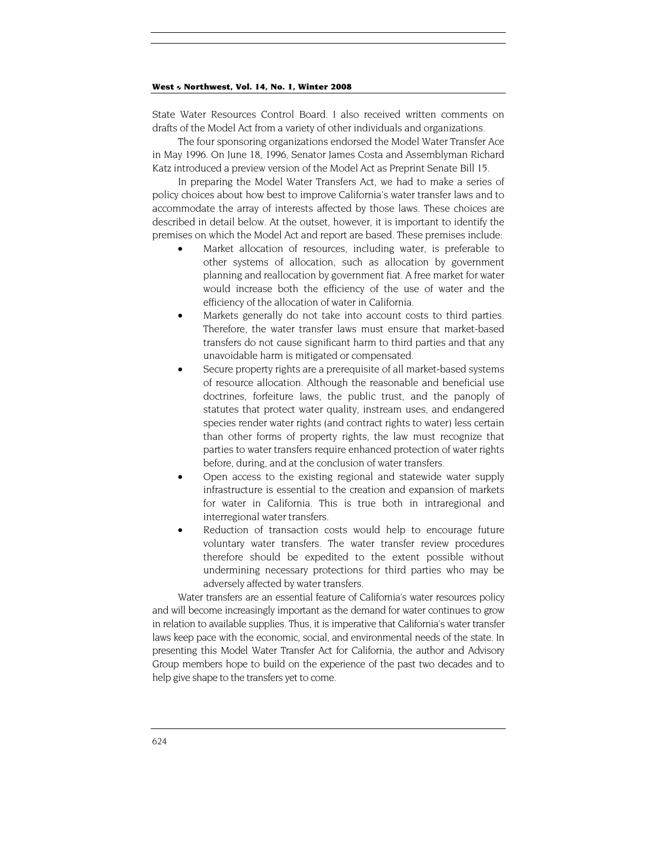State Water Resources Control Board. I also received written comments on drafts of the Model Act from a variety of other individuals and organizations.

The four sponsoring organizations endorsed the Model Water Transfer Ace in May 1996. On June 18, 1996, Senator James Costa and Assemblyman Richard Katz introduced a preview version of the Model Act as Preprint Senate Bill 15.

In preparing the Model Water Transfers Act, we had to make a series of policy choices about how best to improve California's water transfer laws and to accommodate the array of interests affected by those laws. These choices are described in detail below. At the outset, however, it is important to identify the premises on which the Model Act and report are based. These premises include:

- Market allocation of resources, including water, is preferable to other systems of allocation, such as allocation by government planning and reallocation by government fiat. A free market for water would increase both the efficiency of the use of water and the efficiency of the allocation of water in California.
- Markets generally do not take into account costs to third parties. Therefore, the water transfer laws must ensure that market-based transfers do not cause significant harm to third parties and that any unavoidable harm is mitigated or compensated.
- Secure property rights are a prerequisite of all market-based systems of resource allocation. Although the reasonable and beneficial use doctrines, forfeiture laws, the public trust, and the panoply of statutes that protect water quality, instream uses, and endangered species render water rights (and contract rights to water) less certain than other forms of property rights, the law must recognize that parties to water transfers require enhanced protection of water rights before, during, and at the conclusion of water transfers.
- Open access to the existing regional and statewide water supply infrastructure is essential to the creation and expansion of markets for water in California. This is true both in intraregional and interregional water transfers.
- Reduction of transaction costs would help to encourage future voluntary water transfers. The water transfer review procedures therefore should be expedited to the extent possible without undermining necessary protections for third parties who may be adversely affected by water transfers.

Water transfers are an essential feature of California's water resources policy and will become increasingly important as the demand for water continues to grow in relation to available supplies. Thus, it is imperative that California's water transfer laws keep pace with the economic, social, and environmental needs of the state. In presenting this Model Water Transfer Act for California, the author and Advisory Group members hope to build on the experience of the past two decades and to help give shape to the transfers yet to come.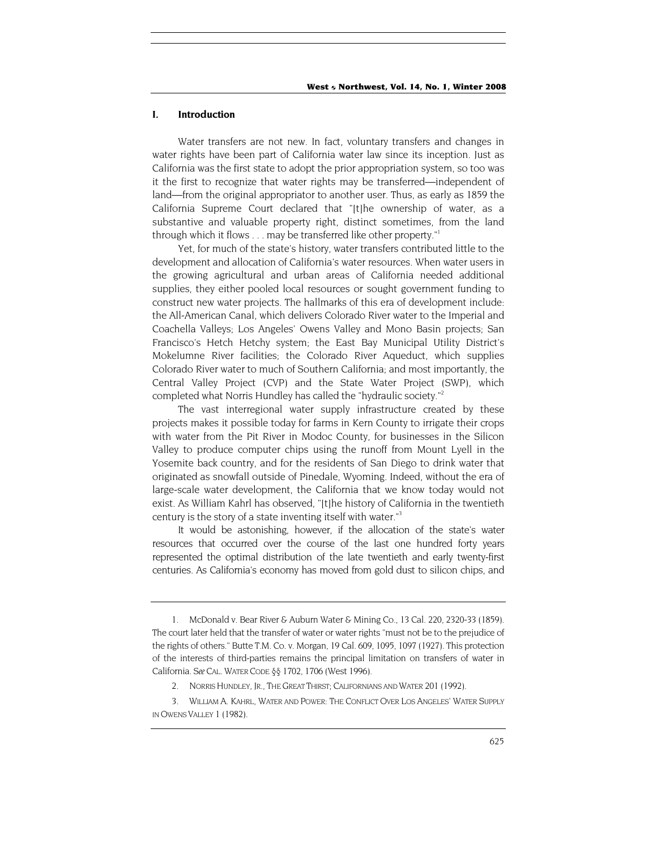#### **I. Introduction**

Water transfers are not new. In fact, voluntary transfers and changes in water rights have been part of California water law since its inception. Just as California was the first state to adopt the prior appropriation system, so too was it the first to recognize that water rights may be transferred—independent of land—from the original appropriator to another user. Thus, as early as 1859 the California Supreme Court declared that "[t]he ownership of water, as a substantive and valuable property right, distinct sometimes, from the land through which it flows . . . may be transferred like other property."<sup>[1](#page-3-0)</sup>

Yet, for much of the state's history, water transfers contributed little to the development and allocation of California's water resources. When water users in the growing agricultural and urban areas of California needed additional supplies, they either pooled local resources or sought government funding to construct new water projects. The hallmarks of this era of development include: the All-American Canal, which delivers Colorado River water to the Imperial and Coachella Valleys; Los Angeles' Owens Valley and Mono Basin projects; San Francisco's Hetch Hetchy system; the East Bay Municipal Utility District's Mokelumne River facilities; the Colorado River Aqueduct, which supplies Colorado River water to much of Southern California; and most importantly, the Central Valley Project (CVP) and the State Water Project (SWP), which completed what Norris Hundley has called the "hydraulic society.["2](#page-3-1)

The vast interregional water supply infrastructure created by these projects makes it possible today for farms in Kern County to irrigate their crops with water from the Pit River in Modoc County, for businesses in the Silicon Valley to produce computer chips using the runoff from Mount Lyell in the Yosemite back country, and for the residents of San Diego to drink water that originated as snowfall outside of Pinedale, Wyoming. Indeed, without the era of large-scale water development, the California that we know today would not exist. As William Kahrl has observed, "[t]he history of California in the twentieth century is the story of a state inventing itself with water."<sup>3</sup>

It would be astonishing, however, if the allocation of the state's water resources that occurred over the course of the last one hundred forty years represented the optimal distribution of the late twentieth and early twenty-first centuries. As California's economy has moved from gold dust to silicon chips, and

<span id="page-3-0"></span><sup>1.</sup> McDonald v. Bear River & Auburn Water & Mining Co., 13 Cal. 220, 2320-33 (1859). The court later held that the transfer of water or water rights "must not be to the prejudice of the rights of others." Butte T.M. Co. v. Morgan, 19 Cal. 609, 1095, 1097 (1927). This protection of the interests of third-parties remains the principal limitation on transfers of water in California. *See* CAL. WATER CODE §§ 1702, 1706 (West 1996).

<sup>2.</sup> NORRIS HUNDLEY, JR., THE GREAT THIRST; CALIFORNIANS AND WATER 201 (1992).

<span id="page-3-2"></span><span id="page-3-1"></span><sup>3.</sup> WILLIAM A. KAHRL, WATER AND POWER: THE CONFLICT OVER LOS ANGELES' WATER SUPPLY IN OWENS VALLEY 1 (1982).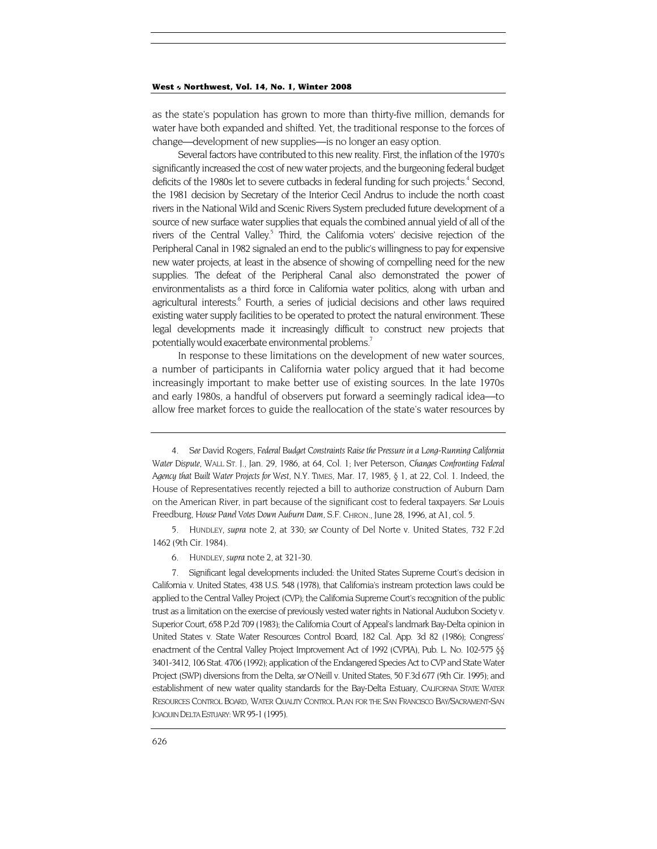as the state's population has grown to more than thirty-five million, demands for water have both expanded and shifted. Yet, the traditional response to the forces of change—development of new supplies—is no longer an easy option.

Several factors have contributed to this new reality. First, the inflation of the 1970's significantly increased the cost of new water projects, and the burgeoning federal budget deficits of the 1980s let to severe cutbacks in federal funding for such projects.<sup>4</sup> Second, the 1981 decision by Secretary of the Interior Cecil Andrus to include the north coast rivers in the National Wild and Scenic Rivers System precluded future development of a source of new surface water supplies that equals the combined annual yield of all of the rivers of the Central Valley.<sup>5</sup> Third, the California voters' decisive rejection of the Peripheral Canal in 1982 signaled an end to the public's willingness to pay for expensive new water projects, at least in the absence of showing of compelling need for the new supplies. The defeat of the Peripheral Canal also demonstrated the power of environmentalists as a third force in California water politics, along with urban and agricultural interests.<sup>6</sup> Fourth, a series of judicial decisions and other laws required existing water supply facilities to be operated to protect the natural environment. These legal developments made it increasingly difficult to construct new projects that potentially would exacerbate environmental problems.<sup>7</sup>

In response to these limitations on the development of new water sources, a number of participants in California water policy argued that it had become increasingly important to make better use of existing sources. In the late 1970s and early 1980s, a handful of observers put forward a seemingly radical idea—to allow free market forces to guide the reallocation of the state's water resources by

<span id="page-4-1"></span>5. HUNDLEY, *supra* note 2, at 330; *see* County of Del Norte v. United States, 732 F.2d 1462 (9th Cir. 1984).

<span id="page-4-2"></span>6. HUNDLEY, *supra* note 2, at 321-30.

<span id="page-4-3"></span>7. Significant legal developments included: the United States Supreme Court's decision in California v. United States, 438 U.S. 548 (1978), that California's instream protection laws could be applied to the Central Valley Project (CVP); the California Supreme Court's recognition of the public trust as a limitation on the exercise of previously vested water rights in National Audubon Society v. Superior Court, 658 P.2d 709 (1983); the California Court of Appeal's landmark Bay-Delta opinion in United States v. State Water Resources Control Board, 182 Cal. App. 3d 82 (1986); Congress' enactment of the Central Valley Project Improvement Act of 1992 (CVPIA), Pub. L. No. 102-575 §§ 3401-3412, 106 Stat. 4706 (1992); application of the Endangered Species Act to CVP and State Water Project (SWP) diversions from the Delta, *see* O'Neill v. United States, 50 F.3d 677 (9th Cir. 1995); and establishment of new water quality standards for the Bay-Delta Estuary, CALIFORNIA STATE WATER RESOURCES CONTROL BOARD, WATER QUALITY CONTROL PLAN FOR THE SAN FRANCISCO BAY/SACRAMENT-SAN JOAQUIN DELTA ESTUARY: WR 95-1 (1995).

<span id="page-4-0"></span><sup>4</sup>*. See* David Rogers, *Federal Budget Constraints Raise the Pressure in a Long-Running California Water Dispute,* WALL ST. J., Jan. 29, 1986, at 64, Col. 1; Iver Peterson, *Changes Confronting Federal Agency that Built Water Projects for West*, N.Y. TIMES, Mar. 17, 1985, § 1, at 22, Col. 1. Indeed, the House of Representatives recently rejected a bill to authorize construction of Auburn Dam on the American River, in part because of the significant cost to federal taxpayers. *See* Louis Freedburg, *House Panel Votes Down Auburn Dam*, S.F. CHRON., June 28, 1996, at A1, col. 5.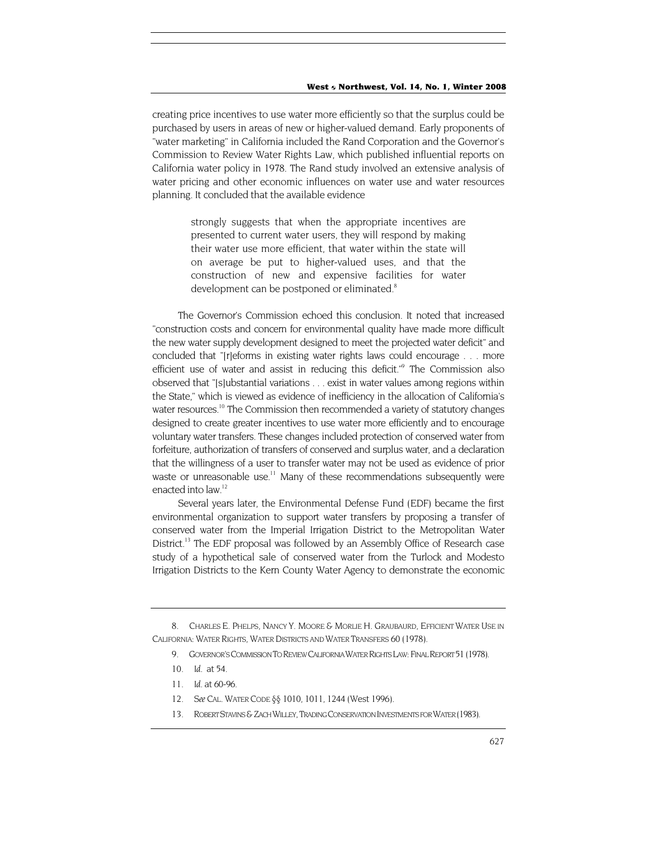creating price incentives to use water more efficiently so that the surplus could be purchased by users in areas of new or higher-valued demand. Early proponents of "water marketing" in California included the Rand Corporation and the Governor's Commission to Review Water Rights Law, which published influential reports on California water policy in 1978. The Rand study involved an extensive analysis of water pricing and other economic influences on water use and water resources planning. It concluded that the available evidence

> strongly suggests that when the appropriate incentives are presented to current water users, they will respond by making their water use more efficient, that water within the state will on average be put to higher-valued uses, and that the construction of new and expensive facilities for water development can be postponed or eliminated.<sup>8</sup>

The Governor's Commission echoed this conclusion. It noted that increased "construction costs and concern for environmental quality have made more difficult the new water supply development designed to meet the projected water deficit" and concluded that "[r]eforms in existing water rights laws could encourage . . . more efficient use of water and assist in reducing this deficit."<sup>9</sup> The Commission also observed that "[s]ubstantial variations . . . exist in water values among regions within the State," which is viewed as evidence of inefficiency in the allocation of California's water resources.<sup>10</sup> The Commission then recommended a variety of statutory changes designed to create greater incentives to use water more efficiently and to encourage voluntary water transfers. These changes included protection of conserved water from forfeiture, authorization of transfers of conserved and surplus water, and a declaration that the willingness of a user to transfer water may not be used as evidence of prior waste or unreasonable use.<sup>11</sup> Many of these recommendations subsequently were enacted into law.<sup>12</sup>

Several years later, the Environmental Defense Fund (EDF) became the first environmental organization to support water transfers by proposing a transfer of conserved water from the Imperial Irrigation District to the Metropolitan Water District.<sup>13</sup> The EDF proposal was followed by an Assembly Office of Research case study of a hypothetical sale of conserved water from the Turlock and Modesto Irrigation Districts to the Kern County Water Agency to demonstrate the economic

<span id="page-5-0"></span><sup>8.</sup> CHARLES E. PHELPS, NANCY Y. MOORE & MORLIE H. GRAUBAURD, EFFICIENT WATER USE IN CALIFORNIA: WATER RIGHTS, WATER DISTRICTS AND WATER TRANSFERS 60 (1978).

<span id="page-5-1"></span><sup>9.</sup> GOVERNOR'S COMMISSION TO REVIEW CALIFORNIA WATER RIGHTS LAW: FINAL REPORT 51 (1978).

<span id="page-5-2"></span><sup>10</sup>*. Id.* at 54.

<span id="page-5-3"></span><sup>11</sup>*. Id.* at 60-96.

<span id="page-5-4"></span><sup>12</sup>*. See* CAL. WATER CODE §§ 1010, 1011, 1244 (West 1996).

<span id="page-5-5"></span><sup>13.</sup> ROBERT STAVINS & ZACH WILLEY, TRADING CONSERVATION INVESTMENTS FOR WATER (1983).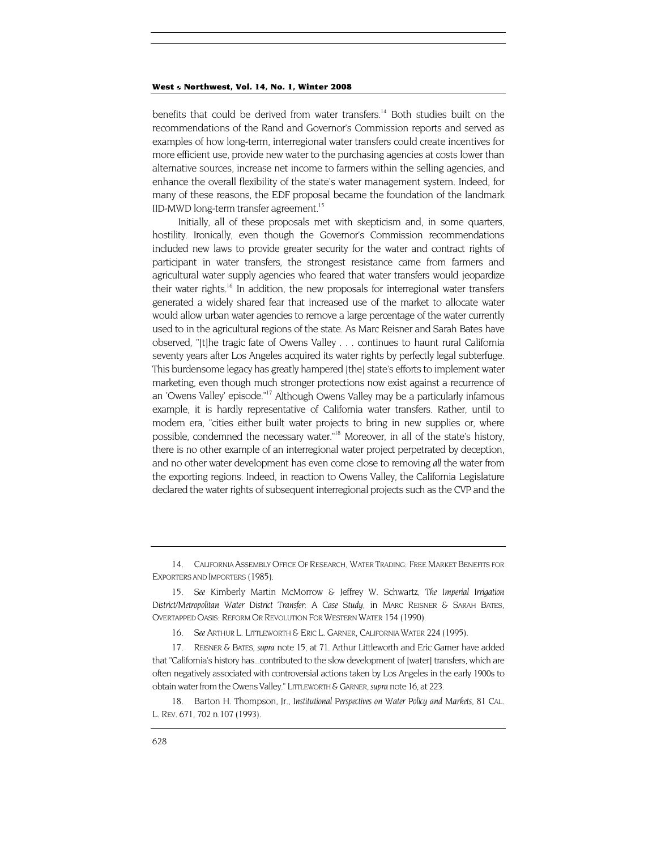benefits that could be derived from water transfers.<sup>14</sup> Both studies built on the recommendations of the Rand and Governor's Commission reports and served as examples of how long-term, interregional water transfers could create incentives for more efficient use, provide new water to the purchasing agencies at costs lower than alternative sources, increase net income to farmers within the selling agencies, and enhance the overall flexibility of the state's water management system. Indeed, for many of these reasons, the EDF proposal became the foundation of the landmark IID-MWD long-term transfer agreement.<sup>15</sup>

Initially, all of these proposals met with skepticism and, in some quarters, hostility. Ironically, even though the Governor's Commission recommendations included new laws to provide greater security for the water and contract rights of participant in water transfers, the strongest resistance came from farmers and agricultural water supply agencies who feared that water transfers would jeopardize their water rights.<sup>16</sup> In addition, the new proposals for interregional water transfers generated a widely shared fear that increased use of the market to allocate water would allow urban water agencies to remove a large percentage of the water currently used to in the agricultural regions of the state. As Marc Reisner and Sarah Bates have observed, "[t]he tragic fate of Owens Valley . . . continues to haunt rural California seventy years after Los Angeles acquired its water rights by perfectly legal subterfuge. This burdensome legacy has greatly hampered [the] state's efforts to implement water marketing, even though much stronger protections now exist against a recurrence of an 'Owens Valley' episode."<sup>17</sup> Although Owens Valley may be a particularly infamous example, it is hardly representative of California water transfers. Rather, until to modern era, "cities either built water projects to bring in new supplies or, where possible, condemned the necessary water."<sup>18</sup> Moreover, in all of the state's history, there is no other example of an interregional water project perpetrated by deception, and no other water development has even come close to removing *all* the water from the exporting regions. Indeed, in reaction to Owens Valley, the California Legislature declared the water rights of subsequent interregional projects such as the CVP and the

<span id="page-6-0"></span><sup>14.</sup> CALIFORNIA ASSEMBLY OFFICE OF RESEARCH, WATER TRADING: FREE MARKET BENEFITS FOR EXPORTERS AND IMPORTERS (1985).

<span id="page-6-1"></span><sup>15</sup>*. See* Kimberly Martin McMorrow & Jeffrey W. Schwartz, *The Imperial Irrigation District/Metropolitan Water District Transfer: A Case Study,* in MARC REISNER & SARAH BATES, OVERTAPPED OASIS: REFORM OR REVOLUTION FOR WESTERN WATER 154 (1990).

<sup>16</sup>*. See* ARTHUR L. LITTLEWORTH & ERIC L. GARNER, CALIFORNIA WATER 224 (1995).

<span id="page-6-3"></span><span id="page-6-2"></span><sup>17.</sup> REISNER & BATES, *supra* note 15, at 71. Arthur Littleworth and Eric Garner have added that "California's history has...contributed to the slow development of [water] transfers, which are often negatively associated with controversial actions taken by Los Angeles in the early 1900s to obtain water from the Owens Valley." LITTLEWORTH & GARNER, *supra* note 16, at 223.

<span id="page-6-4"></span><sup>18.</sup> Barton H. Thompson, Jr., *Institutional Perspectives on Water Policy and Markets,* 81 CAL. L. REV. 671, 702 n.107 (1993).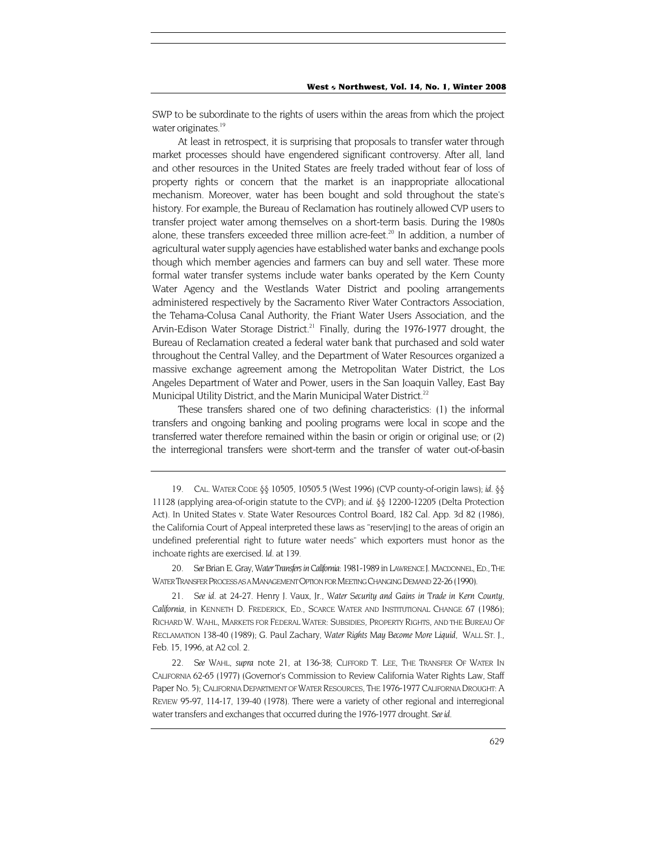SWP to be subordinate to the rights of users within the areas from which the project water originates.<sup>19</sup>

At least in retrospect, it is surprising that proposals to transfer water through market processes should have engendered significant controversy. After all, land and other resources in the United States are freely traded without fear of loss of property rights or concern that the market is an inappropriate allocational mechanism. Moreover, water has been bought and sold throughout the state's history. For example, the Bureau of Reclamation has routinely allowed CVP users to transfer project water among themselves on a short-term basis. During the 1980s alone, these transfers exceeded three million acre-feet.<sup>20</sup> In addition, a number of agricultural water supply agencies have established water banks and exchange pools though which member agencies and farmers can buy and sell water. These more formal water transfer systems include water banks operated by the Kern County Water Agency and the Westlands Water District and pooling arrangements administered respectively by the Sacramento River Water Contractors Association, the Tehama-Colusa Canal Authority, the Friant Water Users Association, and the Arvin-Edison Water Storage District.<sup>21</sup> Finally, during the 1976-1977 drought, the Bureau of Reclamation created a federal water bank that purchased and sold water throughout the Central Valley, and the Department of Water Resources organized a massive exchange agreement among the Metropolitan Water District, the Los Angeles Department of Water and Power, users in the San Joaquin Valley, East Bay Municipal Utility District, and the Marin Municipal Water District.<sup>22</sup>

These transfers shared one of two defining characteristics: (1) the informal transfers and ongoing banking and pooling programs were local in scope and the transferred water therefore remained within the basin or origin or original use; or (2) the interregional transfers were short-term and the transfer of water out-of-basin

<span id="page-7-1"></span>20*. See* Brian E. Gray, *Water Transfers in California: 1981-1989* in LAWRENCE J. MACDONNEL, ED., THE WATER TRANSFER PROCESS AS A MANAGEMENT OPTION FOR MEETING CHANGING DEMAND 22-26 (1990).

<span id="page-7-2"></span>21*. See id.* at 24-27. Henry J. Vaux, Jr., *Water Security and Gains in Trade in Kern County, California,* in KENNETH D. FREDERICK, ED., SCARCE WATER AND INSTITUTIONAL CHANGE 67 (1986); RICHARD W. WAHL, MARKETS FOR FEDERAL WATER: SUBSIDIES, PROPERTY RIGHTS, AND THE BUREAU OF RECLAMATION 138-40 (1989); G. Paul Zachary, *Water Rights May Become More Liquid,* WALL ST. J., Feb. 15, 1996, at A2 col. 2.

<span id="page-7-3"></span>22*. See* WAHL, *supra* note 21, at 136-38; CLIFFORD T. LEE, THE TRANSFER OF WATER IN CALIFORNIA 62-65 (1977) (Governor's Commission to Review California Water Rights Law, Staff Paper No. 5); CALIFORNIA DEPARTMENT OF WATER RESOURCES, THE 1976-1977 CALIFORNIA DROUGHT: A REVIEW 95-97, 114-17, 139-40 (1978). There were a variety of other regional and interregional water transfers and exchanges that occurred during the 1976-1977 drought. *See id.*

<span id="page-7-0"></span><sup>19.</sup> CAL. WATER CODE §§ 10505, 10505.5 (West 1996) (CVP county-of-origin laws); *id.* §§ 11128 (applying area-of-origin statute to the CVP); and *id.* §§ 12200-12205 (Delta Protection Act). In United States v. State Water Resources Control Board, 182 Cal. App. 3d 82 (1986), the California Court of Appeal interpreted these laws as "reserv[ing] to the areas of origin an undefined preferential right to future water needs" which exporters must honor as the inchoate rights are exercised. *Id.* at 139.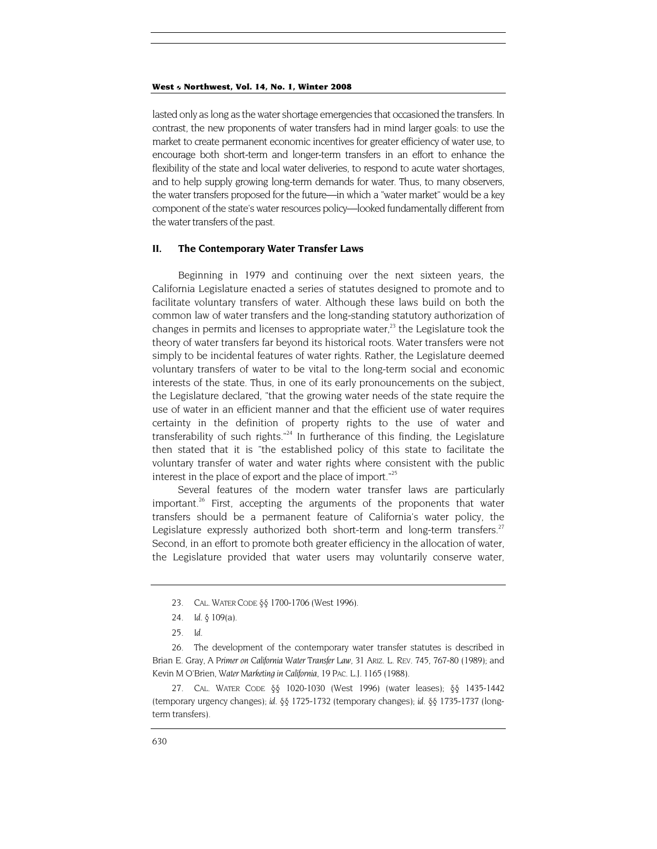lasted only as long as the water shortage emergencies that occasioned the transfers. In contrast, the new proponents of water transfers had in mind larger goals: to use the market to create permanent economic incentives for greater efficiency of water use, to encourage both short-term and longer-term transfers in an effort to enhance the flexibility of the state and local water deliveries, to respond to acute water shortages, and to help supply growing long-term demands for water. Thus, to many observers, the water transfers proposed for the future—in which a "water market" would be a key component of the state's water resources policy—looked fundamentally different from the water transfers of the past.

## **II. The Contemporary Water Transfer Laws**

Beginning in 1979 and continuing over the next sixteen years, the California Legislature enacted a series of statutes designed to promote and to facilitate voluntary transfers of water. Although these laws build on both the common law of water transfers and the long-standing statutory authorization of changes in permits and licenses to appropriate water, $^{23}$  the Legislature took the theory of water transfers far beyond its historical roots. Water transfers were not simply to be incidental features of water rights. Rather, the Legislature deemed voluntary transfers of water to be vital to the long-term social and economic interests of the state. Thus, in one of its early pronouncements on the subject, the Legislature declared, "that the growing water needs of the state require the use of water in an efficient manner and that the efficient use of water requires certainty in the definition of property rights to the use of water and transferability of such rights."<sup>24</sup> In furtherance of this finding, the Legislature then stated that it is "the established policy of this state to facilitate the voluntary transfer of water and water rights where consistent with the public interest in the place of export and the place of import.["25](#page-8-2)

Several features of the modern water transfer laws are particularly important.<sup>26</sup> First, accepting the arguments of the proponents that water transfers should be a permanent feature of California's water policy, the Legislature expressly authorized both short-term and long-term transfers.<sup>27</sup> Second, in an effort to promote both greater efficiency in the allocation of water, the Legislature provided that water users may voluntarily conserve water,

<span id="page-8-4"></span>27. CAL. WATER CODE §§ 1020-1030 (West 1996) (water leases); §§ 1435-1442 (temporary urgency changes); *id.* §§ 1725-1732 (temporary changes); *id.* §§ 1735-1737 (longterm transfers).

<span id="page-8-0"></span><sup>23.</sup> CAL. WATER CODE §§ 1700-1706 (West 1996).

<span id="page-8-1"></span><sup>24</sup>*. Id.* § 109(a).

<span id="page-8-2"></span><sup>25</sup>*. Id.*

<span id="page-8-3"></span><sup>26.</sup> The development of the contemporary water transfer statutes is described in Brian E. Gray, *A Primer on California Water Transfer Law,* 31 ARIZ. L. REV. 745, 767-80 (1989); and Kevin M O'Brien, *Water Marketing in California,* 19 PAC. L.J. 1165 (1988).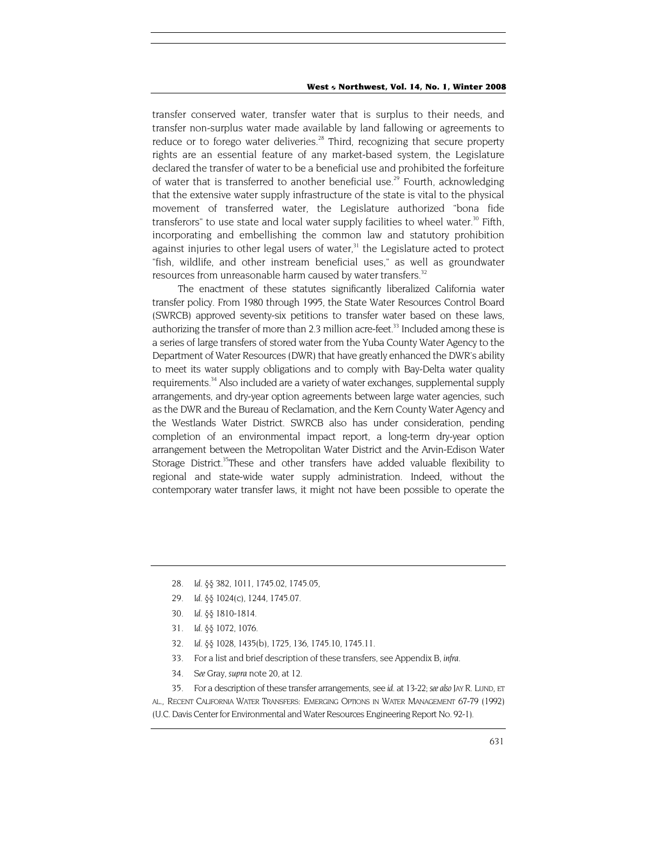transfer conserved water, transfer water that is surplus to their needs, and transfer non-surplus water made available by land fallowing or agreements to reduce or to forego water deliveries.<sup>28</sup> Third, recognizing that secure property rights are an essential feature of any market-based system, the Legislature declared the transfer of water to be a beneficial use and prohibited the forfeiture of water that is transferred to another beneficial use.<sup>29</sup> Fourth, acknowledging that the extensive water supply infrastructure of the state is vital to the physical movement of transferred water, the Legislature authorized "bona fide transferors" to use state and local water supply facilities to wheel water.<sup>30</sup> Fifth, incorporating and embellishing the common law and statutory prohibition against injuries to other legal users of water, $31$  the Legislature acted to protect "fish, wildlife, and other instream beneficial uses," as well as groundwater resources from unreasonable harm caused by water transfers.<sup>32</sup>

The enactment of these statutes significantly liberalized California water transfer policy. From 1980 through 1995, the State Water Resources Control Board (SWRCB) approved seventy-six petitions to transfer water based on these laws, authorizing the transfer of more than 2.3 million acre-feet.<sup>33</sup> Included among these is a series of large transfers of stored water from the Yuba County Water Agency to the Department of Water Resources (DWR) that have greatly enhanced the DWR's ability to meet its water supply obligations and to comply with Bay-Delta water quality requirements.<sup>34</sup> Also included are a variety of water exchanges, supplemental supply arrangements, and dry-year option agreements between large water agencies, such as the DWR and the Bureau of Reclamation, and the Kern County Water Agency and the Westlands Water District. SWRCB also has under consideration, pending completion of an environmental impact report, a long-term dry-year option arrangement between the Metropolitan Water District and the Arvin-Edison Water Storage District.<sup>35</sup>These and other transfers have added valuable flexibility to regional and state-wide water supply administration. Indeed, without the contemporary water transfer laws, it might not have been possible to operate the

- <span id="page-9-4"></span>32*. Id.* §§ 1028, 1435(b), 1725, 136, 1745.10, 1745.11.
- <span id="page-9-5"></span>33. For a list and brief description of these transfers, see Appendix B, *infra.*
- 34*. See* Gray, *supra* note 20, at 12.

<span id="page-9-7"></span><span id="page-9-6"></span>35. For a description of these transfer arrangements, see *id.* at 13-22; *see also* JAY R. LUND, ET AL., RECENT CALIFORNIA WATER TRANSFERS: EMERGING OPTIONS IN WATER MANAGEMENT 67-79 (1992) (U.C. Davis Center for Environmental and Water Resources Engineering Report No. 92-1).

<span id="page-9-0"></span><sup>28</sup>*. Id.* §§ 382, 1011, 1745.02, 1745.05,

<span id="page-9-1"></span><sup>29</sup>*. Id.* §§ 1024(c), 1244, 1745.07.

<span id="page-9-2"></span><sup>30</sup>*. Id.* §§ 1810-1814.

<span id="page-9-3"></span><sup>31</sup>*. Id.* §§ 1072, 1076.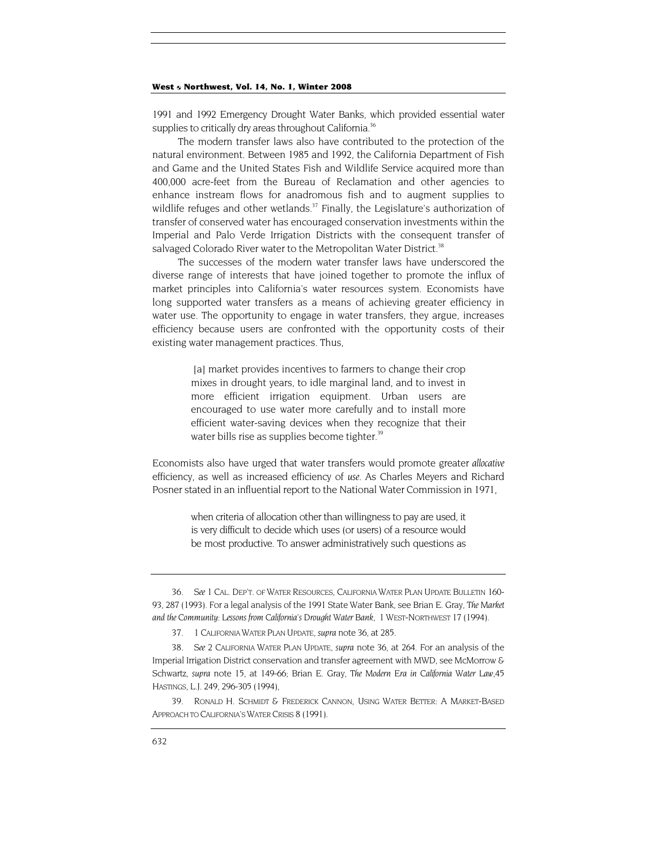1991 and 1992 Emergency Drought Water Banks, which provided essential water supplies to critically dry areas throughout California.<sup>36</sup>

The modern transfer laws also have contributed to the protection of the natural environment. Between 1985 and 1992, the California Department of Fish and Game and the United States Fish and Wildlife Service acquired more than 400,000 acre-feet from the Bureau of Reclamation and other agencies to enhance instream flows for anadromous fish and to augment supplies to wildlife refuges and other wetlands.<sup>37</sup> Finally, the Legislature's authorization of transfer of conserved water has encouraged conservation investments within the Imperial and Palo Verde Irrigation Districts with the consequent transfer of salvaged Colorado River water to the Metropolitan Water District.<sup>38</sup>

The successes of the modern water transfer laws have underscored the diverse range of interests that have joined together to promote the influx of market principles into California's water resources system. Economists have long supported water transfers as a means of achieving greater efficiency in water use. The opportunity to engage in water transfers, they argue, increases efficiency because users are confronted with the opportunity costs of their existing water management practices. Thus,

> [a] market provides incentives to farmers to change their crop mixes in drought years, to idle marginal land, and to invest in more efficient irrigation equipment. Urban users are encouraged to use water more carefully and to install more efficient water-saving devices when they recognize that their water bills rise as supplies become tighter.<sup>39</sup>

Economists also have urged that water transfers would promote greater *allocative* efficiency, as well as increased efficiency of *use.* As Charles Meyers and Richard Posner stated in an influential report to the National Water Commission in 1971,

> when criteria of allocation other than willingness to pay are used, it is very difficult to decide which uses (or users) of a resource would be most productive. To answer administratively such questions as

<span id="page-10-0"></span><sup>36</sup>*. See* 1 CAL. DEP'T. OF WATER RESOURCES, CALIFORNIA WATER PLAN UPDATE BULLETIN 160- 93, 287 (1993). For a legal analysis of the 1991 State Water Bank, see Brian E. Gray, *The Market and the Community: Lessons from California's Drought Water Bank,* 1 WEST-NORTHWEST 17 (1994).

<span id="page-10-1"></span><sup>37. 1</sup> CALIFORNIA WATER PLAN UPDATE, *supra* note 36, at 285.

<span id="page-10-2"></span><sup>38</sup>*. See* 2 CALIFORNIA WATER PLAN UPDATE, *supra* note 36, at 264. For an analysis of the Imperial Irrigation District conservation and transfer agreement with MWD, see McMorrow & Schwartz, *supra* note 15, at 149-66; Brian E. Gray, *The Modern Era in California Water Law,*45 HASTINGS, L.J. 249, 296-305 (1994),

<span id="page-10-3"></span><sup>39.</sup> RONALD H. SCHMIDT & FREDERICK CANNON, USING WATER BETTER: A MARKET-BASED APPROACH TO CALIFORNIA'S WATER CRISIS 8 (1991).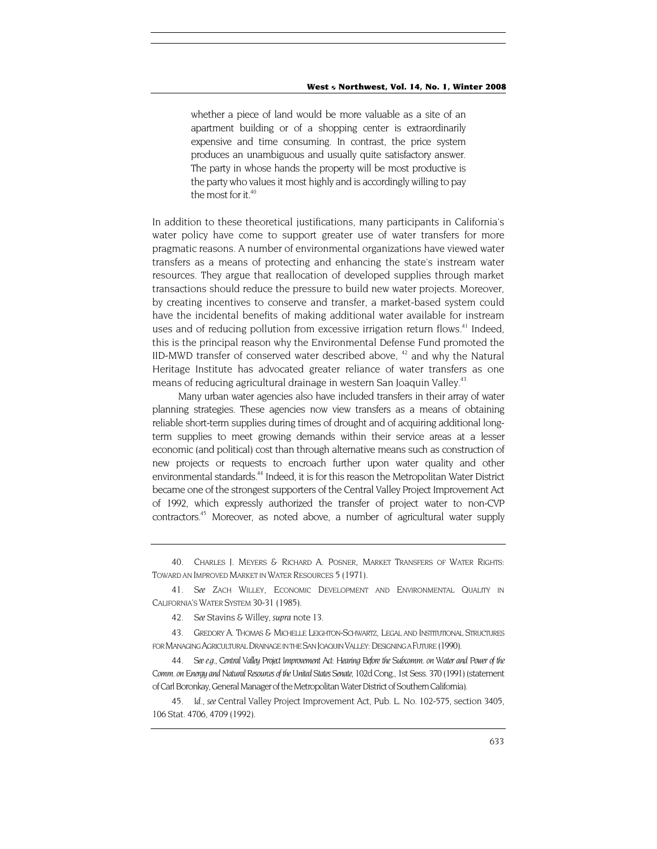whether a piece of land would be more valuable as a site of an apartment building or of a shopping center is extraordinarily expensive and time consuming. In contrast, the price system produces an unambiguous and usually quite satisfactory answer. The party in whose hands the property will be most productive is the party who values it most highly and is accordingly willing to pay the most for it.<sup>40</sup>

In addition to these theoretical justifications, many participants in California's water policy have come to support greater use of water transfers for more pragmatic reasons. A number of environmental organizations have viewed water transfers as a means of protecting and enhancing the state's instream water resources. They argue that reallocation of developed supplies through market transactions should reduce the pressure to build new water projects. Moreover, by creating incentives to conserve and transfer, a market-based system could have the incidental benefits of making additional water available for instream uses and of reducing pollution from excessive irrigation return flows.<sup>41</sup> Indeed, this is the principal reason why the Environmental Defense Fund promoted the IID-MWD transfer of conserved water described above,  $42$  and why the Natural Heritage Institute has advocated greater reliance of water transfers as one means of reducing agricultural drainage in western San Joaquin Valley.<sup>43</sup>

Many urban water agencies also have included transfers in their array of water planning strategies. These agencies now view transfers as a means of obtaining reliable short-term supplies during times of drought and of acquiring additional longterm supplies to meet growing demands within their service areas at a lesser economic (and political) cost than through alternative means such as construction of new projects or requests to encroach further upon water quality and other environmental standards.<sup>44</sup> Indeed, it is for this reason the Metropolitan Water District became one of the strongest supporters of the Central Valley Project Improvement Act of 1992, which expressly authorized the transfer of project water to non-CVP contractors.<sup>45</sup> Moreover, as noted above, a number of agricultural water supply

<span id="page-11-0"></span>40. CHARLES J. MEYERS & RICHARD A. POSNER, MARKET TRANSFERS OF WATER RIGHTS: TOWARD AN IMPROVED MARKET IN WATER RESOURCES 5 (1971).

- <span id="page-11-1"></span>41*. See* ZACH WILLEY, ECONOMIC DEVELOPMENT AND ENVIRONMENTAL QUALITY IN CALIFORNIA'S WATER SYSTEM 30-31 (1985).
	- 42*. See* Stavins & Willey, *supra* note 13.

<span id="page-11-3"></span><span id="page-11-2"></span>43. GREDORY A. THOMAS & MICHELLE LEIGHTON-SCHWARTZ, LEGAL AND INSTITUTIONAL STRUCTURES FOR MANAGING AGRICULTURAL DRAINAGE IN THE SAN JOAQUIN VALLEY: DESIGNING A FUTURE (1990).

<span id="page-11-4"></span>44*. See e.g., Central Valley Project Improvement Act: Hearing Before the Subcomm. on Water and Power of the Comm. on Energy and Natural Resources of the United States Senate,* 102d Cong., 1st Sess. 370 (1991) (statement of Carl Boronkay, General Manager of the Metropolitan Water District of Southern California).

<span id="page-11-5"></span>45*. Id., see* Central Valley Project Improvement Act, Pub. L. No. 102-575, section 3405, 106 Stat. 4706, 4709 (1992).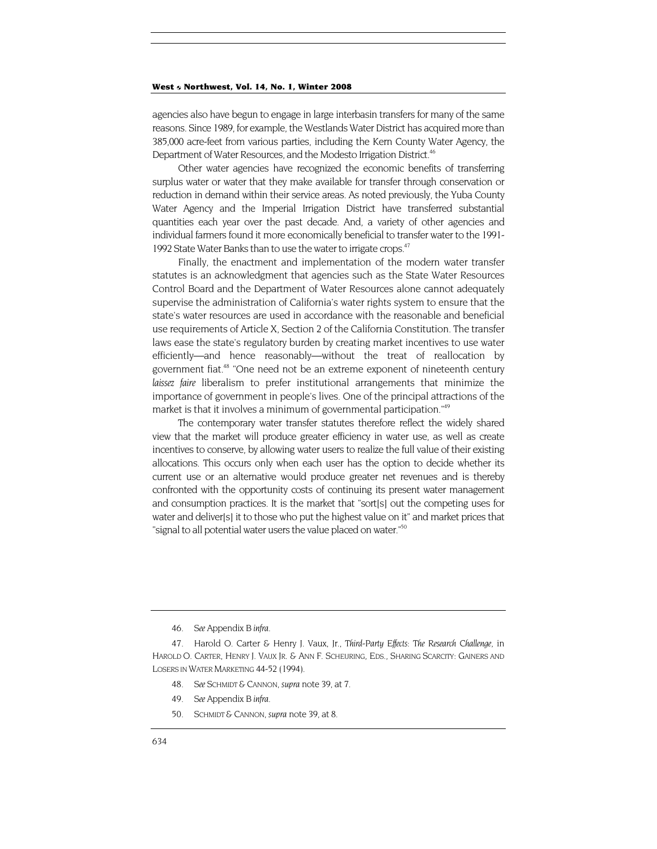agencies also have begun to engage in large interbasin transfers for many of the same reasons. Since 1989, for example, the Westlands Water District has acquired more than 385,000 acre-feet from various parties, including the Kern County Water Agency, the Department of Water Resources, and the Modesto Irrigation District.<sup>[46](#page-12-0)</sup>

Other water agencies have recognized the economic benefits of transferring surplus water or water that they make available for transfer through conservation or reduction in demand within their service areas. As noted previously, the Yuba County Water Agency and the Imperial Irrigation District have transferred substantial quantities each year over the past decade. And, a variety of other agencies and individual farmers found it more economically beneficial to transfer water to the 1991- 1992 State Water Banks than to use the water to irrigate crops.<sup>47</sup>

Finally, the enactment and implementation of the modern water transfer statutes is an acknowledgment that agencies such as the State Water Resources Control Board and the Department of Water Resources alone cannot adequately supervise the administration of California's water rights system to ensure that the state's water resources are used in accordance with the reasonable and beneficial use requirements of Article X, Section 2 of the California Constitution. The transfer laws ease the state's regulatory burden by creating market incentives to use water efficiently—and hence reasonably—without the treat of reallocation by government fiat.<sup>48</sup> "One need not be an extreme exponent of nineteenth century *laissez faire* liberalism to prefer institutional arrangements that minimize the importance of government in people's lives. One of the principal attractions of the market is that it involves a minimum of governmental participation."<sup>49</sup>

The contemporary water transfer statutes therefore reflect the widely shared view that the market will produce greater efficiency in water use, as well as create incentives to conserve, by allowing water users to realize the full value of their existing allocations. This occurs only when each user has the option to decide whether its current use or an alternative would produce greater net revenues and is thereby confronted with the opportunity costs of continuing its present water management and consumption practices. It is the market that "sort[s] out the competing uses for water and deliver[s] it to those who put the highest value on it" and market prices that "signal to all potential water users the value placed on water."<sup>50</sup>

- <span id="page-12-2"></span>48*. See* SCHMIDT & CANNON, *supra* note 39, at 7.
- <span id="page-12-3"></span>49*. See* Appendix B *infra.*
- <span id="page-12-4"></span>50. SCHMIDT & CANNON, *supra* note 39, at 8.

<sup>46</sup>*. See* Appendix B *infra.*

<span id="page-12-1"></span><span id="page-12-0"></span><sup>47.</sup> Harold O. Carter & Henry J. Vaux, Jr., *Third-Party Effects: The Research Challenge,* in HAROLD O. CARTER, HENRY J. VAUX JR. & ANN F. SCHEURING, EDS., SHARING SCARCITY: GAINERS AND LOSERS IN WATER MARKETING 44-52 (1994).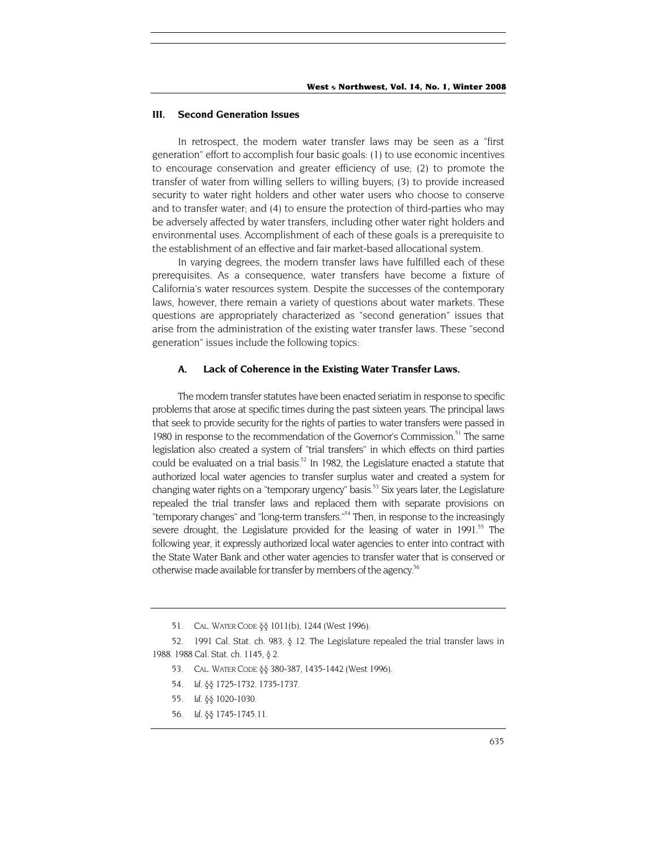## **III. Second Generation Issues**

In retrospect, the modern water transfer laws may be seen as a "first generation" effort to accomplish four basic goals: (1) to use economic incentives to encourage conservation and greater efficiency of use; (2) to promote the transfer of water from willing sellers to willing buyers; (3) to provide increased security to water right holders and other water users who choose to conserve and to transfer water; and (4) to ensure the protection of third-parties who may be adversely affected by water transfers, including other water right holders and environmental uses. Accomplishment of each of these goals is a prerequisite to the establishment of an effective and fair market-based allocational system.

In varying degrees, the modern transfer laws have fulfilled each of these prerequisites. As a consequence, water transfers have become a fixture of California's water resources system. Despite the successes of the contemporary laws, however, there remain a variety of questions about water markets. These questions are appropriately characterized as "second generation" issues that arise from the administration of the existing water transfer laws. These "second generation" issues include the following topics:

## **A. Lack of Coherence in the Existing Water Transfer Laws.**

The modern transfer statutes have been enacted seriatim in response to specific problems that arose at specific times during the past sixteen years. The principal laws that seek to provide security for the rights of parties to water transfers were passed in 1980 in response to the recommendation of the Governor's Commission.<sup>51</sup> The same legislation also created a system of "trial transfers" in which effects on third parties could be evaluated on a trial basis.<sup>52</sup> In 1982, the Legislature enacted a statute that authorized local water agencies to transfer surplus water and created a system for changing water rights on a "temporary urgency" basis.<sup>53</sup> Six years later, the Legislature repealed the trial transfer laws and replaced them with separate provisions on "temporary changes" and "long-term transfers."<sup>54</sup> Then, in response to the increasingly severe drought, the Legislature provided for the leasing of water in 1991.<sup>55</sup> The following year, it expressly authorized local water agencies to enter into contract with the State Water Bank and other water agencies to transfer water that is conserved or otherwise made available for transfer by members of the agency.<sup>56</sup>

- <span id="page-13-4"></span>55*. Id.* §§ 1020-1030.
- <span id="page-13-5"></span>56*. Id.* §§ 1745-1745.11.

<span id="page-13-0"></span><sup>51.</sup> CAL. WATER CODE §§ 1011(b), 1244 (West 1996).

<span id="page-13-1"></span><sup>52. 1991</sup> Cal. Stat. ch. 983, § 12. The Legislature repealed the trial transfer laws in 1988. 1988 Cal. Stat. ch. 1145, § 2.

<span id="page-13-2"></span><sup>53.</sup> CAL. WATER CODE §§ 380-387, 1435-1442 (West 1996).

<span id="page-13-3"></span><sup>54</sup>*. Id.* §§ 1725-1732. 1735-1737.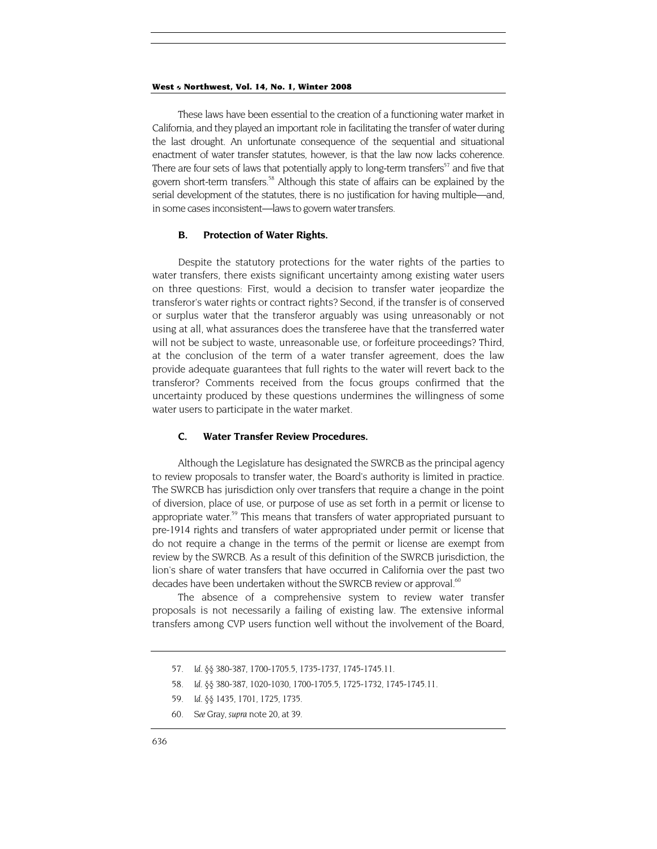These laws have been essential to the creation of a functioning water market in California, and they played an important role in facilitating the transfer of water during the last drought. An unfortunate consequence of the sequential and situational enactment of water transfer statutes, however, is that the law now lacks coherence. There are four sets of laws that potentially apply to long-term transfers $57$  and five that govern short-term transfers.<sup>58</sup> Although this state of affairs can be explained by the serial development of the statutes, there is no justification for having multiple—and, in some cases inconsistent—laws to govern water transfers.

## **B. Protection of Water Rights.**

Despite the statutory protections for the water rights of the parties to water transfers, there exists significant uncertainty among existing water users on three questions: First, would a decision to transfer water jeopardize the transferor's water rights or contract rights? Second, if the transfer is of conserved or surplus water that the transferor arguably was using unreasonably or not using at all, what assurances does the transferee have that the transferred water will not be subject to waste, unreasonable use, or forfeiture proceedings? Third, at the conclusion of the term of a water transfer agreement, does the law provide adequate guarantees that full rights to the water will revert back to the transferor? Comments received from the focus groups confirmed that the uncertainty produced by these questions undermines the willingness of some water users to participate in the water market.

## **C. Water Transfer Review Procedures.**

Although the Legislature has designated the SWRCB as the principal agency to review proposals to transfer water, the Board's authority is limited in practice. The SWRCB has jurisdiction only over transfers that require a change in the point of diversion, place of use, or purpose of use as set forth in a permit or license to appropriate water.<sup>59</sup> This means that transfers of water appropriated pursuant to pre-1914 rights and transfers of water appropriated under permit or license that do not require a change in the terms of the permit or license are exempt from review by the SWRCB. As a result of this definition of the SWRCB jurisdiction, the lion's share of water transfers that have occurred in California over the past two decades have been undertaken without the SWRCB review or approval.<sup>60</sup>

The absence of a comprehensive system to review water transfer proposals is not necessarily a failing of existing law. The extensive informal transfers among CVP users function well without the involvement of the Board,

<span id="page-14-3"></span>60*. See* Gray, *supra* note 20, at 39.

<span id="page-14-0"></span><sup>57</sup>*. Id.* §§ 380-387, 1700-1705.5, 1735-1737, 1745-1745.11.

<span id="page-14-1"></span><sup>58</sup>*. Id.* §§ 380-387, 1020-1030, 1700-1705.5, 1725-1732, 1745-1745.11.

<span id="page-14-2"></span><sup>59</sup>*. Id.* §§ 1435, 1701, 1725, 1735.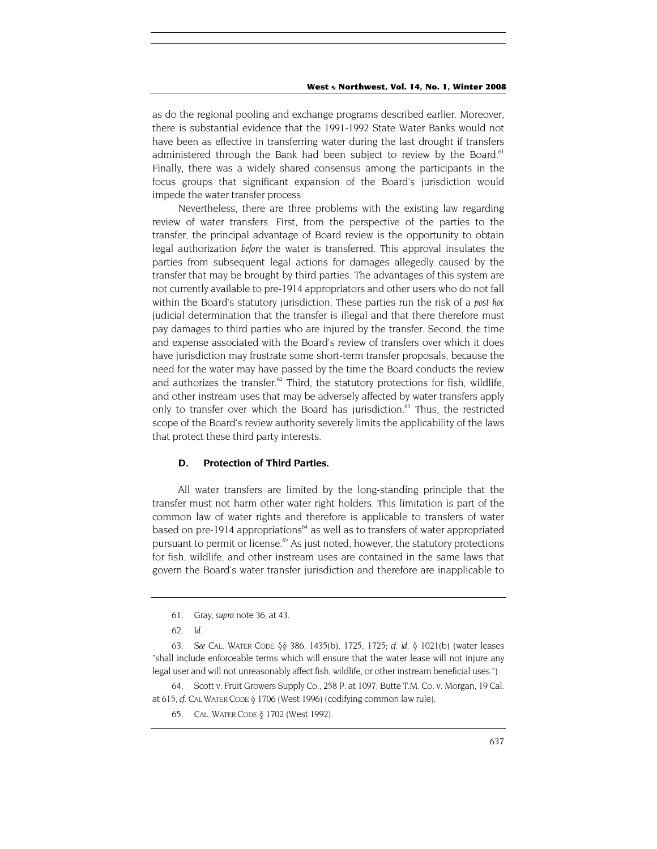as do the regional pooling and exchange programs described earlier. Moreover, there is substantial evidence that the 1991-1992 State Water Banks would not have been as effective in transferring water during the last drought if transfers administered through the Bank had been subject to review by the Board.<sup>61</sup> Finally, there was a widely shared consensus among the participants in the focus groups that significant expansion of the Board's jurisdiction would impede the water transfer process.

Nevertheless, there are three problems with the existing law regarding review of water transfers. First, from the perspective of the parties to the transfer, the principal advantage of Board review is the opportunity to obtain legal authorization *before* the water is transferred. This approval insulates the parties from subsequent legal actions for damages allegedly caused by the transfer that may be brought by third parties. The advantages of this system are not currently available to pre-1914 appropriators and other users who do not fall within the Board's statutory jurisdiction. These parties run the risk of a *post hoc* judicial determination that the transfer is illegal and that there therefore must pay damages to third parties who are injured by the transfer. Second, the time and expense associated with the Board's review of transfers over which it does have jurisdiction may frustrate some short-term transfer proposals, because the need for the water may have passed by the time the Board conducts the review and authorizes the transfer. $62$  Third, the statutory protections for fish, wildlife, and other instream uses that may be adversely affected by water transfers apply only to transfer over which the Board has jurisdiction. $63$  Thus, the restricted scope of the Board's review authority severely limits the applicability of the laws that protect these third party interests.

## **D. Protection of Third Parties.**

All water transfers are limited by the long-standing principle that the transfer must not harm other water right holders. This limitation is part of the common law of water rights and therefore is applicable to transfers of water based on pre-1914 appropriations<sup>64</sup> as well as to transfers of water appropriated pursuant to permit or license.<sup>65</sup> As just noted, however, the statutory protections for fish, wildlife, and other instream uses are contained in the same laws that govern the Board's water transfer jurisdiction and therefore are inapplicable to

<span id="page-15-0"></span><sup>61.</sup> Gray, *supra* note 36, at 43.

<sup>62</sup>*. Id.*

<span id="page-15-2"></span><span id="page-15-1"></span><sup>63</sup>*. See* CAL. WATER CODE §§ 386, 1435(b), 1725, 1725; *cf. id.* § 1021(b) (water leases "shall include enforceable terms which will ensure that the water lease will not injure any legal user and will not unreasonably affect fish, wildlife, or other instream beneficial uses.")

<span id="page-15-3"></span><sup>64.</sup> Scott v. Fruit Growers Supply Co., 258 P. at 1097; Butte T.M. Co. v. Morgan, 19 Cal. at 615, *cf*. CAL WATER CODE § 1706 (West 1996) (codifying common law rule).

<span id="page-15-4"></span><sup>65.</sup> CAL. WATER CODE § 1702 (West 1992).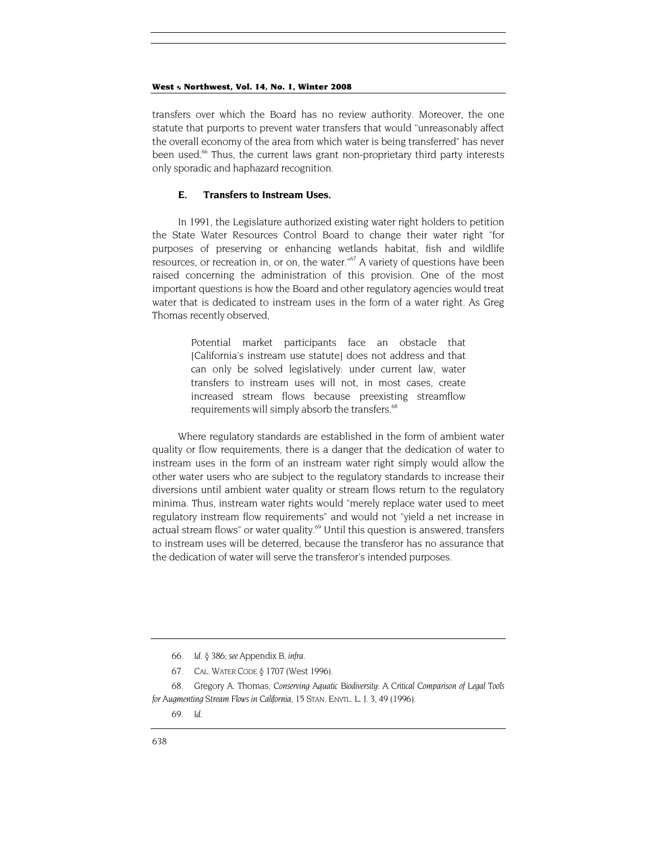transfers over which the Board has no review authority. Moreover, the one statute that purports to prevent water transfers that would "unreasonably affect the overall economy of the area from which water is being transferred" has never been used.<sup>66</sup> Thus, the current laws grant non-proprietary third party interests only sporadic and haphazard recognition.

## **E. Transfers to Instream Uses.**

In 1991, the Legislature authorized existing water right holders to petition the State Water Resources Control Board to change their water right "for purposes of preserving or enhancing wetlands habitat, fish and wildlife resources, or recreation in, or on, the water." $67$  A variety of questions have been raised concerning the administration of this provision. One of the most important questions is how the Board and other regulatory agencies would treat water that is dedicated to instream uses in the form of a water right. As Greg Thomas recently observed,

> Potential market participants face an obstacle that [California's instream use statute] does not address and that can only be solved legislatively: under current law, water transfers to instream uses will not, in most cases, create increased stream flows because preexisting streamflow requirements will simply absorb the transfers.<sup>68</sup>

Where regulatory standards are established in the form of ambient water quality or flow requirements, there is a danger that the dedication of water to instream uses in the form of an instream water right simply would allow the other water users who are subject to the regulatory standards to increase their diversions until ambient water quality or stream flows return to the regulatory minima. Thus, instream water rights would "merely replace water used to meet regulatory instream flow requirements" and would not "yield a net increase in actual stream flows" or water quality.<sup>69</sup> Until this question is answered, transfers to instream uses will be deterred, because the transferor has no assurance that the dedication of water will serve the transferor's intended purposes.

<span id="page-16-0"></span><sup>66</sup>*. Id.* § 386; *see* Appendix B, *infra.*

<sup>67.</sup> CAL. WATER CODE § 1707 (West 1996).

<span id="page-16-2"></span><span id="page-16-1"></span><sup>68.</sup> Gregory A. Thomas, *Conserving Aquatic Biodiversity: A Critical Comparison of Legal Tools for Augmenting Stream Flows in California*, 15 STAN. ENVTL. L. J. 3, 49 (1996).

<span id="page-16-3"></span><sup>69</sup>*. Id.*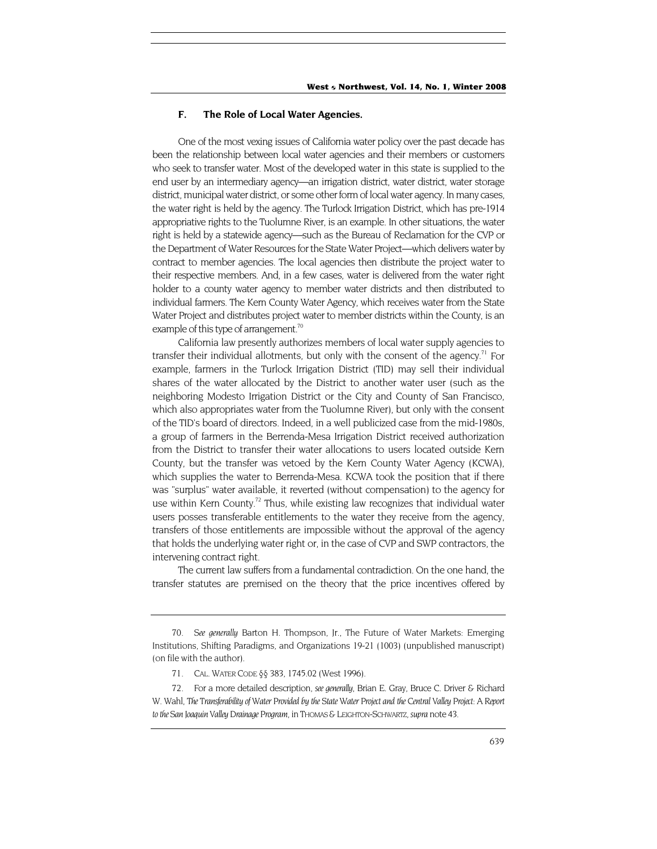#### **F. The Role of Local Water Agencies.**

One of the most vexing issues of California water policy over the past decade has been the relationship between local water agencies and their members or customers who seek to transfer water. Most of the developed water in this state is supplied to the end user by an intermediary agency—an irrigation district, water district, water storage district, municipal water district, or some other form of local water agency. In many cases, the water right is held by the agency. The Turlock Irrigation District, which has pre-1914 appropriative rights to the Tuolumne River, is an example. In other situations, the water right is held by a statewide agency—such as the Bureau of Reclamation for the CVP or the Department of Water Resources for the State Water Project—which delivers water by contract to member agencies. The local agencies then distribute the project water to their respective members. And, in a few cases, water is delivered from the water right holder to a county water agency to member water districts and then distributed to individual farmers. The Kern County Water Agency, which receives water from the State Water Project and distributes project water to member districts within the County, is an example of this type of arrangement. $70$ 

California law presently authorizes members of local water supply agencies to transfer their individual allotments, but only with the consent of the agency.<sup>71</sup> For example, farmers in the Turlock Irrigation District (TID) may sell their individual shares of the water allocated by the District to another water user (such as the neighboring Modesto Irrigation District or the City and County of San Francisco, which also appropriates water from the Tuolumne River), but only with the consent of the TID's board of directors. Indeed, in a well publicized case from the mid-1980s, a group of farmers in the Berrenda-Mesa Irrigation District received authorization from the District to transfer their water allocations to users located outside Kern County, but the transfer was vetoed by the Kern County Water Agency (KCWA), which supplies the water to Berrenda-Mesa. KCWA took the position that if there was "surplus" water available, it reverted (without compensation) to the agency for use within Kern County.<sup>72</sup> Thus, while existing law recognizes that individual water users posses transferable entitlements to the water they receive from the agency, transfers of those entitlements are impossible without the approval of the agency that holds the underlying water right or, in the case of CVP and SWP contractors, the intervening contract right.

The current law suffers from a fundamental contradiction. On the one hand, the transfer statutes are premised on the theory that the price incentives offered by

<span id="page-17-0"></span><sup>70</sup>*. See generally* Barton H. Thompson, Jr., The Future of Water Markets: Emerging Institutions, Shifting Paradigms, and Organizations 19-21 (1003) (unpublished manuscript) (on file with the author).

<sup>71.</sup> CAL. WATER CODE §§ 383, 1745.02 (West 1996).

<span id="page-17-2"></span><span id="page-17-1"></span><sup>72.</sup> For a more detailed description, *see generally*, Brian E. Gray, Bruce C. Driver & Richard W. Wahl, *The Transferability of Water Provided by the State Water Project and the Central Valley Project: A Report to the San Joaquin Valley Drainage Program,* in THOMAS & LEIGHTON-SCHWARTZ, *supra* note 43.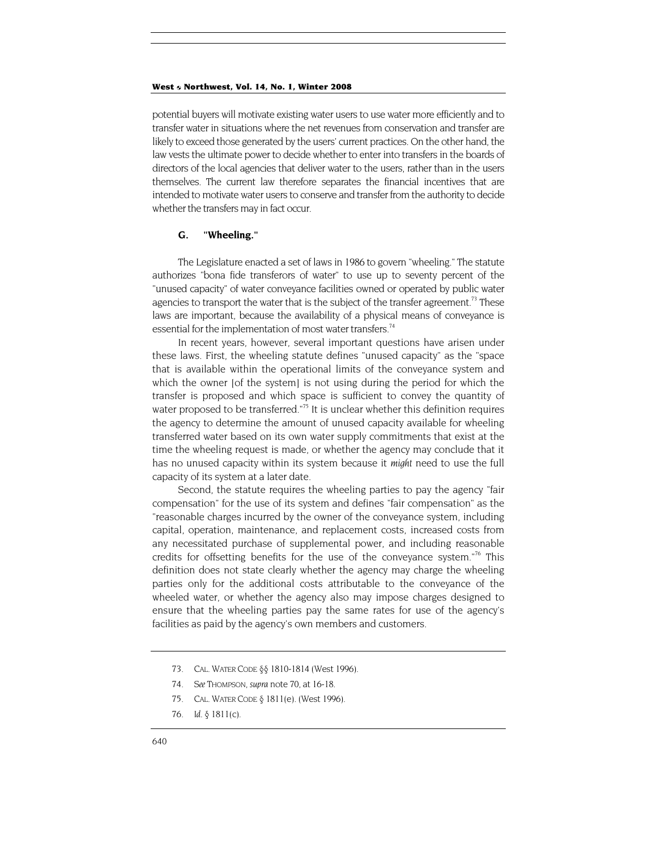potential buyers will motivate existing water users to use water more efficiently and to transfer water in situations where the net revenues from conservation and transfer are likely to exceed those generated by the users' current practices. On the other hand, the law vests the ultimate power to decide whether to enter into transfers in the boards of directors of the local agencies that deliver water to the users, rather than in the users themselves. The current law therefore separates the financial incentives that are intended to motivate water users to conserve and transfer from the authority to decide whether the transfers may in fact occur.

## **G. "Wheeling."**

The Legislature enacted a set of laws in 1986 to govern "wheeling." The statute authorizes "bona fide transferors of water" to use up to seventy percent of the "unused capacity" of water conveyance facilities owned or operated by public water agencies to transport the water that is the subject of the transfer agreement.<sup>73</sup> These laws are important, because the availability of a physical means of conveyance is essential for the implementation of most water transfers.<sup>74</sup>

In recent years, however, several important questions have arisen under these laws. First, the wheeling statute defines "unused capacity" as the "space that is available within the operational limits of the conveyance system and which the owner [of the system] is not using during the period for which the transfer is proposed and which space is sufficient to convey the quantity of water proposed to be transferred.<sup>"75</sup> It is unclear whether this definition requires the agency to determine the amount of unused capacity available for wheeling transferred water based on its own water supply commitments that exist at the time the wheeling request is made, or whether the agency may conclude that it has no unused capacity within its system because it *might* need to use the full capacity of its system at a later date.

Second, the statute requires the wheeling parties to pay the agency "fair compensation" for the use of its system and defines "fair compensation" as the "reasonable charges incurred by the owner of the conveyance system, including capital, operation, maintenance, and replacement costs, increased costs from any necessitated purchase of supplemental power, and including reasonable credits for offsetting benefits for the use of the conveyance system."<sup>76</sup> This definition does not state clearly whether the agency may charge the wheeling parties only for the additional costs attributable to the conveyance of the wheeled water, or whether the agency also may impose charges designed to ensure that the wheeling parties pay the same rates for use of the agency's facilities as paid by the agency's own members and customers.

- <span id="page-18-0"></span>73. CAL. WATER CODE §§ 1810-1814 (West 1996).
- <span id="page-18-1"></span>74*. See* THOMPSON, *supra* note 70, at 16-18.
- <span id="page-18-2"></span>75. CAL. WATER CODE § 1811(e). (West 1996).
- <span id="page-18-3"></span>76*. Id.* § 1811(c).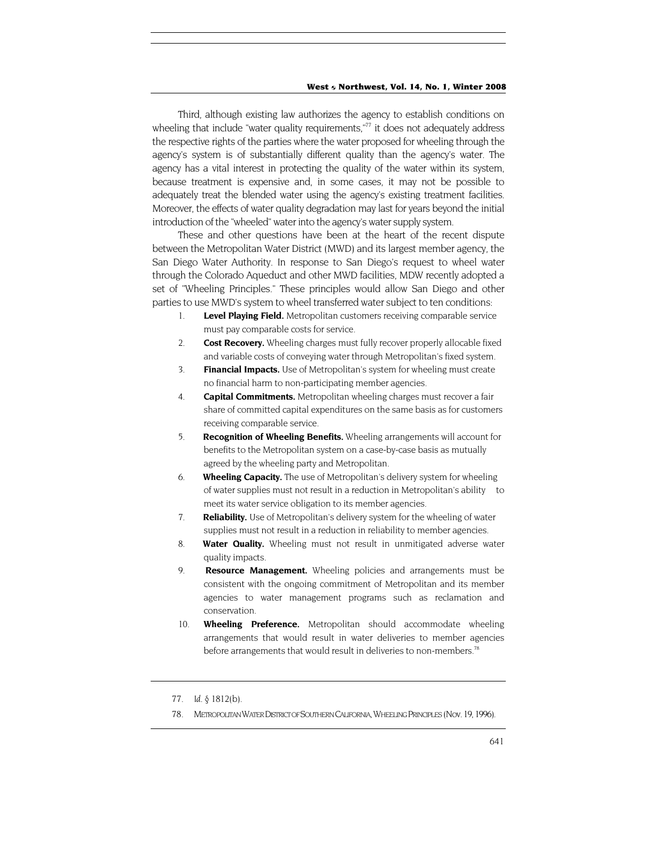Third, although existing law authorizes the agency to establish conditions on wheeling that include "water quality requirements,"<sup>77</sup> it does not adequately address the respective rights of the parties where the water proposed for wheeling through the agency's system is of substantially different quality than the agency's water. The agency has a vital interest in protecting the quality of the water within its system, because treatment is expensive and, in some cases, it may not be possible to adequately treat the blended water using the agency's existing treatment facilities. Moreover, the effects of water quality degradation may last for years beyond the initial introduction of the "wheeled" water into the agency's water supply system.

These and other questions have been at the heart of the recent dispute between the Metropolitan Water District (MWD) and its largest member agency, the San Diego Water Authority. In response to San Diego's request to wheel water through the Colorado Aqueduct and other MWD facilities, MDW recently adopted a set of "Wheeling Principles." These principles would allow San Diego and other parties to use MWD's system to wheel transferred water subject to ten conditions:

- 1. **Level Playing Field.** Metropolitan customers receiving comparable service must pay comparable costs for service.
- 2. **Cost Recovery.** Wheeling charges must fully recover properly allocable fixed and variable costs of conveying water through Metropolitan's fixed system.
- 3. **Financial Impacts***.* Use of Metropolitan's system for wheeling must create no financial harm to non-participating member agencies.
- 4. **Capital Commitments.** Metropolitan wheeling charges must recover a fair share of committed capital expenditures on the same basis as for customers receiving comparable service.
- 5. **Recognition of Wheeling Benefits.** Wheeling arrangements will account for benefits to the Metropolitan system on a case-by-case basis as mutually agreed by the wheeling party and Metropolitan.
- 6. **Wheeling Capacity.** The use of Metropolitan's delivery system for wheeling of water supplies must not result in a reduction in Metropolitan's ability to meet its water service obligation to its member agencies.
- 7. **Reliability.** Use of Metropolitan's delivery system for the wheeling of water supplies must not result in a reduction in reliability to member agencies.
- 8. **Water Quality.** Wheeling must not result in unmitigated adverse water quality impacts.
- 9. **Resource Management.** Wheeling policies and arrangements must be consistent with the ongoing commitment of Metropolitan and its member agencies to water management programs such as reclamation and conservation.
- 10. **Wheeling Preference.** Metropolitan should accommodate wheeling arrangements that would result in water deliveries to member agencies before arrangements that would result in deliveries to non-members.<sup>78</sup>

<span id="page-19-0"></span><sup>77</sup>*. Id.* § 1812(b).

<span id="page-19-1"></span><sup>78.</sup> METROPOLITAN WATER DISTRICT OF SOUTHERN CALIFORNIA, WHEELING PRINCIPLES (Nov. 19, 1996).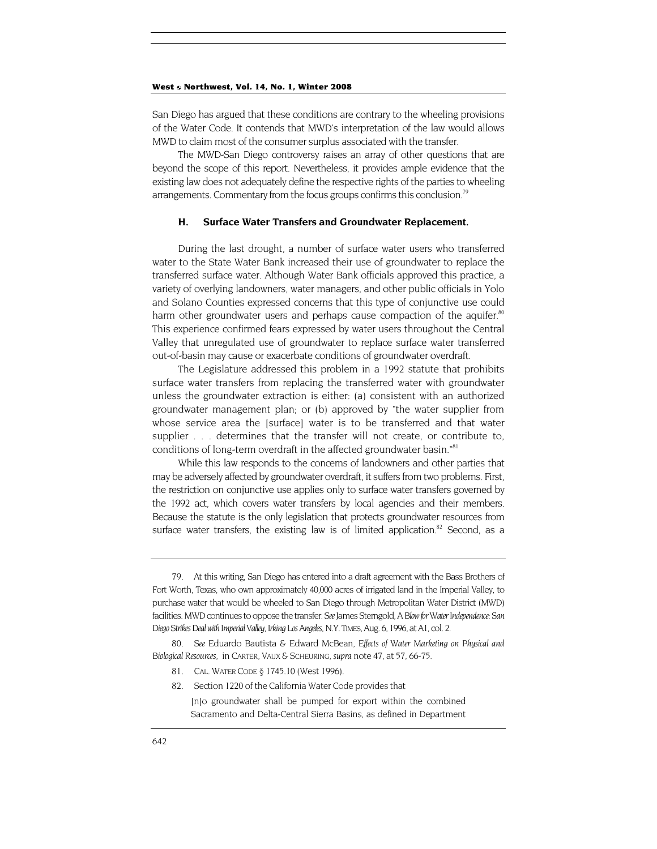<span id="page-20-3"></span>San Diego has argued that these conditions are contrary to the wheeling provisions of the Water Code. It contends that MWD's interpretation of the law would allows MWD to claim most of the consumer surplus associated with the transfer.

The MWD-San Diego controversy raises an array of other questions that are beyond the scope of this report. Nevertheless, it provides ample evidence that the existing law does not adequately define the respective rights of the parties to wheeling arrangements. Commentary from the focus groups confirms this conclusion.<sup>79</sup>

## **H. Surface Water Transfers and Groundwater Replacement.**

During the last drought, a number of surface water users who transferred water to the State Water Bank increased their use of groundwater to replace the transferred surface water. Although Water Bank officials approved this practice, a variety of overlying landowners, water managers, and other public officials in Yolo and Solano Counties expressed concerns that this type of conjunctive use could harm other groundwater users and perhaps cause compaction of the aquifer.<sup>80</sup> This experience confirmed fears expressed by water users throughout the Central Valley that unregulated use of groundwater to replace surface water transferred out-of-basin may cause or exacerbate conditions of groundwater overdraft.

The Legislature addressed this problem in a 1992 statute that prohibits surface water transfers from replacing the transferred water with groundwater unless the groundwater extraction is either: (a) consistent with an authorized groundwater management plan; or (b) approved by "the water supplier from whose service area the [surface] water is to be transferred and that water supplier . . . determines that the transfer will not create, or contribute to, conditions of long-term overdraft in the affected groundwater basin.["81](#page-20-2)

While this law responds to the concerns of landowners and other parties that may be adversely affected by groundwater overdraft, it suffers from two problems. First, the restriction on conjunctive use applies only to surface water transfers governed by the 1992 act, which covers water transfers by local agencies and their members. Because the statute is the only legislation that protects groundwater resources from surface water transfers, the existing law is of limited application.<sup>82</sup> Second, as a

<span id="page-20-1"></span>80*. See* Eduardo Bautista & Edward McBean, *Effects of Water Marketing on Physical and Biological Resources,* in CARTER, VAUX & SCHEURING, *supra* note 47, at 57, 66-75.

- <span id="page-20-2"></span>81. CAL. WATER CODE § 1745.10 (West 1996).
- 82. Section 1220 of the California Water Code provides that [n]o groundwater shall be pumped for export within the combined Sacramento and Delta-Central Sierra Basins, as defined in Department

<span id="page-20-0"></span><sup>79.</sup> At this writing, San Diego has entered into a draft agreement with the Bass Brothers of Fort Worth, Texas, who own approximately 40,000 acres of irrigated land in the Imperial Valley, to purchase water that would be wheeled to San Diego through Metropolitan Water District (MWD) facilities. MWD continues to oppose the transfer. *See* James Sterngold, *A Blow for Water Independence: San Diego Strikes Deal with Imperial Valley, Irking Los Angeles,* N.Y. TIMES, Aug. 6, 1996, at A1, col. 2.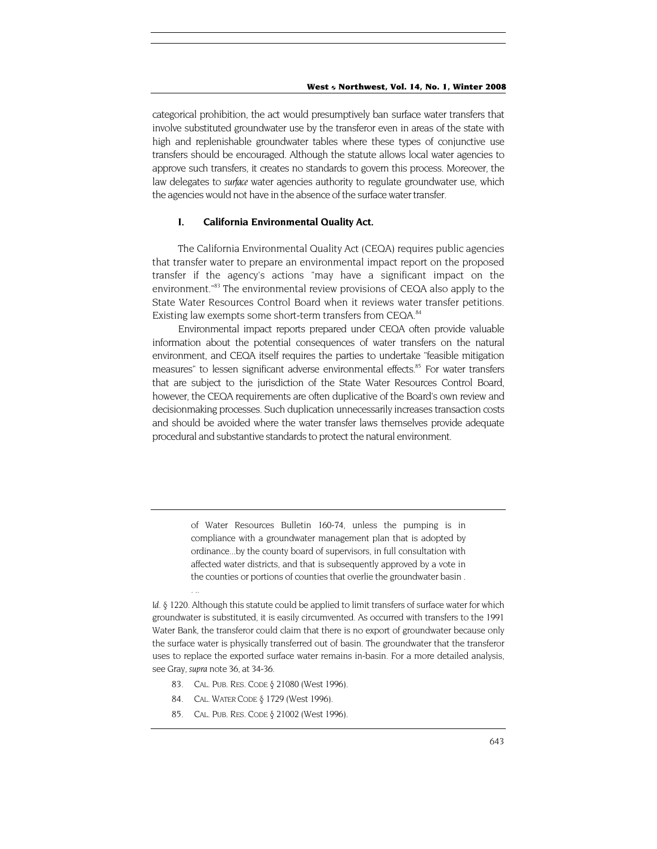categorical prohibition, the act would presumptively ban surface water transfers that involve substituted groundwater use by the transferor even in areas of the state with high and replenishable groundwater tables where these types of conjunctive use transfers should be encouraged. Although the statute allows local water agencies to approve such transfers, it creates no standards to govern this process. Moreover, the law delegates to *surface* water agencies authority to regulate groundwater use, which the agencies would not have in the absence of the surface water transfer.

## **I. California Environmental Quality Act.**

The California Environmental Quality Act (CEQA) requires public agencies that transfer water to prepare an environmental impact report on the proposed transfer if the agency's actions "may have a significant impact on the environment.<sup>83</sup> The environmental review provisions of CEQA also apply to the State Water Resources Control Board when it reviews water transfer petitions. Existing law exempts some short-term transfers from CEQA.<sup>84</sup>

Environmental impact reports prepared under CEQA often provide valuable information about the potential consequences of water transfers on the natural environment, and CEQA itself requires the parties to undertake "feasible mitigation measures" to lessen significant adverse environmental effects.<sup>85</sup> For water transfers that are subject to the jurisdiction of the State Water Resources Control Board, however, the CEQA requirements are often duplicative of the Board's own review and decisionmaking processes. Such duplication unnecessarily increases transaction costs and should be avoided where the water transfer laws themselves provide adequate procedural and substantive standards to protect the natural environment.

> of Water Resources Bulletin 160-74, unless the pumping is in compliance with a groundwater management plan that is adopted by ordinance...by the county board of supervisors, in full consultation with affected water districts, and that is subsequently approved by a vote in the counties or portions of counties that overlie the groundwater basin .

Id.  $\&$  1220. Although this statute could be applied to limit transfers of surface water for which groundwater is substituted, it is easily circumvented. As occurred with transfers to the 1991 Water Bank, the transferor could claim that there is no export of groundwater because only the surface water is physically transferred out of basin. The groundwater that the transferor uses to replace the exported surface water remains in-basin. For a more detailed analysis, see Gray, *supra* note 36, at 34-36.

- <span id="page-21-0"></span>83. CAL. PUB. RES. CODE § 21080 (West 1996).
- <span id="page-21-1"></span>84. CAL. WATER CODE § 1729 (West 1996).

. ..

<span id="page-21-2"></span>85. CAL. PUB. RES. CODE § 21002 (West 1996).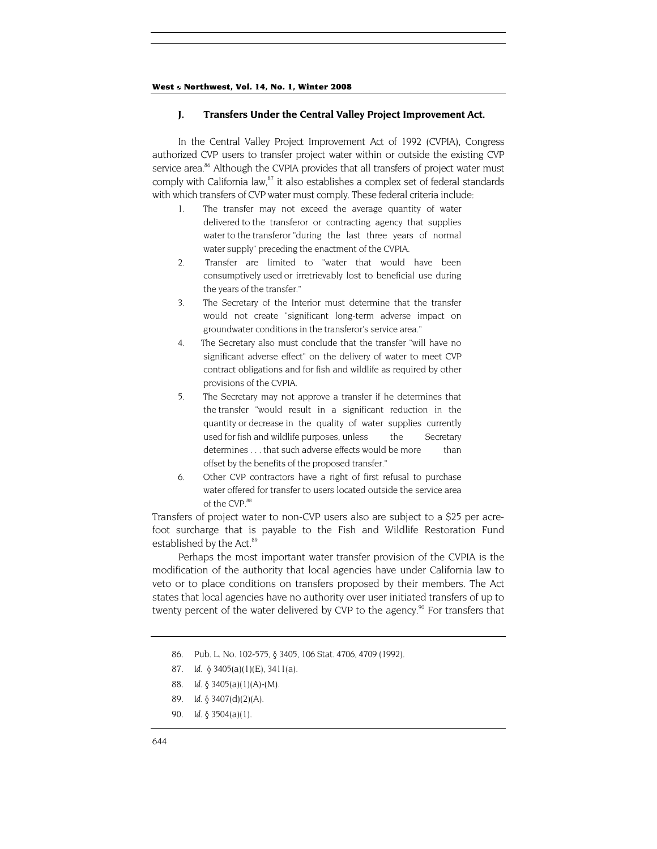## **J. Transfers Under the Central Valley Project Improvement Act.**

In the Central Valley Project Improvement Act of 1992 (CVPIA), Congress authorized CVP users to transfer project water within or outside the existing CVP service area.<sup>86</sup> Although the CVPIA provides that all transfers of project water must comply with California law, $^{87}$  it also establishes a complex set of federal standards with which transfers of CVP water must comply. These federal criteria include:

- 1. The transfer may not exceed the average quantity of water delivered to the transferor or contracting agency that supplies water to the transferor "during the last three years of normal water supply" preceding the enactment of the CVPIA.
- 2. Transfer are limited to "water that would have been consumptively used or irretrievably lost to beneficial use during the years of the transfer."
- 3. The Secretary of the Interior must determine that the transfer would not create "significant long-term adverse impact on groundwater conditions in the transferor's service area."
- 4. The Secretary also must conclude that the transfer "will have no significant adverse effect" on the delivery of water to meet CVP contract obligations and for fish and wildlife as required by other provisions of the CVPIA.
- 5. The Secretary may not approve a transfer if he determines that the transfer "would result in a significant reduction in the quantity or decrease in the quality of water supplies currently used for fish and wildlife purposes, unless the Secretary determines . . . that such adverse effects would be more than offset by the benefits of the proposed transfer."
- 6. Other CVP contractors have a right of first refusal to purchase water offered for transfer to users located outside the service area of the CVP.<sup>[88](#page-22-2)</sup>

Transfers of project water to non-CVP users also are subject to a \$25 per acrefoot surcharge that is payable to the Fish and Wildlife Restoration Fund established by the Act.<sup>[89](#page-22-3)</sup>

Perhaps the most important water transfer provision of the CVPIA is the modification of the authority that local agencies have under California law to veto or to place conditions on transfers proposed by their members. The Act states that local agencies have no authority over user initiated transfers of up to twenty percent of the water delivered by CVP to the agency.<sup>90</sup> For transfers that

- <span id="page-22-0"></span>86. Pub. L. No. 102-575, § 3405, 106 Stat. 4706, 4709 (1992).
- <span id="page-22-1"></span>87*. Id.* § 3405(a)(1)(E), 3411(a).
- <span id="page-22-2"></span>88*. Id.* § 3405(a)(1)(A)-(M).
- <span id="page-22-3"></span>89*. Id.* § 3407(d)(2)(A).
- <span id="page-22-4"></span>90*. Id.* § 3504(a)(1).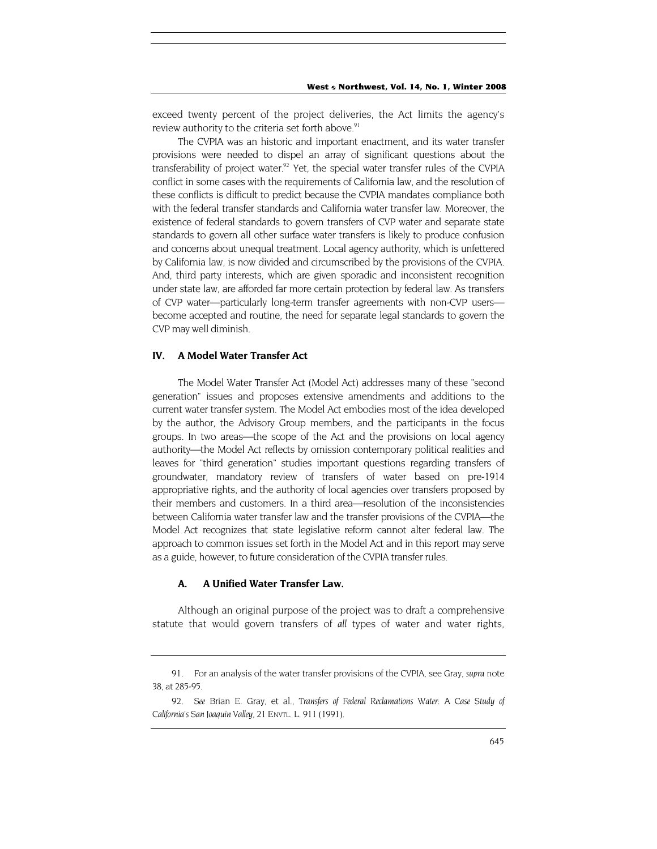exceed twenty percent of the project deliveries, the Act limits the agency's review authority to the criteria set forth above.<sup>91</sup>

The CVPIA was an historic and important enactment, and its water transfer provisions were needed to dispel an array of significant questions about the transferability of project water.<sup>92</sup> Yet, the special water transfer rules of the CVPIA conflict in some cases with the requirements of California law, and the resolution of these conflicts is difficult to predict because the CVPIA mandates compliance both with the federal transfer standards and California water transfer law. Moreover, the existence of federal standards to govern transfers of CVP water and separate state standards to govern all other surface water transfers is likely to produce confusion and concerns about unequal treatment. Local agency authority, which is unfettered by California law, is now divided and circumscribed by the provisions of the CVPIA. And, third party interests, which are given sporadic and inconsistent recognition under state law, are afforded far more certain protection by federal law. As transfers of CVP water—particularly long-term transfer agreements with non-CVP users become accepted and routine, the need for separate legal standards to govern the CVP may well diminish.

## **IV. A Model Water Transfer Act**

The Model Water Transfer Act (Model Act) addresses many of these "second generation" issues and proposes extensive amendments and additions to the current water transfer system. The Model Act embodies most of the idea developed by the author, the Advisory Group members, and the participants in the focus groups. In two areas—the scope of the Act and the provisions on local agency authority—the Model Act reflects by omission contemporary political realities and leaves for "third generation" studies important questions regarding transfers of groundwater, mandatory review of transfers of water based on pre-1914 appropriative rights, and the authority of local agencies over transfers proposed by their members and customers. In a third area—resolution of the inconsistencies between California water transfer law and the transfer provisions of the CVPIA—the Model Act recognizes that state legislative reform cannot alter federal law. The approach to common issues set forth in the Model Act and in this report may serve as a guide, however, to future consideration of the CVPIA transfer rules.

## **A. A Unified Water Transfer Law.**

Although an original purpose of the project was to draft a comprehensive statute that would govern transfers of *all* types of water and water rights,

<span id="page-23-0"></span><sup>91.</sup> For an analysis of the water transfer provisions of the CVPIA, see Gray, *supra* note 38, at 285-95.

<span id="page-23-1"></span><sup>92</sup>*. See* Brian E. Gray, et al., *Transfers of Federal Reclamations Water: A Case Study of California's San Joaquin Valley,* 21 ENVTL. L. 911 (1991).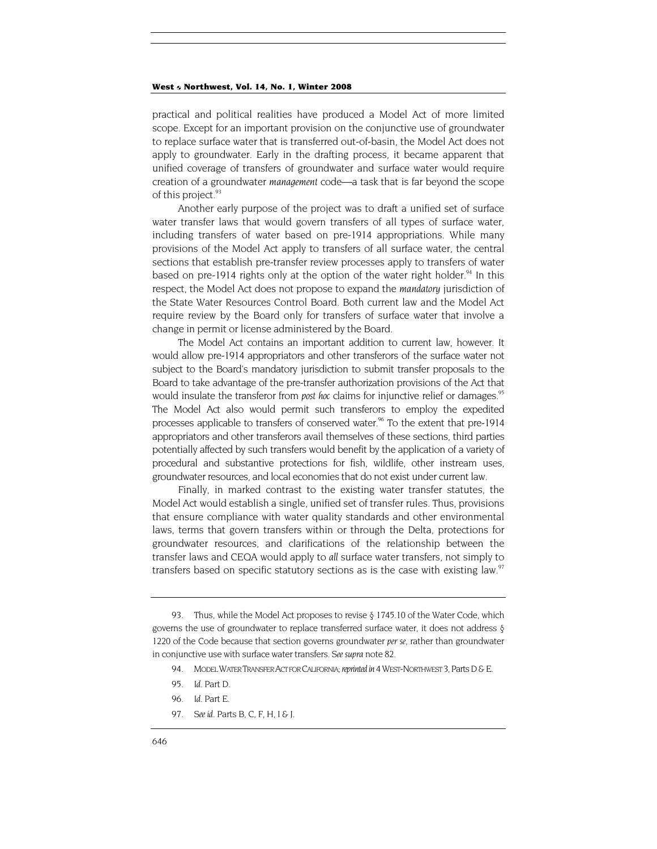practical and political realities have produced a Model Act of more limited scope. Except for an important provision on the conjunctive use of groundwater to replace surface water that is transferred out-of-basin, the Model Act does not apply to groundwater. Early in the drafting process, it became apparent that unified coverage of transfers of groundwater and surface water would require creation of a groundwater *management* code—a task that is far beyond the scope of this project.<sup>93</sup>

Another early purpose of the project was to draft a unified set of surface water transfer laws that would govern transfers of all types of surface water, including transfers of water based on pre-1914 appropriations. While many provisions of the Model Act apply to transfers of all surface water, the central sections that establish pre-transfer review processes apply to transfers of water based on pre-1914 rights only at the option of the water right holder.<sup>94</sup> In this respect, the Model Act does not propose to expand the *mandatory* jurisdiction of the State Water Resources Control Board. Both current law and the Model Act require review by the Board only for transfers of surface water that involve a change in permit or license administered by the Board.

The Model Act contains an important addition to current law, however. It would allow pre-1914 appropriators and other transferors of the surface water not subject to the Board's mandatory jurisdiction to submit transfer proposals to the Board to take advantage of the pre-transfer authorization provisions of the Act that would insulate the transferor from *post hoc* claims for injunctive relief or damages.<sup>95</sup> The Model Act also would permit such transferors to employ the expedited processes applicable to transfers of conserved water.<sup>96</sup> To the extent that pre-1914 appropriators and other transferors avail themselves of these sections, third parties potentially affected by such transfers would benefit by the application of a variety of procedural and substantive protections for fish, wildlife, other instream uses, groundwater resources, and local economies that do not exist under current law.

Finally, in marked contrast to the existing water transfer statutes, the Model Act would establish a single, unified set of transfer rules. Thus, provisions that ensure compliance with water quality standards and other environmental laws, terms that govern transfers within or through the Delta, protections for groundwater resources, and clarifications of the relationship between the transfer laws and CEQA would apply to *all* surface water transfers, not simply to transfers based on specific statutory sections as is the case with existing law. $97$ 

<span id="page-24-4"></span>97*. See id.* Parts B, C, F, H, I & J.

<span id="page-24-0"></span><sup>93.</sup> Thus, while the Model Act proposes to revise § 1745.10 of the Water Code, which governs the use of groundwater to replace transferred surface water, it does not address § 1220 of the Code because that section governs groundwater *per se*, rather than groundwater in conjunctive use with surface water transfers. *See supra* note 82.

<span id="page-24-1"></span><sup>94.</sup> MODEL WATER TRANSFER ACT FOR CALIFORNIA; *reprinted in* 4 WEST-NORTHWEST 3, Parts D & E.

<span id="page-24-2"></span><sup>95</sup>*. Id.* Part D.

<span id="page-24-3"></span><sup>96</sup>*. Id.* Part E.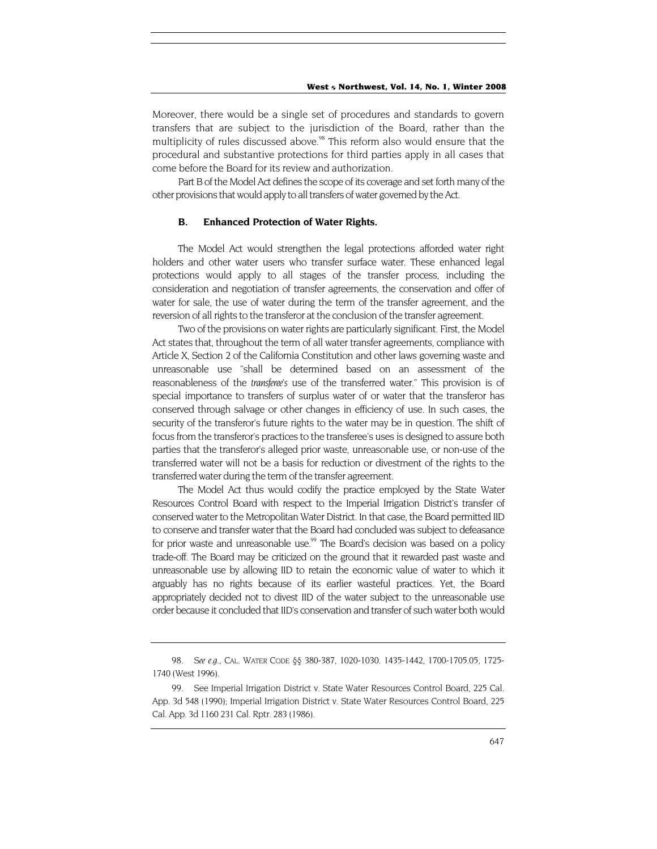Moreover, there would be a single set of procedures and standards to govern transfers that are subject to the jurisdiction of the Board, rather than the multiplicity of rules discussed above.<sup>98</sup> This reform also would ensure that the procedural and substantive protections for third parties apply in all cases that come before the Board for its review and authorization.

Part B of the Model Act defines the scope of its coverage and set forth many of the other provisions that would apply to all transfers of water governed by the Act.

## **B. Enhanced Protection of Water Rights.**

The Model Act would strengthen the legal protections afforded water right holders and other water users who transfer surface water. These enhanced legal protections would apply to all stages of the transfer process, including the consideration and negotiation of transfer agreements, the conservation and offer of water for sale, the use of water during the term of the transfer agreement, and the reversion of all rights to the transferor at the conclusion of the transfer agreement.

Two of the provisions on water rights are particularly significant. First, the Model Act states that, throughout the term of all water transfer agreements, compliance with Article X, Section 2 of the California Constitution and other laws governing waste and unreasonable use "shall be determined based on an assessment of the reasonableness of the *transferee's* use of the transferred water." This provision is of special importance to transfers of surplus water of or water that the transferor has conserved through salvage or other changes in efficiency of use. In such cases, the security of the transferor's future rights to the water may be in question. The shift of focus from the transferor's practices to the transferee's uses is designed to assure both parties that the transferor's alleged prior waste, unreasonable use, or non-use of the transferred water will not be a basis for reduction or divestment of the rights to the transferred water during the term of the transfer agreement.

The Model Act thus would codify the practice employed by the State Water Resources Control Board with respect to the Imperial Irrigation District's transfer of conserved water to the Metropolitan Water District. In that case, the Board permitted IID to conserve and transfer water that the Board had concluded was subject to defeasance for prior waste and unreasonable use.<sup>99</sup> The Board's decision was based on a policy trade-off. The Board may be criticized on the ground that it rewarded past waste and unreasonable use by allowing IID to retain the economic value of water to which it arguably has no rights because of its earlier wasteful practices. Yet, the Board appropriately decided not to divest IID of the water subject to the unreasonable use order because it concluded that IID's conservation and transfer of such water both would

<span id="page-25-0"></span><sup>98</sup>*. See e.g.,* CAL. WATER CODE §§ 380-387, 1020-1030. 1435-1442, 1700-1705.05, 1725- 1740 (West 1996).

<span id="page-25-1"></span><sup>99.</sup> See Imperial Irrigation District v. State Water Resources Control Board, 225 Cal. App. 3d 548 (1990); Imperial Irrigation District v. State Water Resources Control Board, 225 Cal. App. 3d 1160 231 Cal. Rptr. 283 (1986).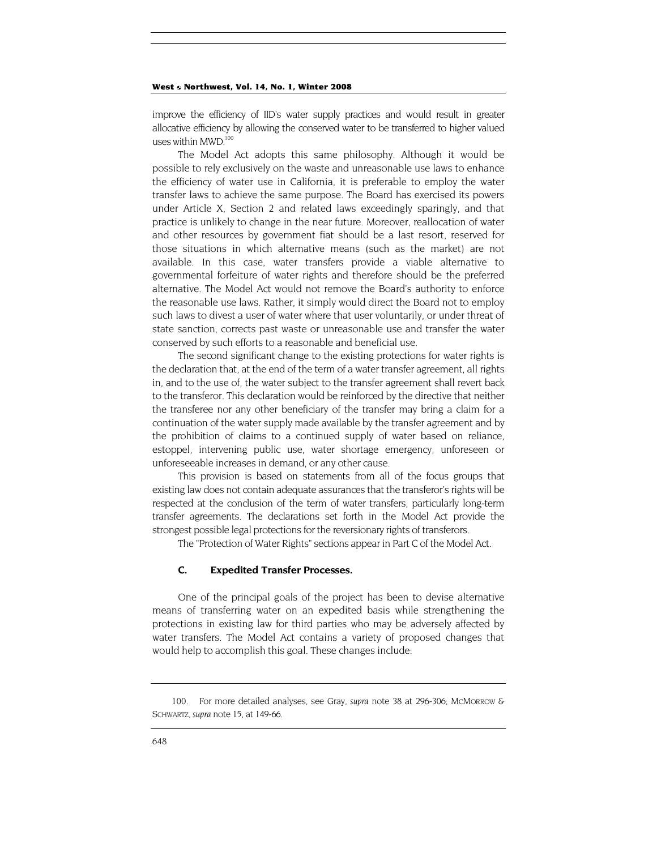improve the efficiency of IID's water supply practices and would result in greater allocative efficiency by allowing the conserved water to be transferred to higher valued uses within MWD.<sup>100</sup>

The Model Act adopts this same philosophy. Although it would be possible to rely exclusively on the waste and unreasonable use laws to enhance the efficiency of water use in California, it is preferable to employ the water transfer laws to achieve the same purpose. The Board has exercised its powers under Article X, Section 2 and related laws exceedingly sparingly, and that practice is unlikely to change in the near future. Moreover, reallocation of water and other resources by government fiat should be a last resort, reserved for those situations in which alternative means (such as the market) are not available. In this case, water transfers provide a viable alternative to governmental forfeiture of water rights and therefore should be the preferred alternative. The Model Act would not remove the Board's authority to enforce the reasonable use laws. Rather, it simply would direct the Board not to employ such laws to divest a user of water where that user voluntarily, or under threat of state sanction, corrects past waste or unreasonable use and transfer the water conserved by such efforts to a reasonable and beneficial use.

The second significant change to the existing protections for water rights is the declaration that, at the end of the term of a water transfer agreement, all rights in, and to the use of, the water subject to the transfer agreement shall revert back to the transferor. This declaration would be reinforced by the directive that neither the transferee nor any other beneficiary of the transfer may bring a claim for a continuation of the water supply made available by the transfer agreement and by the prohibition of claims to a continued supply of water based on reliance, estoppel, intervening public use, water shortage emergency, unforeseen or unforeseeable increases in demand, or any other cause.

This provision is based on statements from all of the focus groups that existing law does not contain adequate assurances that the transferor's rights will be respected at the conclusion of the term of water transfers, particularly long-term transfer agreements. The declarations set forth in the Model Act provide the strongest possible legal protections for the reversionary rights of transferors.

The "Protection of Water Rights" sections appear in Part C of the Model Act.

## **C. Expedited Transfer Processes.**

One of the principal goals of the project has been to devise alternative means of transferring water on an expedited basis while strengthening the protections in existing law for third parties who may be adversely affected by water transfers. The Model Act contains a variety of proposed changes that would help to accomplish this goal. These changes include:

<span id="page-26-0"></span><sup>100.</sup> For more detailed analyses, see Gray, *supra* note 38 at 296-306; MCMORROW & SCHWARTZ, *supra* note 15, at 149-66.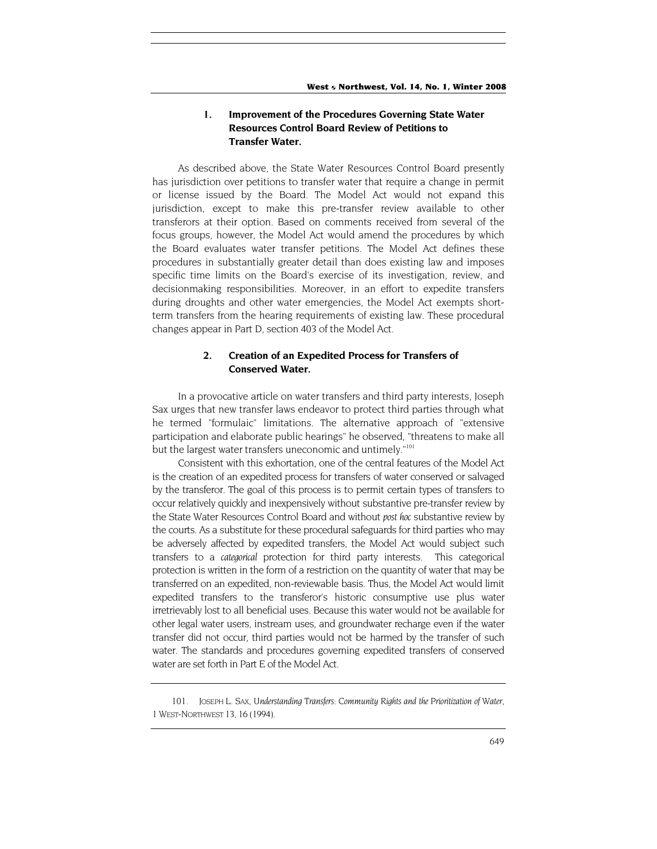## **1. Improvement of the Procedures Governing State Water Resources Control Board Review of Petitions to Transfer Water.**

As described above, the State Water Resources Control Board presently has jurisdiction over petitions to transfer water that require a change in permit or license issued by the Board. The Model Act would not expand this jurisdiction, except to make this pre-transfer review available to other transferors at their option. Based on comments received from several of the focus groups, however, the Model Act would amend the procedures by which the Board evaluates water transfer petitions. The Model Act defines these procedures in substantially greater detail than does existing law and imposes specific time limits on the Board's exercise of its investigation, review, and decisionmaking responsibilities. Moreover, in an effort to expedite transfers during droughts and other water emergencies, the Model Act exempts shortterm transfers from the hearing requirements of existing law. These procedural changes appear in Part D, section 403 of the Model Act.

## **2. Creation of an Expedited Process for Transfers of Conserved Water.**

In a provocative article on water transfers and third party interests, Joseph Sax urges that new transfer laws endeavor to protect third parties through what he termed "formulaic" limitations. The alternative approach of "extensive participation and elaborate public hearings" he observed, "threatens to make all but the largest water transfers uneconomic and untimely."<sup>[101](#page-27-0)</sup>

Consistent with this exhortation, one of the central features of the Model Act is the creation of an expedited process for transfers of water conserved or salvaged by the transferor. The goal of this process is to permit certain types of transfers to occur relatively quickly and inexpensively without substantive pre-transfer review by the State Water Resources Control Board and without *post hoc* substantive review by the courts. As a substitute for these procedural safeguards for third parties who may be adversely affected by expedited transfers, the Model Act would subject such transfers to a *categorical* protection for third party interests. This categorical protection is written in the form of a restriction on the quantity of water that may be transferred on an expedited, non-reviewable basis. Thus, the Model Act would limit expedited transfers to the transferor's historic consumptive use plus water irretrievably lost to all beneficial uses. Because this water would not be available for other legal water users, instream uses, and groundwater recharge even if the water transfer did not occur, third parties would not be harmed by the transfer of such water. The standards and procedures governing expedited transfers of conserved water are set forth in Part E of the Model Act.

<span id="page-27-0"></span><sup>101.</sup> JOSEPH L. SAX, *Understanding Transfers: Community Rights and the Prioritization of Water,* 1 WEST-NORTHWEST 13, 16 (1994).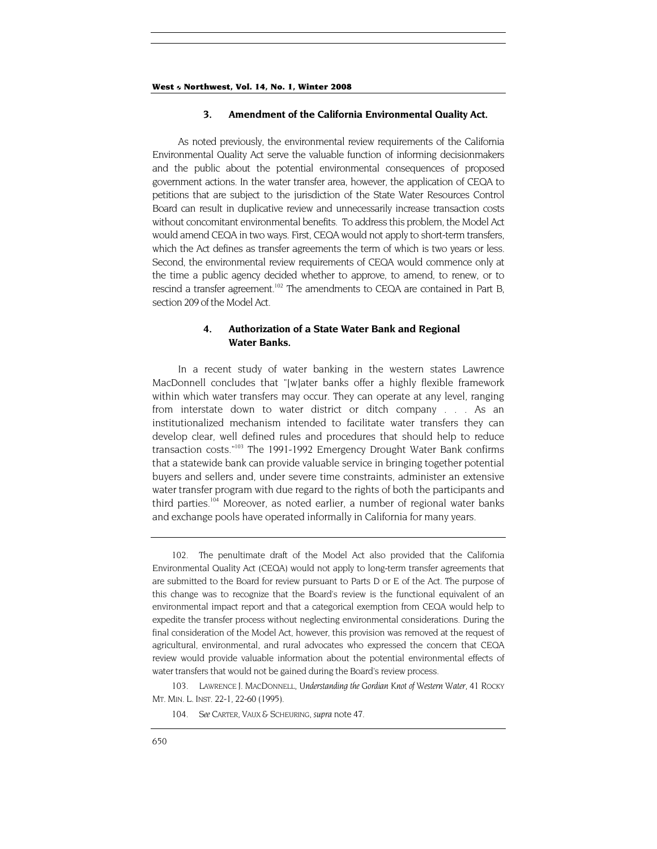#### **3. Amendment of the California Environmental Quality Act.**

As noted previously, the environmental review requirements of the California Environmental Quality Act serve the valuable function of informing decisionmakers and the public about the potential environmental consequences of proposed government actions. In the water transfer area, however, the application of CEQA to petitions that are subject to the jurisdiction of the State Water Resources Control Board can result in duplicative review and unnecessarily increase transaction costs without concomitant environmental benefits. To address this problem, the Model Act would amend CEQA in two ways. First, CEQA would not apply to short-term transfers, which the Act defines as transfer agreements the term of which is two years or less. Second, the environmental review requirements of CEQA would commence only at the time a public agency decided whether to approve, to amend, to renew, or to rescind a transfer agreement.<sup>102</sup> The amendments to CEQA are contained in Part B, section 209 of the Model Act.

## **4. Authorization of a State Water Bank and Regional Water Banks.**

In a recent study of water banking in the western states Lawrence MacDonnell concludes that "[w]ater banks offer a highly flexible framework within which water transfers may occur. They can operate at any level, ranging from interstate down to water district or ditch company . . . As an institutionalized mechanism intended to facilitate water transfers they can develop clear, well defined rules and procedures that should help to reduce transaction costs.["103](#page-28-1) The 1991-1992 Emergency Drought Water Bank confirms that a statewide bank can provide valuable service in bringing together potential buyers and sellers and, under severe time constraints, administer an extensive water transfer program with due regard to the rights of both the participants and third parties.<sup>104</sup> Moreover, as noted earlier, a number of regional water banks and exchange pools have operated informally in California for many years.

<span id="page-28-0"></span><sup>102.</sup> The penultimate draft of the Model Act also provided that the California Environmental Quality Act (CEQA) would not apply to long-term transfer agreements that are submitted to the Board for review pursuant to Parts D or E of the Act. The purpose of this change was to recognize that the Board's review is the functional equivalent of an environmental impact report and that a categorical exemption from CEQA would help to expedite the transfer process without neglecting environmental considerations. During the final consideration of the Model Act, however, this provision was removed at the request of agricultural, environmental, and rural advocates who expressed the concern that CEQA review would provide valuable information about the potential environmental effects of water transfers that would not be gained during the Board's review process.

<span id="page-28-1"></span><sup>103.</sup> LAWRENCE J. MACDONNELL, *Understanding the Gordian Knot of Western Water,* 41 ROCKY MT. MIN. L. INST. 22-1, 22-60 (1995).

<span id="page-28-2"></span><sup>104</sup>*. See* CARTER, VAUX & SCHEURING, *supra* note 47.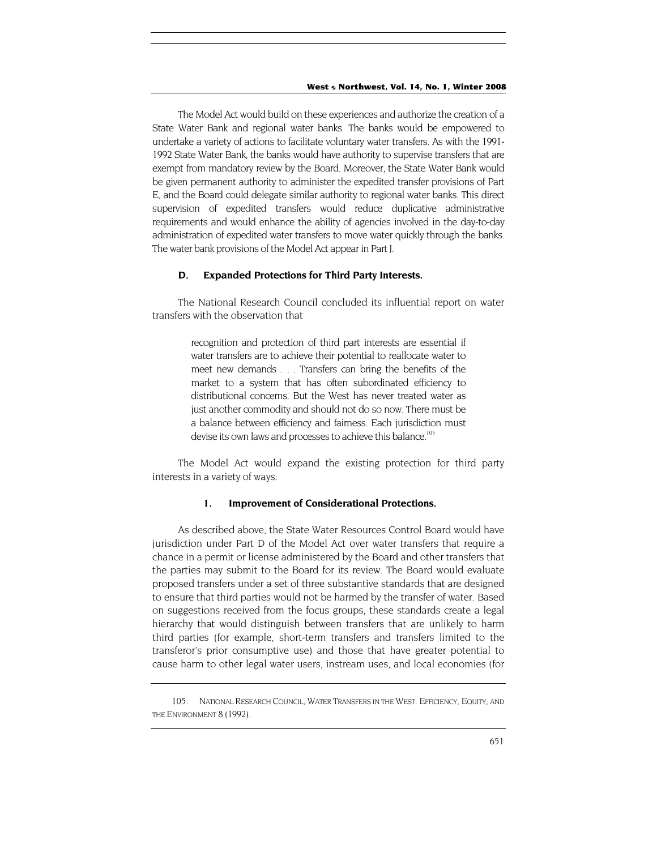The Model Act would build on these experiences and authorize the creation of a State Water Bank and regional water banks. The banks would be empowered to undertake a variety of actions to facilitate voluntary water transfers. As with the 1991- 1992 State Water Bank, the banks would have authority to supervise transfers that are exempt from mandatory review by the Board. Moreover, the State Water Bank would be given permanent authority to administer the expedited transfer provisions of Part E, and the Board could delegate similar authority to regional water banks. This direct supervision of expedited transfers would reduce duplicative administrative requirements and would enhance the ability of agencies involved in the day-to-day administration of expedited water transfers to move water quickly through the banks. The water bank provisions of the Model Act appear in Part J.

## **D. Expanded Protections for Third Party Interests.**

The National Research Council concluded its influential report on water transfers with the observation that

> recognition and protection of third part interests are essential if water transfers are to achieve their potential to reallocate water to meet new demands . . . Transfers can bring the benefits of the market to a system that has often subordinated efficiency to distributional concerns. But the West has never treated water as just another commodity and should not do so now. There must be a balance between efficiency and fairness. Each jurisdiction must devise its own laws and processes to achieve this balance.<sup>[105](#page-29-0)</sup>

The Model Act would expand the existing protection for third party interests in a variety of ways:

## **1. Improvement of Considerational Protections.**

As described above, the State Water Resources Control Board would have jurisdiction under Part D of the Model Act over water transfers that require a chance in a permit or license administered by the Board and other transfers that the parties may submit to the Board for its review. The Board would evaluate proposed transfers under a set of three substantive standards that are designed to ensure that third parties would not be harmed by the transfer of water. Based on suggestions received from the focus groups, these standards create a legal hierarchy that would distinguish between transfers that are unlikely to harm third parties (for example, short-term transfers and transfers limited to the transferor's prior consumptive use) and those that have greater potential to cause harm to other legal water users, instream uses, and local economies (for

<span id="page-29-0"></span><sup>105.</sup> NATIONAL RESEARCH COUNCIL, WATER TRANSFERS IN THE WEST: EFFICIENCY, EQUITY, AND THE ENVIRONMENT 8 (1992).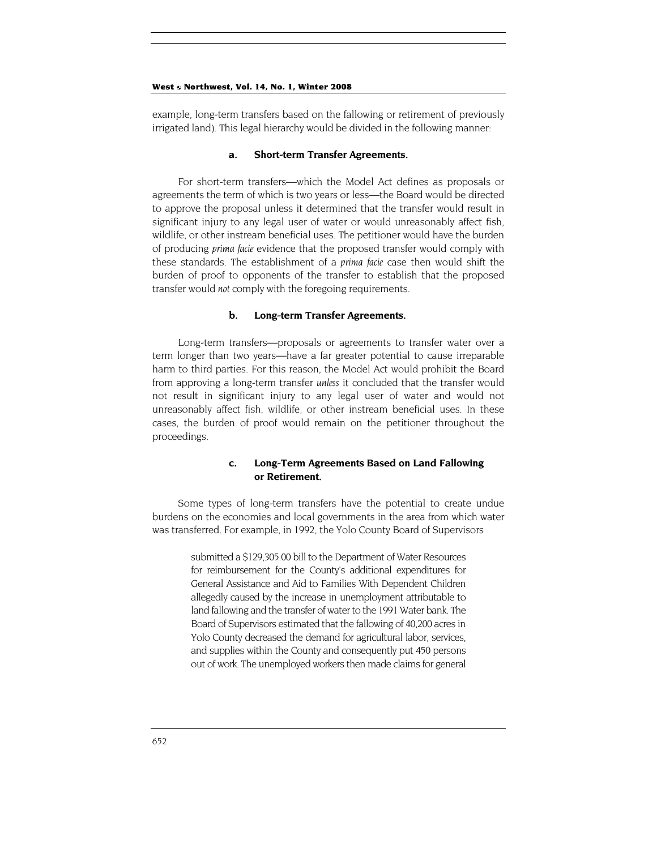example, long-term transfers based on the fallowing or retirement of previously irrigated land). This legal hierarchy would be divided in the following manner:

## **a. Short-term Transfer Agreements.**

For short-term transfers—which the Model Act defines as proposals or agreements the term of which is two years or less—the Board would be directed to approve the proposal unless it determined that the transfer would result in significant injury to any legal user of water or would unreasonably affect fish, wildlife, or other instream beneficial uses. The petitioner would have the burden of producing *prima facie* evidence that the proposed transfer would comply with these standards. The establishment of a *prima facie* case then would shift the burden of proof to opponents of the transfer to establish that the proposed transfer would *not* comply with the foregoing requirements.

## **b. Long-term Transfer Agreements.**

Long-term transfers—proposals or agreements to transfer water over a term longer than two years—have a far greater potential to cause irreparable harm to third parties. For this reason, the Model Act would prohibit the Board from approving a long-term transfer *unless* it concluded that the transfer would not result in significant injury to any legal user of water and would not unreasonably affect fish, wildlife, or other instream beneficial uses. In these cases, the burden of proof would remain on the petitioner throughout the proceedings.

## **c. Long-Term Agreements Based on Land Fallowing or Retirement.**

Some types of long-term transfers have the potential to create undue burdens on the economies and local governments in the area from which water was transferred. For example, in 1992, the Yolo County Board of Supervisors

> submitted a \$129,305.00 bill to the Department of Water Resources for reimbursement for the County's additional expenditures for General Assistance and Aid to Families With Dependent Children allegedly caused by the increase in unemployment attributable to land fallowing and the transfer of water to the 1991 Water bank. The Board of Supervisors estimated that the fallowing of 40,200 acres in Yolo County decreased the demand for agricultural labor, services, and supplies within the County and consequently put 450 persons out of work. The unemployed workers then made claims for general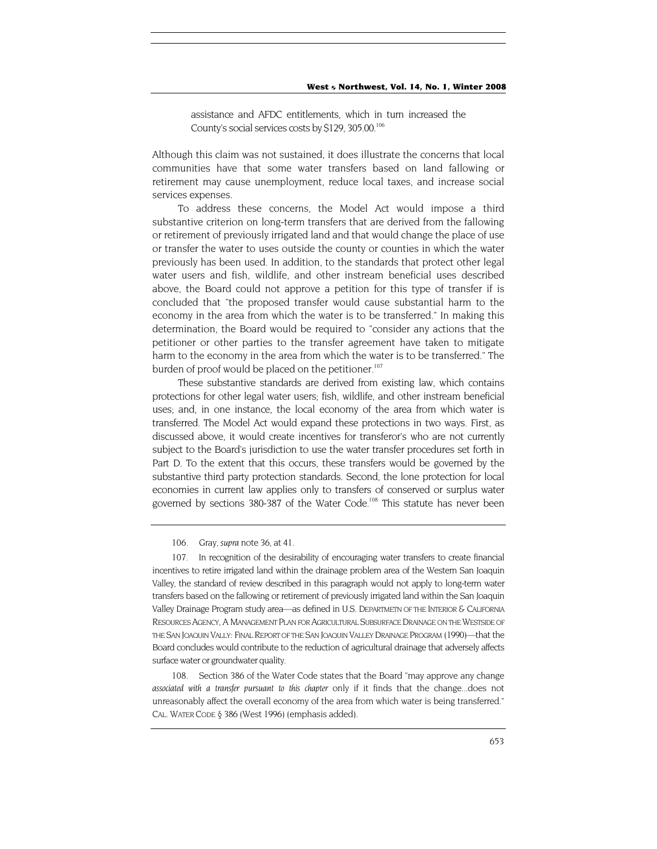assistance and AFDC entitlements, which in turn increased the County's social services costs by  $$129, 305.00$ .<sup>106</sup>

Although this claim was not sustained, it does illustrate the concerns that local communities have that some water transfers based on land fallowing or retirement may cause unemployment, reduce local taxes, and increase social services expenses.

To address these concerns, the Model Act would impose a third substantive criterion on long-term transfers that are derived from the fallowing or retirement of previously irrigated land and that would change the place of use or transfer the water to uses outside the county or counties in which the water previously has been used. In addition, to the standards that protect other legal water users and fish, wildlife, and other instream beneficial uses described above, the Board could not approve a petition for this type of transfer if is concluded that "the proposed transfer would cause substantial harm to the economy in the area from which the water is to be transferred." In making this determination, the Board would be required to "consider any actions that the petitioner or other parties to the transfer agreement have taken to mitigate harm to the economy in the area from which the water is to be transferred." The burden of proof would be placed on the petitioner.<sup>[107](#page-31-1)</sup>

These substantive standards are derived from existing law, which contains protections for other legal water users; fish, wildlife, and other instream beneficial uses; and, in one instance, the local economy of the area from which water is transferred. The Model Act would expand these protections in two ways. First, as discussed above, it would create incentives for transferor's who are not currently subject to the Board's jurisdiction to use the water transfer procedures set forth in Part D. To the extent that this occurs, these transfers would be governed by the substantive third party protection standards. Second, the lone protection for local economies in current law applies only to transfers of conserved or surplus water governed by sections 380-387 of the Water Code.<sup>108</sup> This statute has never been

106. Gray, *supra* note 36, at 41.

<span id="page-31-1"></span><span id="page-31-0"></span>107. In recognition of the desirability of encouraging water transfers to create financial incentives to retire irrigated land within the drainage problem area of the Western San Joaquin Valley, the standard of review described in this paragraph would not apply to long-term water transfers based on the fallowing or retirement of previously irrigated land within the San Joaquin Valley Drainage Program study area—as defined in U.S. DEPARTMETN OF THE INTERIOR & CALIFORNIA RESOURCES AGENCY, A MANAGEMENT PLAN FOR AGRICULTURAL SUBSURFACE DRAINAGE ON THE WESTSIDE OF THE SAN JOAQUIN VALLY: FINAL REPORT OF THE SAN JOAQUIN VALLEY DRAINAGE PROGRAM (1990)—that the Board concludes would contribute to the reduction of agricultural drainage that adversely affects surface water or groundwater quality.

<span id="page-31-2"></span>108. Section 386 of the Water Code states that the Board "may approve any change *associated with a transfer pursuant to this chapter* only if it finds that the change...does not unreasonably affect the overall economy of the area from which water is being transferred." CAL. WATER CODE § 386 (West 1996) (emphasis added).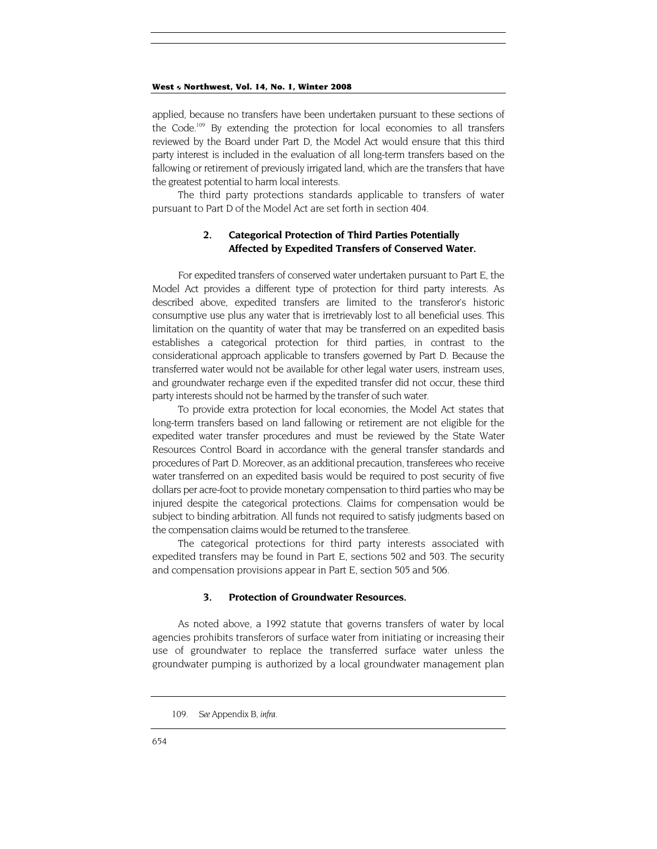applied, because no transfers have been undertaken pursuant to these sections of the Code.<sup>109</sup> By extending the protection for local economies to all transfers reviewed by the Board under Part D, the Model Act would ensure that this third party interest is included in the evaluation of all long-term transfers based on the fallowing or retirement of previously irrigated land, which are the transfers that have the greatest potential to harm local interests.

The third party protections standards applicable to transfers of water pursuant to Part D of the Model Act are set forth in section 404.

## **2. Categorical Protection of Third Parties Potentially Affected by Expedited Transfers of Conserved Water.**

For expedited transfers of conserved water undertaken pursuant to Part E, the Model Act provides a different type of protection for third party interests. As described above, expedited transfers are limited to the transferor's historic consumptive use plus any water that is irretrievably lost to all beneficial uses. This limitation on the quantity of water that may be transferred on an expedited basis establishes a categorical protection for third parties, in contrast to the considerational approach applicable to transfers governed by Part D. Because the transferred water would not be available for other legal water users, instream uses, and groundwater recharge even if the expedited transfer did not occur, these third party interests should not be harmed by the transfer of such water.

To provide extra protection for local economies, the Model Act states that long-term transfers based on land fallowing or retirement are not eligible for the expedited water transfer procedures and must be reviewed by the State Water Resources Control Board in accordance with the general transfer standards and procedures of Part D. Moreover, as an additional precaution, transferees who receive water transferred on an expedited basis would be required to post security of five dollars per acre-foot to provide monetary compensation to third parties who may be injured despite the categorical protections. Claims for compensation would be subject to binding arbitration. All funds not required to satisfy judgments based on the compensation claims would be returned to the transferee.

The categorical protections for third party interests associated with expedited transfers may be found in Part E, sections 502 and 503. The security and compensation provisions appear in Part E, section 505 and 506.

## **3. Protection of Groundwater Resources.**

As noted above, a 1992 statute that governs transfers of water by local agencies prohibits transferors of surface water from initiating or increasing their use of groundwater to replace the transferred surface water unless the groundwater pumping is authorized by a local groundwater management plan

<span id="page-32-0"></span><sup>109</sup>*. See* Appendix B, *infra.*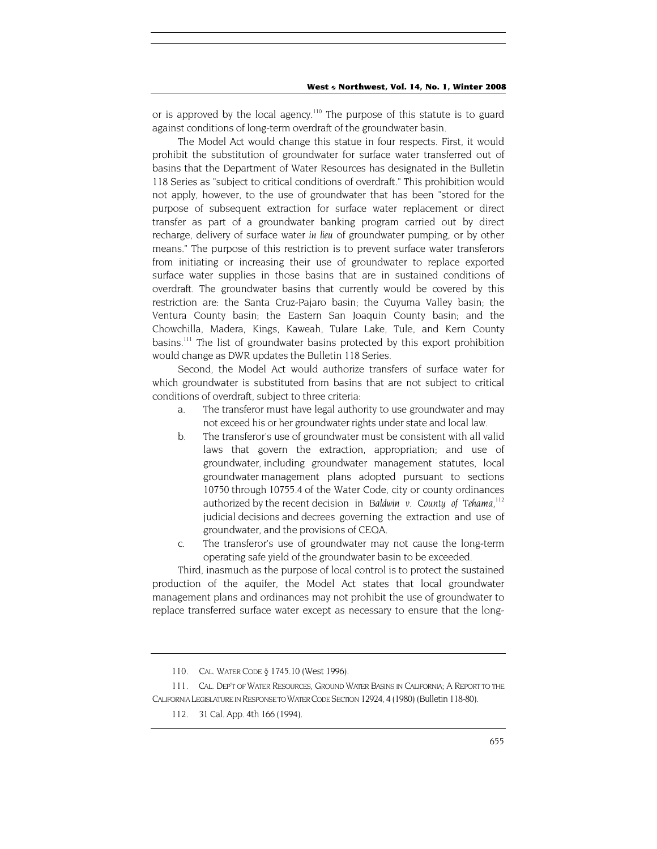or is approved by the local agency.<sup>110</sup> The purpose of this statute is to guard against conditions of long-term overdraft of the groundwater basin.

The Model Act would change this statue in four respects. First, it would prohibit the substitution of groundwater for surface water transferred out of basins that the Department of Water Resources has designated in the Bulletin 118 Series as "subject to critical conditions of overdraft." This prohibition would not apply, however, to the use of groundwater that has been "stored for the purpose of subsequent extraction for surface water replacement or direct transfer as part of a groundwater banking program carried out by direct recharge, delivery of surface water *in lieu* of groundwater pumping, or by other means." The purpose of this restriction is to prevent surface water transferors from initiating or increasing their use of groundwater to replace exported surface water supplies in those basins that are in sustained conditions of overdraft. The groundwater basins that currently would be covered by this restriction are: the Santa Cruz-Pajaro basin; the Cuyuma Valley basin; the Ventura County basin; the Eastern San Joaquin County basin; and the Chowchilla, Madera, Kings, Kaweah, Tulare Lake, Tule, and Kern County basins.<sup>111</sup> The list of groundwater basins protected by this export prohibition would change as DWR updates the Bulletin 118 Series.

Second, the Model Act would authorize transfers of surface water for which groundwater is substituted from basins that are not subject to critical conditions of overdraft, subject to three criteria:

- a. The transferor must have legal authority to use groundwater and may not exceed his or her groundwater rights under state and local law.
- b. The transferor's use of groundwater must be consistent with all valid laws that govern the extraction, appropriation; and use of groundwater, including groundwater management statutes, local groundwater management plans adopted pursuant to sections 10750 through 10755.4 of the Water Code, city or county ordinances authorized by the recent decision in *Baldwin v. County of Tehama*, [112](#page-33-2) judicial decisions and decrees governing the extraction and use of groundwater, and the provisions of CEQA.
- c. The transferor's use of groundwater may not cause the long-term operating safe yield of the groundwater basin to be exceeded.

Third, inasmuch as the purpose of local control is to protect the sustained production of the aquifer, the Model Act states that local groundwater management plans and ordinances may not prohibit the use of groundwater to replace transferred surface water except as necessary to ensure that the long-

<sup>110.</sup> CAL. WATER CODE  $\delta$  1745.10 (West 1996).

<span id="page-33-1"></span><span id="page-33-0"></span><sup>111.</sup> CAL. DEP'T OF WATER RESOURCES, GROUND WATER BASINS IN CALIFORNIA; A REPORT TO THE CALIFORNIA LEGISLATURE IN RESPONSE TO WATER CODE SECTION 12924, 4 (1980) (Bulletin 118-80).

<span id="page-33-2"></span><sup>112. 31</sup> Cal. App. 4th 166 (1994).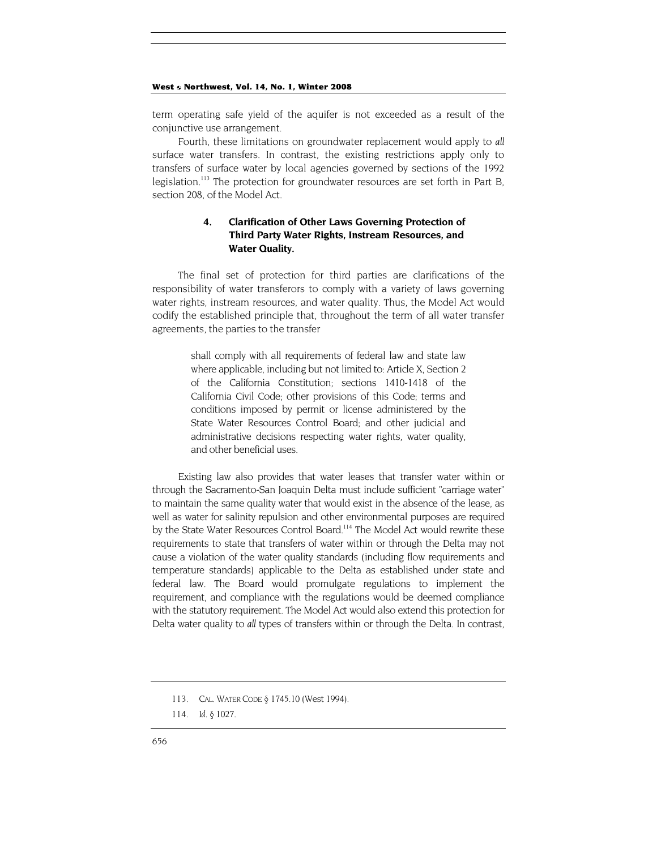term operating safe yield of the aquifer is not exceeded as a result of the conjunctive use arrangement.

Fourth, these limitations on groundwater replacement would apply to *all* surface water transfers. In contrast, the existing restrictions apply only to transfers of surface water by local agencies governed by sections of the 1992 legislation.<sup>113</sup> The protection for groundwater resources are set forth in Part B. section 208, of the Model Act.

## **4. Clarification of Other Laws Governing Protection of Third Party Water Rights, Instream Resources, and Water Quality.**

The final set of protection for third parties are clarifications of the responsibility of water transferors to comply with a variety of laws governing water rights, instream resources, and water quality. Thus, the Model Act would codify the established principle that, throughout the term of all water transfer agreements, the parties to the transfer

> shall comply with all requirements of federal law and state law where applicable, including but not limited to: Article X, Section 2 of the California Constitution; sections 1410-1418 of the California Civil Code; other provisions of this Code; terms and conditions imposed by permit or license administered by the State Water Resources Control Board; and other judicial and administrative decisions respecting water rights, water quality, and other beneficial uses.

Existing law also provides that water leases that transfer water within or through the Sacramento-San Joaquin Delta must include sufficient "carriage water" to maintain the same quality water that would exist in the absence of the lease, as well as water for salinity repulsion and other environmental purposes are required by the State Water Resources Control Board.<sup>114</sup> The Model Act would rewrite these requirements to state that transfers of water within or through the Delta may not cause a violation of the water quality standards (including flow requirements and temperature standards) applicable to the Delta as established under state and federal law. The Board would promulgate regulations to implement the requirement, and compliance with the regulations would be deemed compliance with the statutory requirement. The Model Act would also extend this protection for Delta water quality to *all* types of transfers within or through the Delta. In contrast,

<span id="page-34-0"></span><sup>113.</sup> CAL. WATER CODE § 1745.10 (West 1994).

<span id="page-34-1"></span><sup>114</sup>*. Id.* § 1027.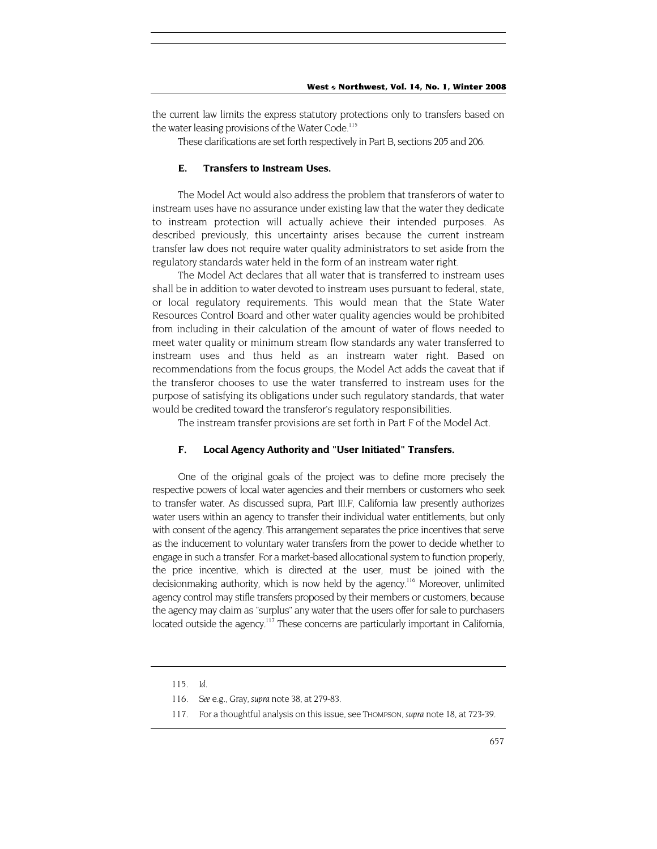the current law limits the express statutory protections only to transfers based on the water leasing provisions of the Water Code.<sup>115</sup>

These clarifications are set forth respectively in Part B, sections 205 and 206.

## **E. Transfers to Instream Uses.**

The Model Act would also address the problem that transferors of water to instream uses have no assurance under existing law that the water they dedicate to instream protection will actually achieve their intended purposes. As described previously, this uncertainty arises because the current instream transfer law does not require water quality administrators to set aside from the regulatory standards water held in the form of an instream water right.

The Model Act declares that all water that is transferred to instream uses shall be in addition to water devoted to instream uses pursuant to federal, state, or local regulatory requirements. This would mean that the State Water Resources Control Board and other water quality agencies would be prohibited from including in their calculation of the amount of water of flows needed to meet water quality or minimum stream flow standards any water transferred to instream uses and thus held as an instream water right. Based on recommendations from the focus groups, the Model Act adds the caveat that if the transferor chooses to use the water transferred to instream uses for the purpose of satisfying its obligations under such regulatory standards, that water would be credited toward the transferor's regulatory responsibilities.

The instream transfer provisions are set forth in Part F of the Model Act.

## **F. Local Agency Authority and "User Initiated" Transfers.**

One of the original goals of the project was to define more precisely the respective powers of local water agencies and their members or customers who seek to transfer water. As discussed supra, Part III.F, California law presently authorizes water users within an agency to transfer their individual water entitlements, but only with consent of the agency. This arrangement separates the price incentives that serve as the inducement to voluntary water transfers from the power to decide whether to engage in such a transfer. For a market-based allocational system to function properly, the price incentive, which is directed at the user, must be joined with the decisionmaking authority, which is now held by the agency.<sup>116</sup> Moreover, unlimited agency control may stifle transfers proposed by their members or customers, because the agency may claim as "surplus" any water that the users offer for sale to purchasers located outside the agency.<sup>117</sup> These concerns are particularly important in California,

<span id="page-35-0"></span><sup>115</sup>*. Id.*

<span id="page-35-1"></span><sup>116</sup>*. See* e.g., Gray, *supra* note 38, at 279-83.

<span id="page-35-2"></span><sup>117.</sup> For a thoughtful analysis on this issue, see THOMPSON, *supra* note 18, at 723-39.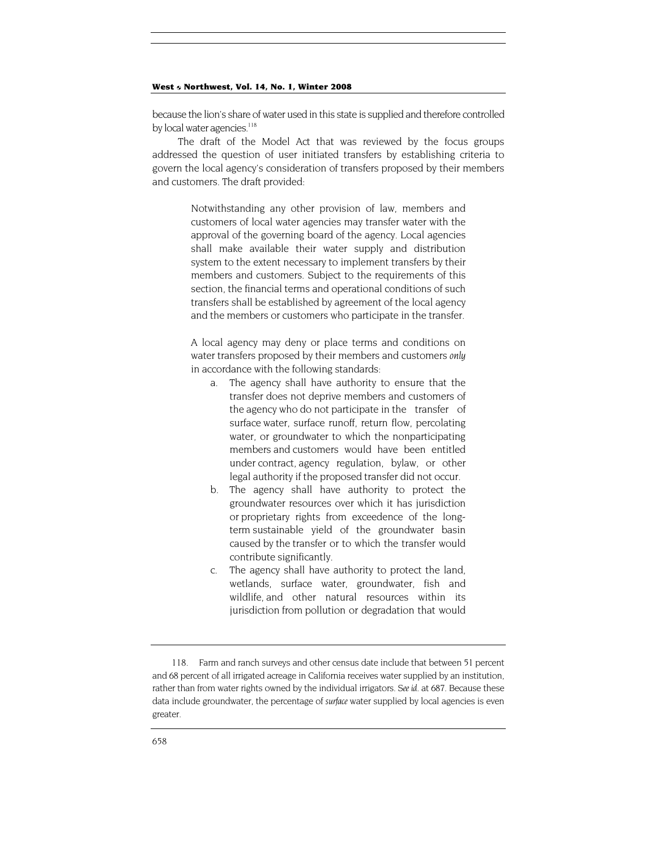because the lion's share of water used in this state is supplied and therefore controlled by local water agencies.<sup>118</sup>

The draft of the Model Act that was reviewed by the focus groups addressed the question of user initiated transfers by establishing criteria to govern the local agency's consideration of transfers proposed by their members and customers. The draft provided:

> Notwithstanding any other provision of law, members and customers of local water agencies may transfer water with the approval of the governing board of the agency. Local agencies shall make available their water supply and distribution system to the extent necessary to implement transfers by their members and customers. Subject to the requirements of this section, the financial terms and operational conditions of such transfers shall be established by agreement of the local agency and the members or customers who participate in the transfer.

> A local agency may deny or place terms and conditions on water transfers proposed by their members and customers *only* in accordance with the following standards:

- a. The agency shall have authority to ensure that the transfer does not deprive members and customers of the agency who do not participate in the transfer of surface water, surface runoff, return flow, percolating water, or groundwater to which the nonparticipating members and customers would have been entitled under contract, agency regulation, bylaw, or other legal authority if the proposed transfer did not occur.
- b. The agency shall have authority to protect the groundwater resources over which it has jurisdiction or proprietary rights from exceedence of the longterm sustainable yield of the groundwater basin caused by the transfer or to which the transfer would contribute significantly.
- c. The agency shall have authority to protect the land, wetlands, surface water, groundwater, fish and wildlife, and other natural resources within its jurisdiction from pollution or degradation that would

<span id="page-36-0"></span><sup>118.</sup> Farm and ranch surveys and other census date include that between 51 percent and 68 percent of all irrigated acreage in California receives water supplied by an institution, rather than from water rights owned by the individual irrigators. *See id.* at 687. Because these data include groundwater, the percentage of *surface* water supplied by local agencies is even greater.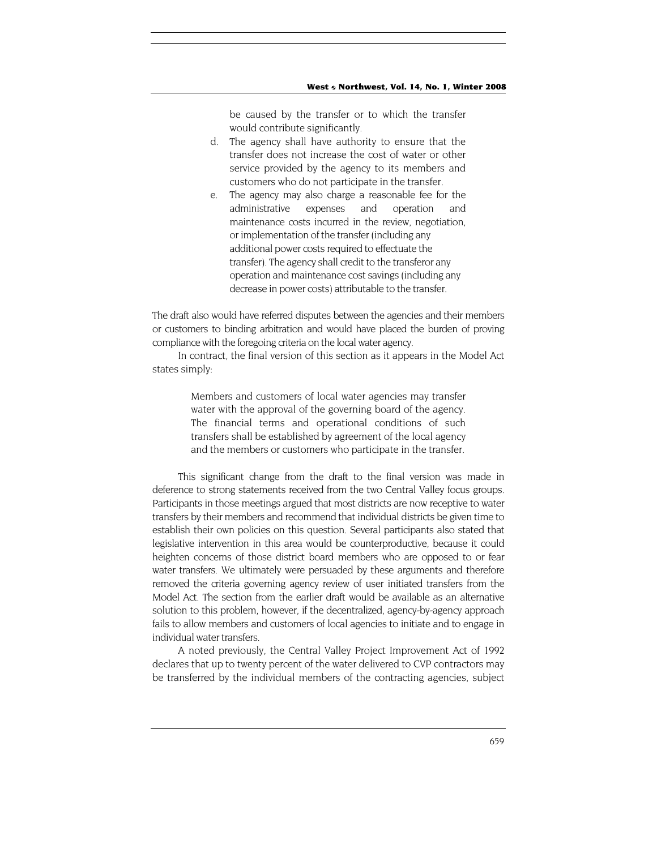be caused by the transfer or to which the transfer would contribute significantly.

- d. The agency shall have authority to ensure that the transfer does not increase the cost of water or other service provided by the agency to its members and customers who do not participate in the transfer.
- e. The agency may also charge a reasonable fee for the administrative expenses and operation and maintenance costs incurred in the review, negotiation, or implementation of the transfer (including any additional power costs required to effectuate the transfer). The agency shall credit to the transferor any operation and maintenance cost savings (including any decrease in power costs) attributable to the transfer.

The draft also would have referred disputes between the agencies and their members or customers to binding arbitration and would have placed the burden of proving compliance with the foregoing criteria on the local water agency.

In contract, the final version of this section as it appears in the Model Act states simply:

> Members and customers of local water agencies may transfer water with the approval of the governing board of the agency. The financial terms and operational conditions of such transfers shall be established by agreement of the local agency and the members or customers who participate in the transfer.

This significant change from the draft to the final version was made in deference to strong statements received from the two Central Valley focus groups. Participants in those meetings argued that most districts are now receptive to water transfers by their members and recommend that individual districts be given time to establish their own policies on this question. Several participants also stated that legislative intervention in this area would be counterproductive, because it could heighten concerns of those district board members who are opposed to or fear water transfers. We ultimately were persuaded by these arguments and therefore removed the criteria governing agency review of user initiated transfers from the Model Act. The section from the earlier draft would be available as an alternative solution to this problem, however, if the decentralized, agency-by-agency approach fails to allow members and customers of local agencies to initiate and to engage in individual water transfers.

A noted previously, the Central Valley Project Improvement Act of 1992 declares that up to twenty percent of the water delivered to CVP contractors may be transferred by the individual members of the contracting agencies, subject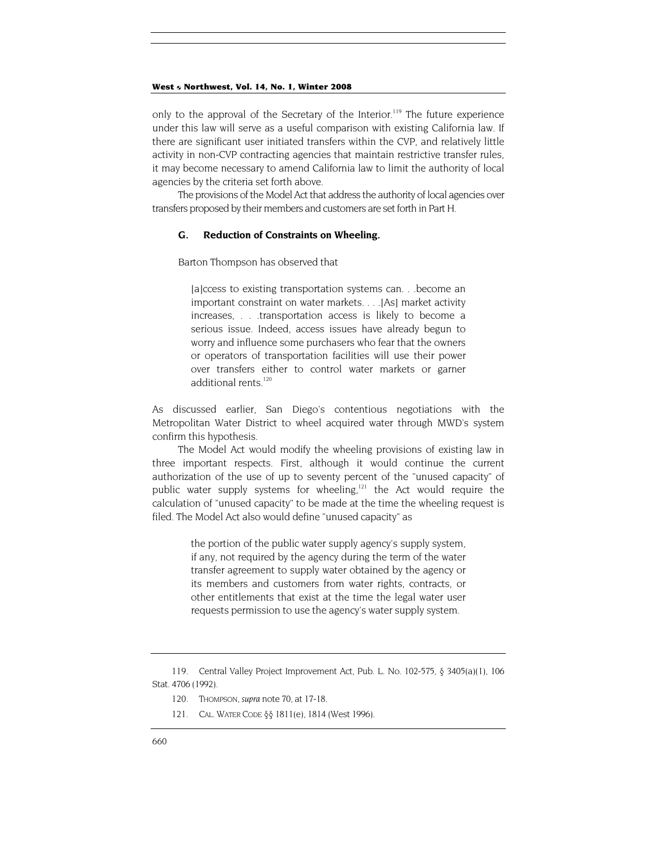only to the approval of the Secretary of the Interior.<sup>119</sup> The future experience under this law will serve as a useful comparison with existing California law. If there are significant user initiated transfers within the CVP, and relatively little activity in non-CVP contracting agencies that maintain restrictive transfer rules, it may become necessary to amend California law to limit the authority of local agencies by the criteria set forth above.

The provisions of the Model Act that address the authority of local agencies over transfers proposed by their members and customers are set forth in Part H.

## **G. Reduction of Constraints on Wheeling.**

Barton Thompson has observed that

[a]ccess to existing transportation systems can. . .become an important constraint on water markets. . . .[As] market activity increases, . . .transportation access is likely to become a serious issue. Indeed, access issues have already begun to worry and influence some purchasers who fear that the owners or operators of transportation facilities will use their power over transfers either to control water markets or garner additional rents.<sup>120</sup>

As discussed earlier, San Diego's contentious negotiations with the Metropolitan Water District to wheel acquired water through MWD's system confirm this hypothesis.

The Model Act would modify the wheeling provisions of existing law in three important respects. First, although it would continue the current authorization of the use of up to seventy percent of the "unused capacity" of public water supply systems for wheeling,<sup>121</sup> the Act would require the calculation of "unused capacity" to be made at the time the wheeling request is filed. The Model Act also would define "unused capacity" as

> the portion of the public water supply agency's supply system, if any, not required by the agency during the term of the water transfer agreement to supply water obtained by the agency or its members and customers from water rights, contracts, or other entitlements that exist at the time the legal water user requests permission to use the agency's water supply system.

<span id="page-38-0"></span><sup>119.</sup> Central Valley Project Improvement Act, Pub. L. No. 102-575, § 3405(a)(1), 106 Stat. 4706 (1992).

<span id="page-38-1"></span><sup>120.</sup> THOMPSON, *supra* note 70, at 17-18.

<span id="page-38-2"></span><sup>121.</sup> CAL. WATER CODE §§ 1811(e), 1814 (West 1996).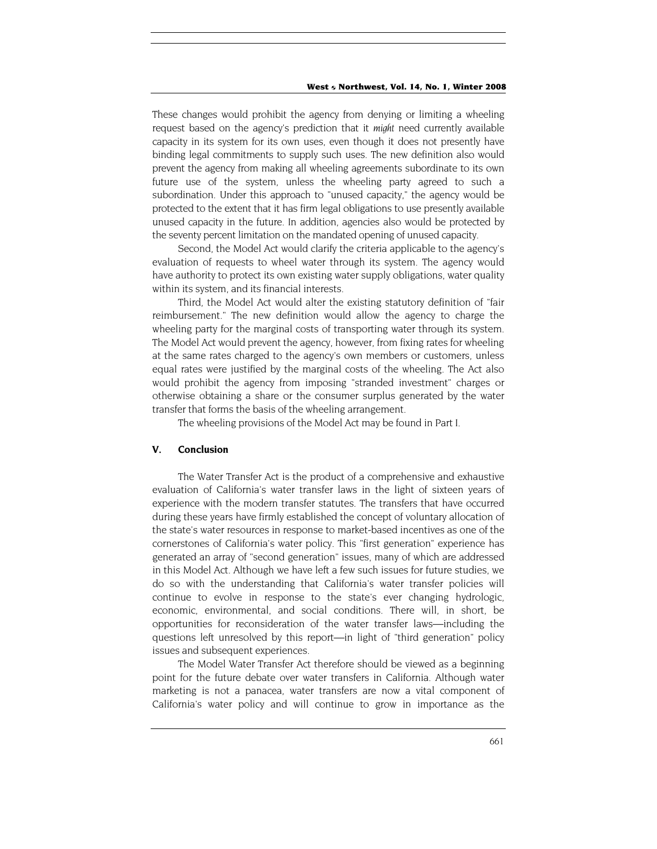These changes would prohibit the agency from denying or limiting a wheeling request based on the agency's prediction that it *might* need currently available capacity in its system for its own uses, even though it does not presently have binding legal commitments to supply such uses. The new definition also would prevent the agency from making all wheeling agreements subordinate to its own future use of the system, unless the wheeling party agreed to such a subordination. Under this approach to "unused capacity," the agency would be protected to the extent that it has firm legal obligations to use presently available unused capacity in the future. In addition, agencies also would be protected by the seventy percent limitation on the mandated opening of unused capacity.

Second, the Model Act would clarify the criteria applicable to the agency's evaluation of requests to wheel water through its system. The agency would have authority to protect its own existing water supply obligations, water quality within its system, and its financial interests.

Third, the Model Act would alter the existing statutory definition of "fair reimbursement." The new definition would allow the agency to charge the wheeling party for the marginal costs of transporting water through its system. The Model Act would prevent the agency, however, from fixing rates for wheeling at the same rates charged to the agency's own members or customers, unless equal rates were justified by the marginal costs of the wheeling. The Act also would prohibit the agency from imposing "stranded investment" charges or otherwise obtaining a share or the consumer surplus generated by the water transfer that forms the basis of the wheeling arrangement.

The wheeling provisions of the Model Act may be found in Part I.

## **V. Conclusion**

The Water Transfer Act is the product of a comprehensive and exhaustive evaluation of California's water transfer laws in the light of sixteen years of experience with the modern transfer statutes. The transfers that have occurred during these years have firmly established the concept of voluntary allocation of the state's water resources in response to market-based incentives as one of the cornerstones of California's water policy. This "first generation" experience has generated an array of "second generation" issues, many of which are addressed in this Model Act. Although we have left a few such issues for future studies, we do so with the understanding that California's water transfer policies will continue to evolve in response to the state's ever changing hydrologic, economic, environmental, and social conditions. There will, in short, be opportunities for reconsideration of the water transfer laws—including the questions left unresolved by this report—in light of "third generation" policy issues and subsequent experiences.

The Model Water Transfer Act therefore should be viewed as a beginning point for the future debate over water transfers in California. Although water marketing is not a panacea, water transfers are now a vital component of California's water policy and will continue to grow in importance as the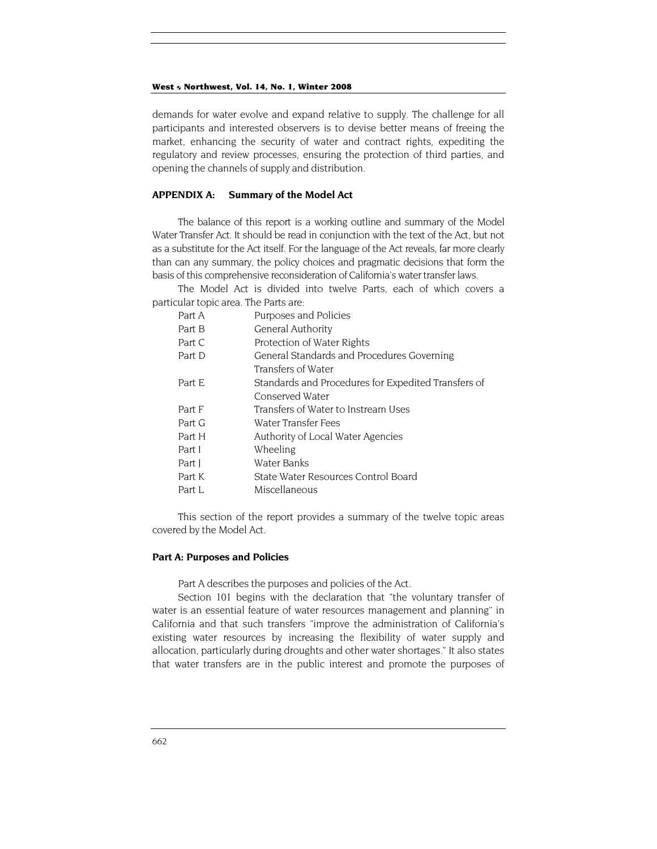demands for water evolve and expand relative to supply. The challenge for all participants and interested observers is to devise better means of freeing the market, enhancing the security of water and contract rights, expediting the regulatory and review processes, ensuring the protection of third parties, and opening the channels of supply and distribution.

## **APPENDIX A: Summary of the Model Act**

The balance of this report is a working outline and summary of the Model Water Transfer Act. It should be read in conjunction with the text of the Act, but not as a substitute for the Act itself. For the language of the Act reveals, far more clearly than can any summary, the policy choices and pragmatic decisions that form the basis of this comprehensive reconsideration of California's water transfer laws.

The Model Act is divided into twelve Parts, each of which covers a particular topic area. The Parts are:

| Part A | Purposes and Policies                               |
|--------|-----------------------------------------------------|
| Part B | General Authority                                   |
| Part C | Protection of Water Rights                          |
| Part D | General Standards and Procedures Governing          |
|        | Transfers of Water                                  |
| Part E | Standards and Procedures for Expedited Transfers of |
|        | Conserved Water                                     |
| Part F | Transfers of Water to Instream Uses                 |
| Part G | Water Transfer Fees                                 |
| Part H | Authority of Local Water Agencies                   |
| Part I | Wheeling                                            |
| Part I | Water Banks                                         |
| Part K | State Water Resources Control Board                 |
| Part L | Miscellaneous                                       |
|        |                                                     |

This section of the report provides a summary of the twelve topic areas covered by the Model Act.

## **Part A: Purposes and Policies**

Part A describes the purposes and policies of the Act.

Section 101 begins with the declaration that "the voluntary transfer of water is an essential feature of water resources management and planning" in California and that such transfers "improve the administration of California's existing water resources by increasing the flexibility of water supply and allocation, particularly during droughts and other water shortages." It also states that water transfers are in the public interest and promote the purposes of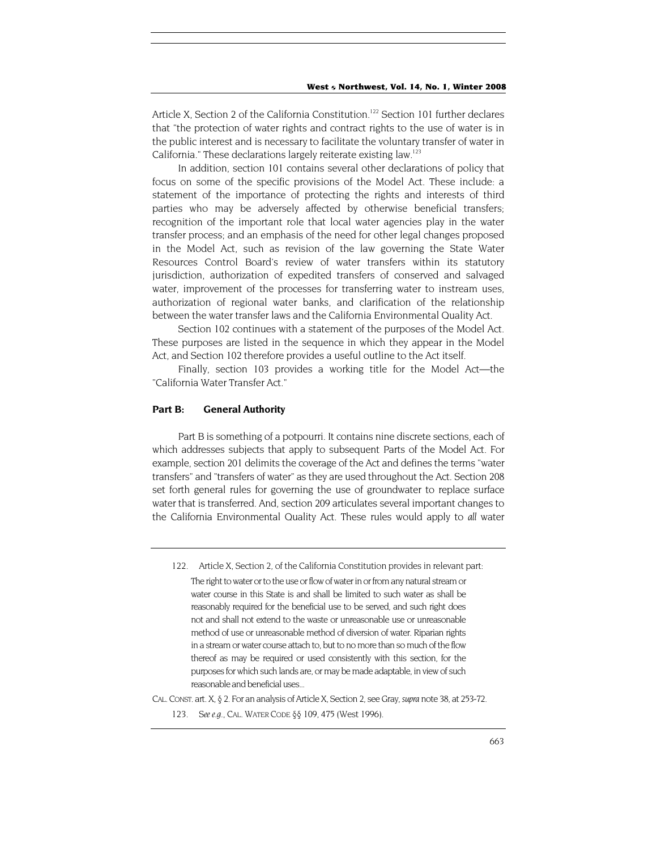Article X, Section 2 of the California Constitution.<sup>122</sup> Section 101 further declares that "the protection of water rights and contract rights to the use of water is in the public interest and is necessary to facilitate the voluntary transfer of water in California." These declarations largely reiterate existing law.<sup>[123](#page-41-1)</sup>

In addition, section 101 contains several other declarations of policy that focus on some of the specific provisions of the Model Act. These include: a statement of the importance of protecting the rights and interests of third parties who may be adversely affected by otherwise beneficial transfers; recognition of the important role that local water agencies play in the water transfer process; and an emphasis of the need for other legal changes proposed in the Model Act, such as revision of the law governing the State Water Resources Control Board's review of water transfers within its statutory jurisdiction, authorization of expedited transfers of conserved and salvaged water, improvement of the processes for transferring water to instream uses, authorization of regional water banks, and clarification of the relationship between the water transfer laws and the California Environmental Quality Act.

Section 102 continues with a statement of the purposes of the Model Act. These purposes are listed in the sequence in which they appear in the Model Act, and Section 102 therefore provides a useful outline to the Act itself.

Finally, section 103 provides a working title for the Model Act—the "California Water Transfer Act."

### **Part B: General Authority**

Part B is something of a potpourri. It contains nine discrete sections, each of which addresses subjects that apply to subsequent Parts of the Model Act. For example, section 201 delimits the coverage of the Act and defines the terms "water transfers" and "transfers of water" as they are used throughout the Act. Section 208 set forth general rules for governing the use of groundwater to replace surface water that is transferred. And, section 209 articulates several important changes to the California Environmental Quality Act. These rules would apply to *all* water

<span id="page-41-1"></span>CAL. CONST. art. X, § 2. For an analysis of Article X, Section 2, see Gray, *supra* note 38, at 253-72.

123*. See e.g.,* CAL. WATER CODE §§ 109, 475 (West 1996).

<span id="page-41-0"></span><sup>122.</sup> Article X, Section 2, of the California Constitution provides in relevant part: The right to water or to the use or flow of water in or from any natural stream or water course in this State is and shall be limited to such water as shall be reasonably required for the beneficial use to be served, and such right does not and shall not extend to the waste or unreasonable use or unreasonable method of use or unreasonable method of diversion of water. Riparian rights in a stream or water course attach to, but to no more than so much of the flow thereof as may be required or used consistently with this section, for the purposes for which such lands are, or may be made adaptable, in view of such reasonable and beneficial uses...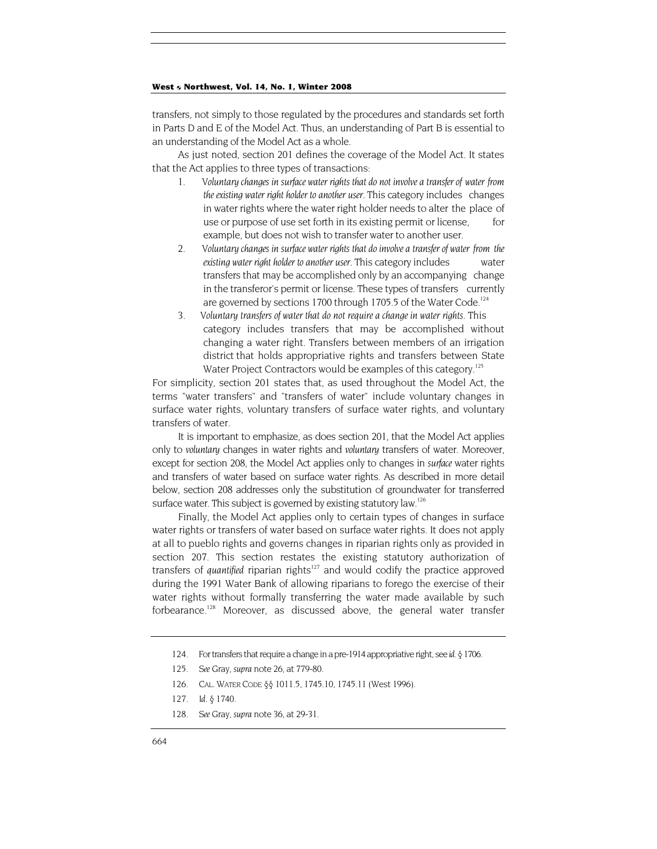transfers, not simply to those regulated by the procedures and standards set forth in Parts D and E of the Model Act. Thus, an understanding of Part B is essential to an understanding of the Model Act as a whole.

As just noted, section 201 defines the coverage of the Model Act. It states that the Act applies to three types of transactions:

- 1. *Voluntary changes in surface water rights that do not involve a transfer of water from the existing water right holder to another user.* This category includes changes in water rights where the water right holder needs to alter the place of use or purpose of use set forth in its existing permit or license, for example, but does not wish to transfer water to another user.
- 2. *Voluntary changes in surface water rights that do involve a transfer of water from the existing water right holder to another user.* This category includes water transfers that may be accomplished only by an accompanying change in the transferor's permit or license. These types of transfers currently are governed by sections 1700 through 1705.5 of the Water Code.<sup>124</sup>
- 3. *Voluntary transfers of water that do not require a change in water rights.* This category includes transfers that may be accomplished without changing a water right. Transfers between members of an irrigation district that holds appropriative rights and transfers between State Water Project Contractors would be examples of this category.<sup>[125](#page-42-1)</sup>

For simplicity, section 201 states that, as used throughout the Model Act, the terms "water transfers" and "transfers of water" include voluntary changes in surface water rights, voluntary transfers of surface water rights, and voluntary transfers of water.

It is important to emphasize, as does section 201, that the Model Act applies only to *voluntary* changes in water rights and *voluntary* transfers of water. Moreover, except for section 208, the Model Act applies only to changes in *surface* water rights and transfers of water based on surface water rights. As described in more detail below, section 208 addresses only the substitution of groundwater for transferred surface water. This subject is governed by existing statutory law.<sup>126</sup>

Finally, the Model Act applies only to certain types of changes in surface water rights or transfers of water based on surface water rights. It does not apply at all to pueblo rights and governs changes in riparian rights only as provided in section 207. This section restates the existing statutory authorization of transfers of *quantified* riparian rights<sup>127</sup> and would codify the practice approved during the 1991 Water Bank of allowing riparians to forego the exercise of their water rights without formally transferring the water made available by such forbearance.<sup>128</sup> Moreover, as discussed above, the general water transfer

<span id="page-42-4"></span>128*. See* Gray, *supra* note 36, at 29-31.

<span id="page-42-0"></span><sup>124.</sup> For transfers that require a change in a pre-1914 appropriative right, see *id.* § 1706.

<span id="page-42-1"></span><sup>125</sup>*. See* Gray, *supra* note 26, at 779-80.

<span id="page-42-2"></span><sup>126.</sup> CAL. WATER CODE §§ 1011.5, 1745.10, 1745.11 (West 1996).

<span id="page-42-3"></span><sup>127</sup>*. Id.* § 1740.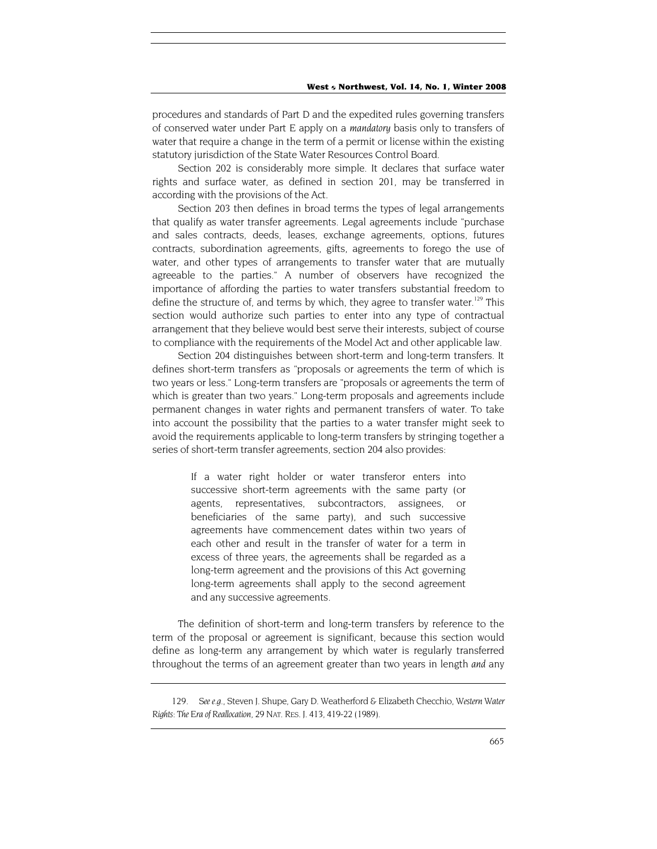procedures and standards of Part D and the expedited rules governing transfers of conserved water under Part E apply on a *mandatory* basis only to transfers of water that require a change in the term of a permit or license within the existing statutory jurisdiction of the State Water Resources Control Board.

Section 202 is considerably more simple. It declares that surface water rights and surface water, as defined in section 201, may be transferred in according with the provisions of the Act.

Section 203 then defines in broad terms the types of legal arrangements that qualify as water transfer agreements. Legal agreements include "purchase and sales contracts, deeds, leases, exchange agreements, options, futures contracts, subordination agreements, gifts, agreements to forego the use of water, and other types of arrangements to transfer water that are mutually agreeable to the parties." A number of observers have recognized the importance of affording the parties to water transfers substantial freedom to define the structure of, and terms by which, they agree to transfer water.<sup>129</sup> This section would authorize such parties to enter into any type of contractual arrangement that they believe would best serve their interests, subject of course to compliance with the requirements of the Model Act and other applicable law.

Section 204 distinguishes between short-term and long-term transfers. It defines short-term transfers as "proposals or agreements the term of which is two years or less." Long-term transfers are "proposals or agreements the term of which is greater than two years." Long-term proposals and agreements include permanent changes in water rights and permanent transfers of water. To take into account the possibility that the parties to a water transfer might seek to avoid the requirements applicable to long-term transfers by stringing together a series of short-term transfer agreements, section 204 also provides:

> If a water right holder or water transferor enters into successive short-term agreements with the same party (or agents, representatives, subcontractors, assignees, beneficiaries of the same party), and such successive agreements have commencement dates within two years of each other and result in the transfer of water for a term in excess of three years, the agreements shall be regarded as a long-term agreement and the provisions of this Act governing long-term agreements shall apply to the second agreement and any successive agreements.

The definition of short-term and long-term transfers by reference to the term of the proposal or agreement is significant, because this section would define as long-term any arrangement by which water is regularly transferred throughout the terms of an agreement greater than two years in length *and* any

<span id="page-43-0"></span><sup>129</sup>*. See e.g.,* Steven J. Shupe, Gary D. Weatherford & Elizabeth Checchio, *Western Water Rights: The Era of Reallocation,* 29 NAT. RES. J. 413, 419-22 (1989).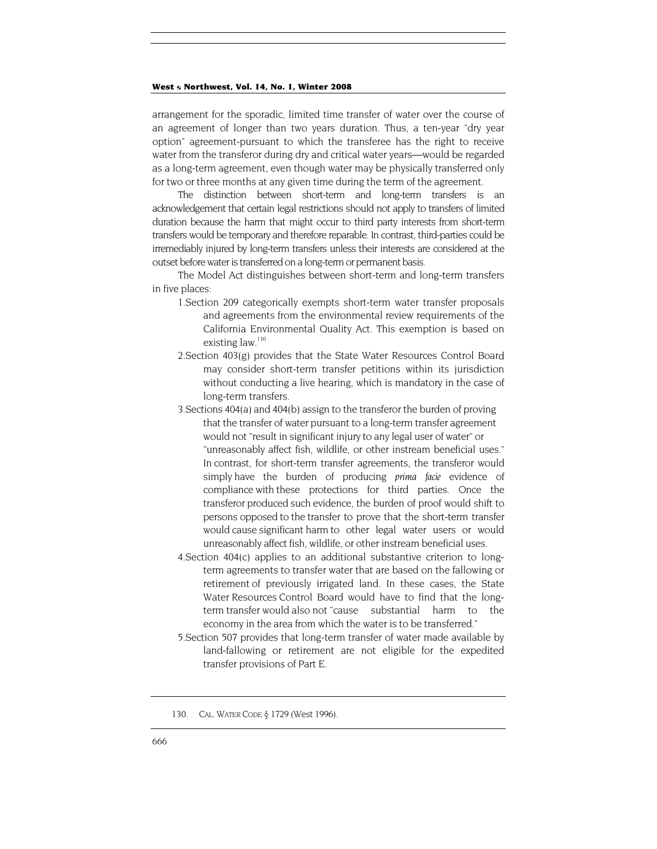arrangement for the sporadic, limited time transfer of water over the course of an agreement of longer than two years duration. Thus, a ten-year "dry year option" agreement-pursuant to which the transferee has the right to receive water from the transferor during dry and critical water years—would be regarded as a long-term agreement, even though water may be physically transferred only for two or three months at any given time during the term of the agreement.

The distinction between short-term and long-term transfers is an acknowledgement that certain legal restrictions should not apply to transfers of limited duration because the harm that might occur to third party interests from short-term transfers would be temporary and therefore reparable. In contrast, third-parties could be irremediably injured by long-term transfers unless their interests are considered at the outset before water is transferred on a long-term or permanent basis.

The Model Act distinguishes between short-term and long-term transfers in five places:

- 1. Section 209 categorically exempts short-term water transfer proposals and agreements from the environmental review requirements of the California Environmental Quality Act. This exemption is based on existing  $law.<sup>130</sup>$
- 2. Section 403(g) provides that the State Water Resources Control Board may consider short-term transfer petitions within its jurisdiction without conducting a live hearing, which is mandatory in the case of long-term transfers.
- 3. Sections 404(a) and 404(b) assign to the transferor the burden of proving that the transfer of water pursuant to a long-term transfer agreement would not "result in significant injury to any legal user of water" or "unreasonably affect fish, wildlife, or other instream beneficial uses." In contrast, for short-term transfer agreements, the transferor would simply have the burden of producing *prima facie* evidence of compliance with these protections for third parties. Once the transferor produced such evidence, the burden of proof would shift to persons opposed to the transfer to prove that the short-term transfer would cause significant harm to other legal water users or would unreasonably affect fish, wildlife, or other instream beneficial uses.
- 4. Section 404(c) applies to an additional substantive criterion to longterm agreements to transfer water that are based on the fallowing or retirement of previously irrigated land. In these cases, the State Water Resources Control Board would have to find that the longterm transfer would also not "cause substantial harm to the economy in the area from which the water is to be transferred."
- 5. Section 507 provides that long-term transfer of water made available by land-fallowing or retirement are not eligible for the expedited transfer provisions of Part E.

<span id="page-44-0"></span>130. CAL. WATER CODE § 1729 (West 1996).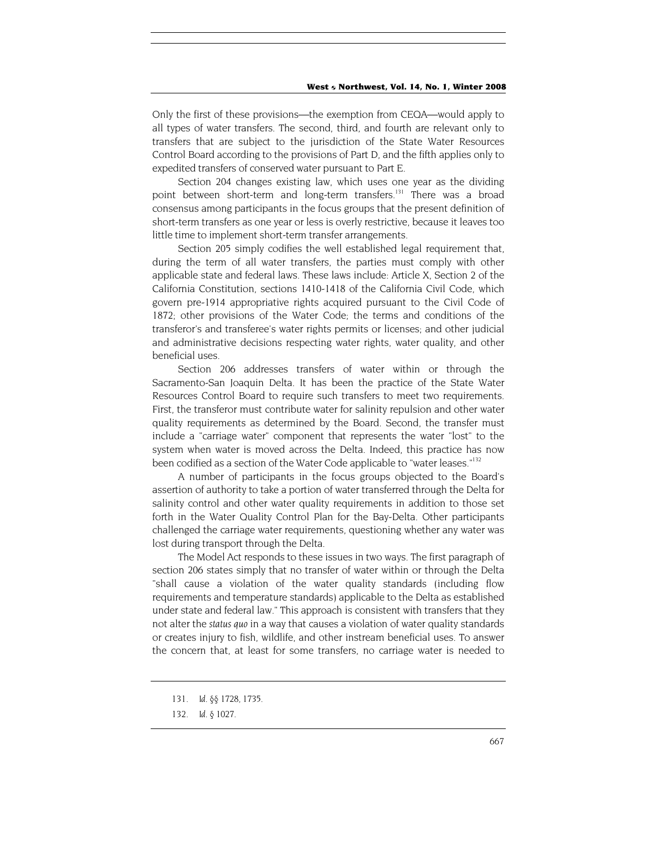Only the first of these provisions—the exemption from CEQA—would apply to all types of water transfers. The second, third, and fourth are relevant only to transfers that are subject to the jurisdiction of the State Water Resources Control Board according to the provisions of Part D, and the fifth applies only to expedited transfers of conserved water pursuant to Part E.

Section 204 changes existing law, which uses one year as the dividing point between short-term and long-term transfers.<sup>131</sup> There was a broad consensus among participants in the focus groups that the present definition of short-term transfers as one year or less is overly restrictive, because it leaves too little time to implement short-term transfer arrangements.

Section 205 simply codifies the well established legal requirement that, during the term of all water transfers, the parties must comply with other applicable state and federal laws. These laws include: Article X, Section 2 of the California Constitution, sections 1410-1418 of the California Civil Code, which govern pre-1914 appropriative rights acquired pursuant to the Civil Code of 1872; other provisions of the Water Code; the terms and conditions of the transferor's and transferee's water rights permits or licenses; and other judicial and administrative decisions respecting water rights, water quality, and other beneficial uses.

Section 206 addresses transfers of water within or through the Sacramento-San Joaquin Delta. It has been the practice of the State Water Resources Control Board to require such transfers to meet two requirements. First, the transferor must contribute water for salinity repulsion and other water quality requirements as determined by the Board. Second, the transfer must include a "carriage water" component that represents the water "lost" to the system when water is moved across the Delta. Indeed, this practice has now been codified as a section of the Water Code applicable to "water leases."<sup>132</sup>

A number of participants in the focus groups objected to the Board's assertion of authority to take a portion of water transferred through the Delta for salinity control and other water quality requirements in addition to those set forth in the Water Quality Control Plan for the Bay-Delta. Other participants challenged the carriage water requirements, questioning whether any water was lost during transport through the Delta.

The Model Act responds to these issues in two ways. The first paragraph of section 206 states simply that no transfer of water within or through the Delta "shall cause a violation of the water quality standards (including flow requirements and temperature standards) applicable to the Delta as established under state and federal law." This approach is consistent with transfers that they not alter the *status quo* in a way that causes a violation of water quality standards or creates injury to fish, wildlife, and other instream beneficial uses. To answer the concern that, at least for some transfers, no carriage water is needed to

<span id="page-45-0"></span><sup>131</sup>*. Id.* §§ 1728, 1735.

<span id="page-45-1"></span><sup>132</sup>*. Id.* § 1027.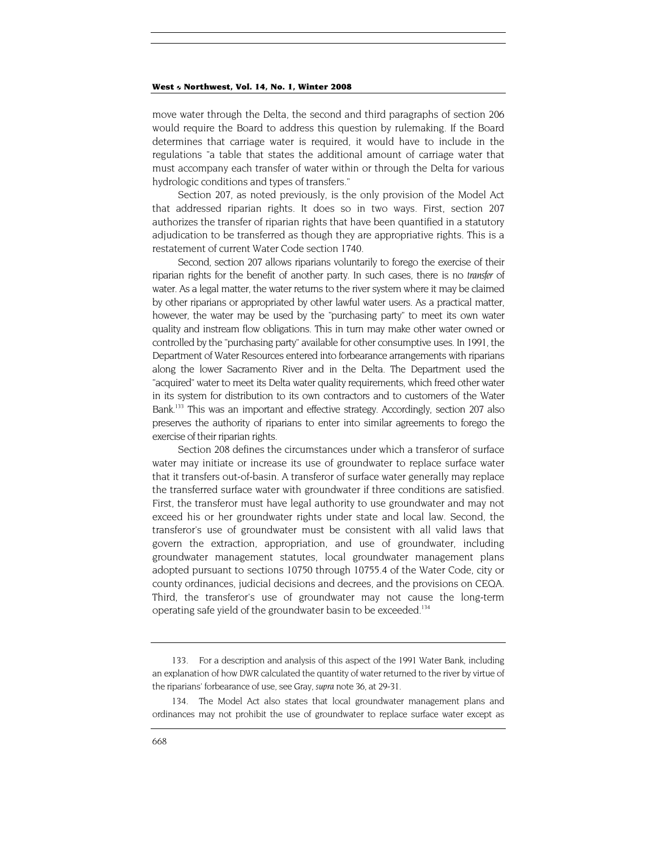<span id="page-46-1"></span>move water through the Delta, the second and third paragraphs of section 206 would require the Board to address this question by rulemaking. If the Board determines that carriage water is required, it would have to include in the regulations "a table that states the additional amount of carriage water that must accompany each transfer of water within or through the Delta for various hydrologic conditions and types of transfers."

Section 207, as noted previously, is the only provision of the Model Act that addressed riparian rights. It does so in two ways. First, section 207 authorizes the transfer of riparian rights that have been quantified in a statutory adjudication to be transferred as though they are appropriative rights. This is a restatement of current Water Code section 1740.

Second, section 207 allows riparians voluntarily to forego the exercise of their riparian rights for the benefit of another party. In such cases, there is no *transfer* of water. As a legal matter, the water returns to the river system where it may be claimed by other riparians or appropriated by other lawful water users. As a practical matter, however, the water may be used by the "purchasing party" to meet its own water quality and instream flow obligations. This in turn may make other water owned or controlled by the "purchasing party" available for other consumptive uses. In 1991, the Department of Water Resources entered into forbearance arrangements with riparians along the lower Sacramento River and in the Delta. The Department used the "acquired" water to meet its Delta water quality requirements, which freed other water in its system for distribution to its own contractors and to customers of the Water Bank.<sup>133</sup> This was an important and effective strategy. Accordingly, section 207 also preserves the authority of riparians to enter into similar agreements to forego the exercise of their riparian rights.

Section 208 defines the circumstances under which a transferor of surface water may initiate or increase its use of groundwater to replace surface water that it transfers out-of-basin. A transferor of surface water generally may replace the transferred surface water with groundwater if three conditions are satisfied. First, the transferor must have legal authority to use groundwater and may not exceed his or her groundwater rights under state and local law. Second, the transferor's use of groundwater must be consistent with all valid laws that govern the extraction, appropriation, and use of groundwater, including groundwater management statutes, local groundwater management plans adopted pursuant to sections 10750 through 10755.4 of the Water Code, city or county ordinances, judicial decisions and decrees, and the provisions on CEQA. Third, the transferor's use of groundwater may not cause the long-term operating safe yield of the groundwater basin to be exceeded[.134](#page-46-1)

<span id="page-46-0"></span><sup>133.</sup> For a description and analysis of this aspect of the 1991 Water Bank, including an explanation of how DWR calculated the quantity of water returned to the river by virtue of the riparians' forbearance of use, see Gray, *supra* note 36, at 29-31.

<sup>134.</sup> The Model Act also states that local groundwater management plans and ordinances may not prohibit the use of groundwater to replace surface water except as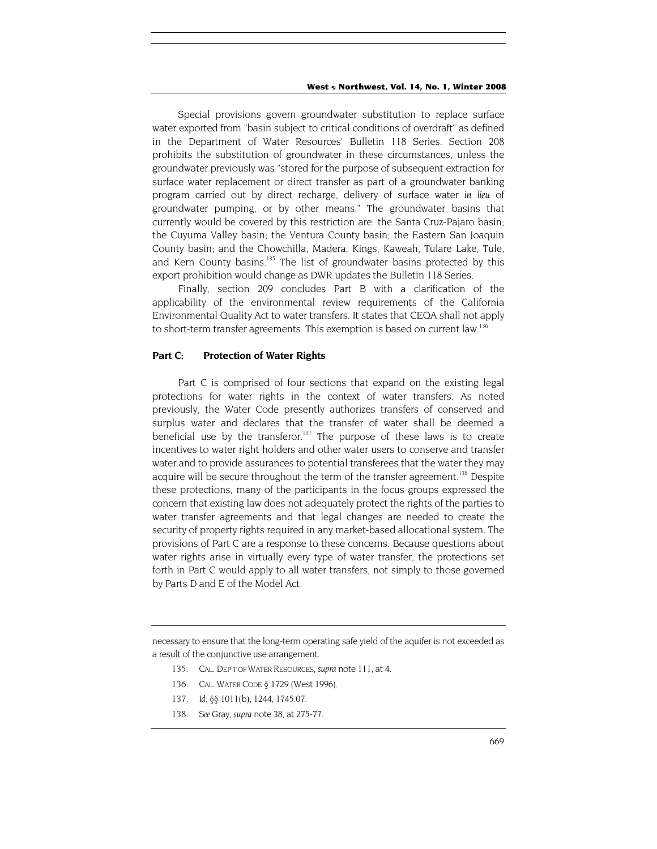Special provisions govern groundwater substitution to replace surface water exported from "basin subject to critical conditions of overdraft" as defined in the Department of Water Resources' Bulletin 118 Series. Section 208 prohibits the substitution of groundwater in these circumstances, unless the groundwater previously was "stored for the purpose of subsequent extraction for surface water replacement or direct transfer as part of a groundwater banking program carried out by direct recharge, delivery of surface water *in lieu* of groundwater pumping, or by other means." The groundwater basins that currently would be covered by this restriction are: the Santa Cruz-Pajaro basin; the Cuyuma Valley basin; the Ventura County basin; the Eastern San Joaquin County basin; and the Chowchilla, Madera, Kings, Kaweah, Tulare Lake, Tule, and Kern County basins.<sup>135</sup> The list of groundwater basins protected by this export prohibition would change as DWR updates the Bulletin 118 Series.

Finally, section 209 concludes Part B with a clarification of the applicability of the environmental review requirements of the California Environmental Quality Act to water transfers. It states that CEQA shall not apply to short-term transfer agreements. This exemption is based on current law.<sup>[136](#page-47-1)</sup>

## **Part C: Protection of Water Rights**

Part C is comprised of four sections that expand on the existing legal protections for water rights in the context of water transfers. As noted previously, the Water Code presently authorizes transfers of conserved and surplus water and declares that the transfer of water shall be deemed a beneficial use by the transferor.<sup>137</sup> The purpose of these laws is to create incentives to water right holders and other water users to conserve and transfer water and to provide assurances to potential transferees that the water they may acquire will be secure throughout the term of the transfer agreement.<sup>138</sup> Despite these protections, many of the participants in the focus groups expressed the concern that existing law does not adequately protect the rights of the parties to water transfer agreements and that legal changes are needed to create the security of property rights required in any market-based allocational system. The provisions of Part C are a response to these concerns. Because questions about water rights arise in virtually every type of water transfer, the protections set forth in Part C would apply to all water transfers, not simply to those governed by Parts D and E of the Model Act.

- <span id="page-47-0"></span>135. CAL. DEP'T OF WATER RESOURCES, *supra* note 111, at 4.
- <span id="page-47-1"></span>136. CAL. WATER CODE § 1729 (West 1996).
- <span id="page-47-2"></span>137*. Id.* §§ 1011(b), 1244, 1745.07.
- <span id="page-47-3"></span>138*. See* Gray, *supra* note 38, at 275-77.

necessary to ensure that the long-term operating safe yield of the aquifer is not exceeded as a result of the conjunctive use arrangement.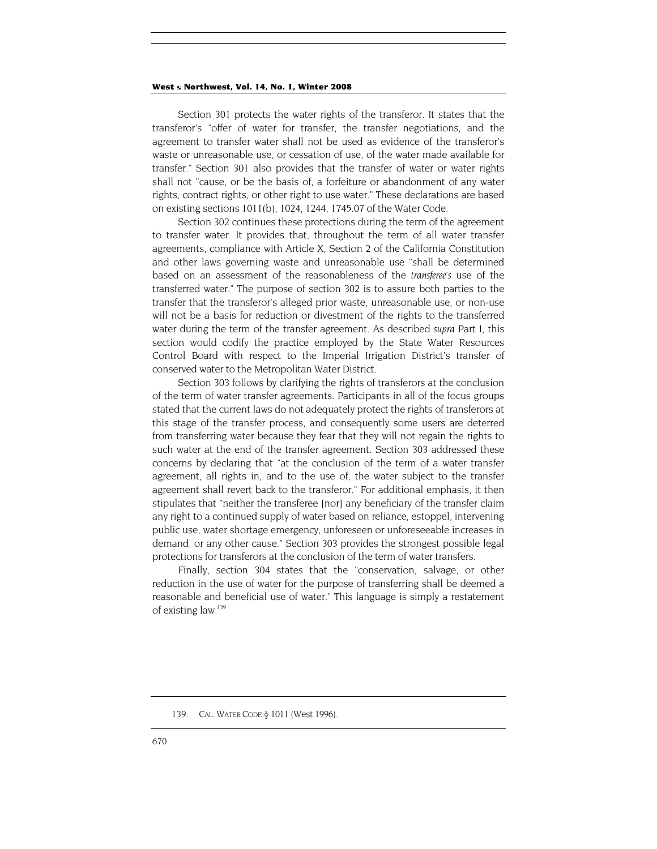Section 301 protects the water rights of the transferor. It states that the transferor's "offer of water for transfer, the transfer negotiations, and the agreement to transfer water shall not be used as evidence of the transferor's waste or unreasonable use, or cessation of use, of the water made available for transfer." Section 301 also provides that the transfer of water or water rights shall not "cause, or be the basis of, a forfeiture or abandonment of any water rights, contract rights, or other right to use water." These declarations are based on existing sections 1011(b), 1024, 1244, 1745.07 of the Water Code.

Section 302 continues these protections during the term of the agreement to transfer water. It provides that, throughout the term of all water transfer agreements, compliance with Article X, Section 2 of the California Constitution and other laws governing waste and unreasonable use "shall be determined based on an assessment of the reasonableness of the *transferee's* use of the transferred water." The purpose of section 302 is to assure both parties to the transfer that the transferor's alleged prior waste, unreasonable use, or non-use will not be a basis for reduction or divestment of the rights to the transferred water during the term of the transfer agreement. As described *supra* Part I, this section would codify the practice employed by the State Water Resources Control Board with respect to the Imperial Irrigation District's transfer of conserved water to the Metropolitan Water District.

Section 303 follows by clarifying the rights of transferors at the conclusion of the term of water transfer agreements. Participants in all of the focus groups stated that the current laws do not adequately protect the rights of transferors at this stage of the transfer process, and consequently some users are deterred from transferring water because they fear that they will not regain the rights to such water at the end of the transfer agreement. Section 303 addressed these concerns by declaring that "at the conclusion of the term of a water transfer agreement, all rights in, and to the use of, the water subject to the transfer agreement shall revert back to the transferor." For additional emphasis, it then stipulates that "neither the transferee [nor] any beneficiary of the transfer claim any right to a continued supply of water based on reliance, estoppel, intervening public use, water shortage emergency, unforeseen or unforeseeable increases in demand, or any other cause." Section 303 provides the strongest possible legal protections for transferors at the conclusion of the term of water transfers.

Finally, section 304 states that the "conservation, salvage, or other reduction in the use of water for the purpose of transferring shall be deemed a reasonable and beneficial use of water." This language is simply a restatement of existing law.<sup>[139](#page-48-0)</sup>

<span id="page-48-0"></span>139. CAL. WATER CODE § 1011 (West 1996).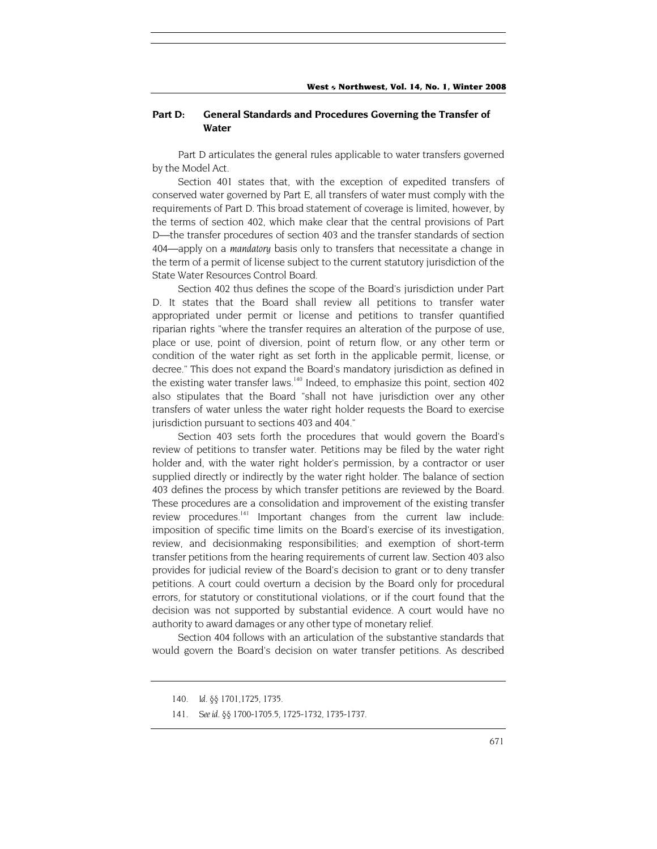## **Part D: General Standards and Procedures Governing the Transfer of Water**

Part D articulates the general rules applicable to water transfers governed by the Model Act.

Section 401 states that, with the exception of expedited transfers of conserved water governed by Part E, all transfers of water must comply with the requirements of Part D. This broad statement of coverage is limited, however, by the terms of section 402, which make clear that the central provisions of Part D—the transfer procedures of section 403 and the transfer standards of section 404—apply on a *mandatory* basis only to transfers that necessitate a change in the term of a permit of license subject to the current statutory jurisdiction of the State Water Resources Control Board.

Section 402 thus defines the scope of the Board's jurisdiction under Part D. It states that the Board shall review all petitions to transfer water appropriated under permit or license and petitions to transfer quantified riparian rights "where the transfer requires an alteration of the purpose of use, place or use, point of diversion, point of return flow, or any other term or condition of the water right as set forth in the applicable permit, license, or decree." This does not expand the Board's mandatory jurisdiction as defined in the existing water transfer laws.<sup>140</sup> Indeed, to emphasize this point, section 402 also stipulates that the Board "shall not have jurisdiction over any other transfers of water unless the water right holder requests the Board to exercise jurisdiction pursuant to sections 403 and 404."

Section 403 sets forth the procedures that would govern the Board's review of petitions to transfer water. Petitions may be filed by the water right holder and, with the water right holder's permission, by a contractor or user supplied directly or indirectly by the water right holder. The balance of section 403 defines the process by which transfer petitions are reviewed by the Board. These procedures are a consolidation and improvement of the existing transfer review procedures.<sup>141</sup> Important changes from the current law include: imposition of specific time limits on the Board's exercise of its investigation, review, and decisionmaking responsibilities; and exemption of short-term transfer petitions from the hearing requirements of current law. Section 403 also provides for judicial review of the Board's decision to grant or to deny transfer petitions. A court could overturn a decision by the Board only for procedural errors, for statutory or constitutional violations, or if the court found that the decision was not supported by substantial evidence. A court would have no authority to award damages or any other type of monetary relief.

Section 404 follows with an articulation of the substantive standards that would govern the Board's decision on water transfer petitions. As described

<span id="page-49-0"></span><sup>140</sup>*. Id.* §§ 1701,1725, 1735.

<span id="page-49-1"></span><sup>141</sup>*. See id.* §§ 1700-1705.5, 1725-1732, 1735-1737.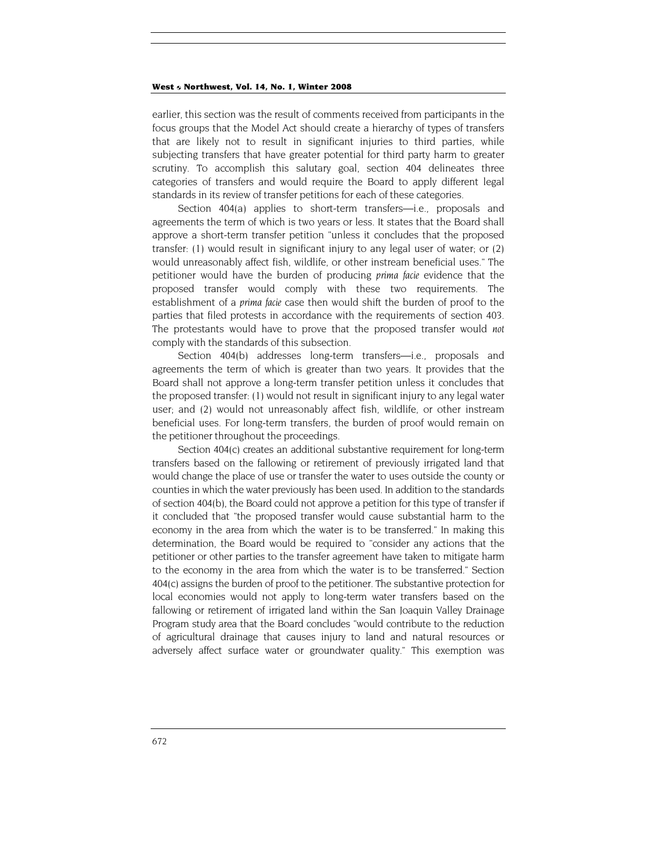earlier, this section was the result of comments received from participants in the focus groups that the Model Act should create a hierarchy of types of transfers that are likely not to result in significant injuries to third parties, while subjecting transfers that have greater potential for third party harm to greater scrutiny. To accomplish this salutary goal, section 404 delineates three categories of transfers and would require the Board to apply different legal standards in its review of transfer petitions for each of these categories.

Section 404(a) applies to short-term transfers—i.e., proposals and agreements the term of which is two years or less. It states that the Board shall approve a short-term transfer petition "unless it concludes that the proposed transfer: (1) would result in significant injury to any legal user of water; or (2) would unreasonably affect fish, wildlife, or other instream beneficial uses." The petitioner would have the burden of producing *prima facie* evidence that the proposed transfer would comply with these two requirements. The establishment of a *prima facie* case then would shift the burden of proof to the parties that filed protests in accordance with the requirements of section 403. The protestants would have to prove that the proposed transfer would *not* comply with the standards of this subsection.

Section 404(b) addresses long-term transfers—i.e., proposals and agreements the term of which is greater than two years. It provides that the Board shall not approve a long-term transfer petition unless it concludes that the proposed transfer: (1) would not result in significant injury to any legal water user; and (2) would not unreasonably affect fish, wildlife, or other instream beneficial uses. For long-term transfers, the burden of proof would remain on the petitioner throughout the proceedings.

Section 404(c) creates an additional substantive requirement for long-term transfers based on the fallowing or retirement of previously irrigated land that would change the place of use or transfer the water to uses outside the county or counties in which the water previously has been used. In addition to the standards of section 404(b), the Board could not approve a petition for this type of transfer if it concluded that "the proposed transfer would cause substantial harm to the economy in the area from which the water is to be transferred." In making this determination, the Board would be required to "consider any actions that the petitioner or other parties to the transfer agreement have taken to mitigate harm to the economy in the area from which the water is to be transferred." Section 404(c) assigns the burden of proof to the petitioner. The substantive protection for local economies would not apply to long-term water transfers based on the fallowing or retirement of irrigated land within the San Joaquin Valley Drainage Program study area that the Board concludes "would contribute to the reduction of agricultural drainage that causes injury to land and natural resources or adversely affect surface water or groundwater quality." This exemption was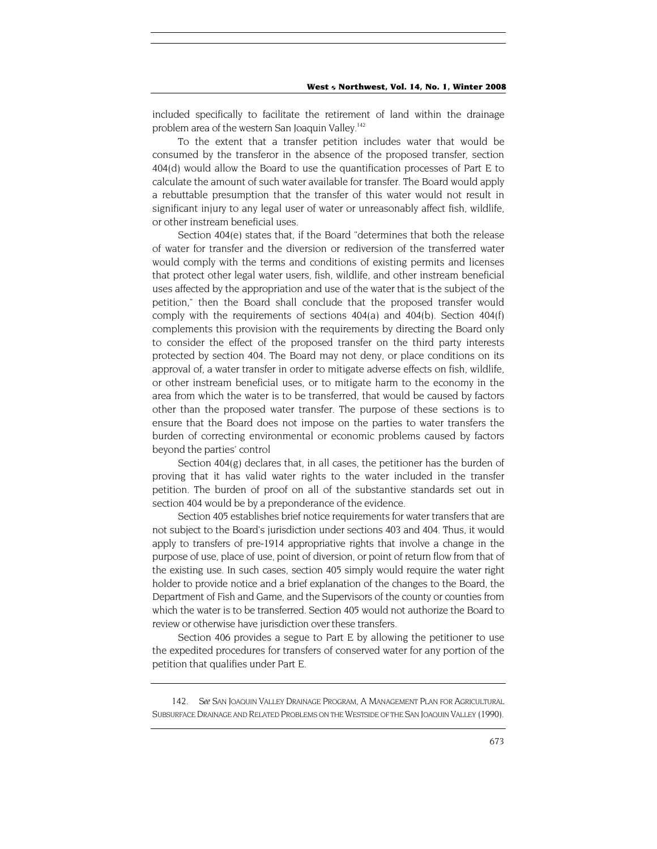included specifically to facilitate the retirement of land within the drainage problem area of the western San Joaquin Valley.<sup>142</sup>

To the extent that a transfer petition includes water that would be consumed by the transferor in the absence of the proposed transfer, section 404(d) would allow the Board to use the quantification processes of Part E to calculate the amount of such water available for transfer. The Board would apply a rebuttable presumption that the transfer of this water would not result in significant injury to any legal user of water or unreasonably affect fish, wildlife, or other instream beneficial uses.

Section 404(e) states that, if the Board "determines that both the release of water for transfer and the diversion or rediversion of the transferred water would comply with the terms and conditions of existing permits and licenses that protect other legal water users, fish, wildlife, and other instream beneficial uses affected by the appropriation and use of the water that is the subject of the petition," then the Board shall conclude that the proposed transfer would comply with the requirements of sections  $404(a)$  and  $404(b)$ . Section  $404(f)$ complements this provision with the requirements by directing the Board only to consider the effect of the proposed transfer on the third party interests protected by section 404. The Board may not deny, or place conditions on its approval of, a water transfer in order to mitigate adverse effects on fish, wildlife, or other instream beneficial uses, or to mitigate harm to the economy in the area from which the water is to be transferred, that would be caused by factors other than the proposed water transfer. The purpose of these sections is to ensure that the Board does not impose on the parties to water transfers the burden of correcting environmental or economic problems caused by factors beyond the parties' control

Section 404(g) declares that, in all cases, the petitioner has the burden of proving that it has valid water rights to the water included in the transfer petition. The burden of proof on all of the substantive standards set out in section 404 would be by a preponderance of the evidence.

Section 405 establishes brief notice requirements for water transfers that are not subject to the Board's jurisdiction under sections 403 and 404. Thus, it would apply to transfers of pre-1914 appropriative rights that involve a change in the purpose of use, place of use, point of diversion, or point of return flow from that of the existing use. In such cases, section 405 simply would require the water right holder to provide notice and a brief explanation of the changes to the Board, the Department of Fish and Game, and the Supervisors of the county or counties from which the water is to be transferred. Section 405 would not authorize the Board to review or otherwise have jurisdiction over these transfers.

Section 406 provides a segue to Part E by allowing the petitioner to use the expedited procedures for transfers of conserved water for any portion of the petition that qualifies under Part E.

<span id="page-51-0"></span><sup>142</sup>*. See* SAN JOAQUIN VALLEY DRAINAGE PROGRAM, A MANAGEMENT PLAN FOR AGRICULTURAL SUBSURFACE DRAINAGE AND RELATED PROBLEMS ON THE WESTSIDE OF THE SAN JOAQUIN VALLEY (1990).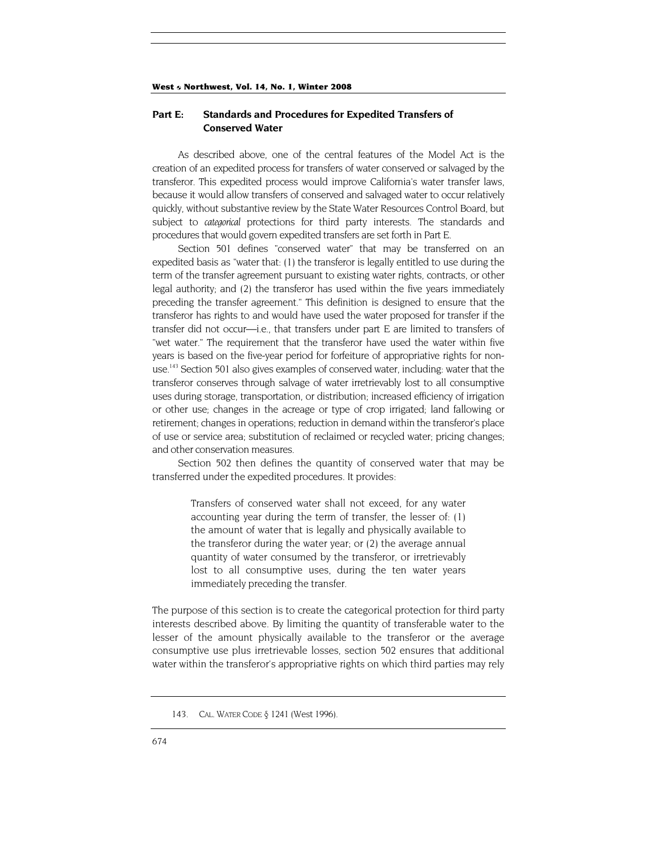## **Part E: Standards and Procedures for Expedited Transfers of Conserved Water**

As described above, one of the central features of the Model Act is the creation of an expedited process for transfers of water conserved or salvaged by the transferor. This expedited process would improve California's water transfer laws, because it would allow transfers of conserved and salvaged water to occur relatively quickly, without substantive review by the State Water Resources Control Board, but subject to *categorical* protections for third party interests. The standards and procedures that would govern expedited transfers are set forth in Part E.

Section 501 defines "conserved water" that may be transferred on an expedited basis as "water that: (1) the transferor is legally entitled to use during the term of the transfer agreement pursuant to existing water rights, contracts, or other legal authority; and (2) the transferor has used within the five years immediately preceding the transfer agreement." This definition is designed to ensure that the transferor has rights to and would have used the water proposed for transfer if the transfer did not occur—i.e., that transfers under part E are limited to transfers of "wet water." The requirement that the transferor have used the water within five years is based on the five-year period for forfeiture of appropriative rights for nonuse.<sup>143</sup> Section 501 also gives examples of conserved water, including: water that the transferor conserves through salvage of water irretrievably lost to all consumptive uses during storage, transportation, or distribution; increased efficiency of irrigation or other use; changes in the acreage or type of crop irrigated; land fallowing or retirement; changes in operations; reduction in demand within the transferor's place of use or service area; substitution of reclaimed or recycled water; pricing changes; and other conservation measures.

Section 502 then defines the quantity of conserved water that may be transferred under the expedited procedures. It provides:

> Transfers of conserved water shall not exceed, for any water accounting year during the term of transfer, the lesser of: (1) the amount of water that is legally and physically available to the transferor during the water year; or (2) the average annual quantity of water consumed by the transferor, or irretrievably lost to all consumptive uses, during the ten water years immediately preceding the transfer.

The purpose of this section is to create the categorical protection for third party interests described above. By limiting the quantity of transferable water to the lesser of the amount physically available to the transferor or the average consumptive use plus irretrievable losses, section 502 ensures that additional water within the transferor's appropriative rights on which third parties may rely

<span id="page-52-0"></span><sup>143.</sup> CAL. WATER CODE § 1241 (West 1996).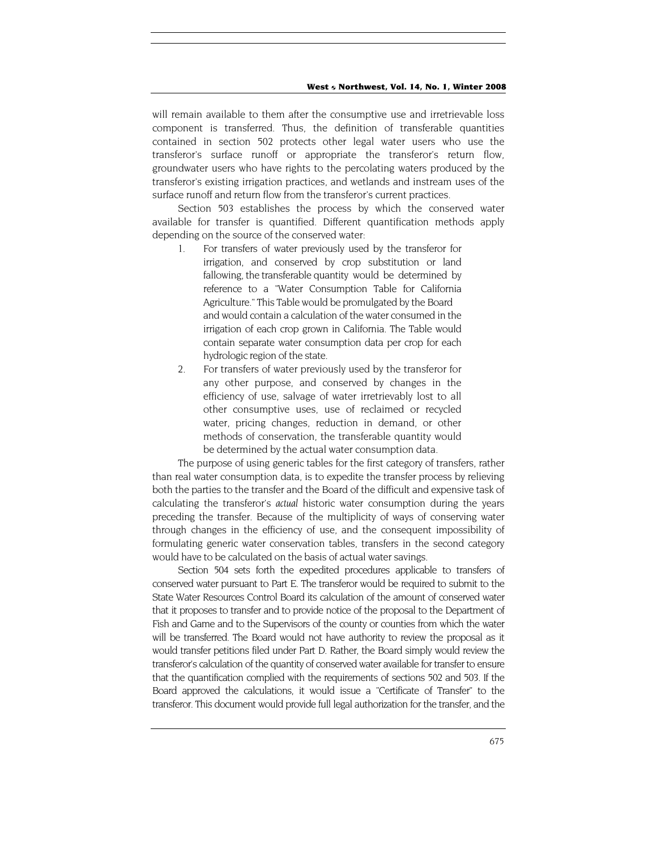will remain available to them after the consumptive use and irretrievable loss component is transferred. Thus, the definition of transferable quantities contained in section 502 protects other legal water users who use the transferor's surface runoff or appropriate the transferor's return flow, groundwater users who have rights to the percolating waters produced by the transferor's existing irrigation practices, and wetlands and instream uses of the surface runoff and return flow from the transferor's current practices.

Section 503 establishes the process by which the conserved water available for transfer is quantified. Different quantification methods apply depending on the source of the conserved water:

- 1. For transfers of water previously used by the transferor for irrigation, and conserved by crop substitution or land fallowing, the transferable quantity would be determined by reference to a "Water Consumption Table for California Agriculture." This Table would be promulgated by the Board and would contain a calculation of the water consumed in the irrigation of each crop grown in California. The Table would contain separate water consumption data per crop for each hydrologic region of the state.
- 2. For transfers of water previously used by the transferor for any other purpose, and conserved by changes in the efficiency of use, salvage of water irretrievably lost to all other consumptive uses, use of reclaimed or recycled water, pricing changes, reduction in demand, or other methods of conservation, the transferable quantity would be determined by the actual water consumption data.

The purpose of using generic tables for the first category of transfers, rather than real water consumption data, is to expedite the transfer process by relieving both the parties to the transfer and the Board of the difficult and expensive task of calculating the transferor's *actual* historic water consumption during the years preceding the transfer. Because of the multiplicity of ways of conserving water through changes in the efficiency of use, and the consequent impossibility of formulating generic water conservation tables, transfers in the second category would have to be calculated on the basis of actual water savings.

Section 504 sets forth the expedited procedures applicable to transfers of conserved water pursuant to Part E. The transferor would be required to submit to the State Water Resources Control Board its calculation of the amount of conserved water that it proposes to transfer and to provide notice of the proposal to the Department of Fish and Game and to the Supervisors of the county or counties from which the water will be transferred. The Board would not have authority to review the proposal as it would transfer petitions filed under Part D. Rather, the Board simply would review the transferor's calculation of the quantity of conserved water available for transfer to ensure that the quantification complied with the requirements of sections 502 and 503. If the Board approved the calculations, it would issue a "Certificate of Transfer" to the transferor. This document would provide full legal authorization for the transfer, and the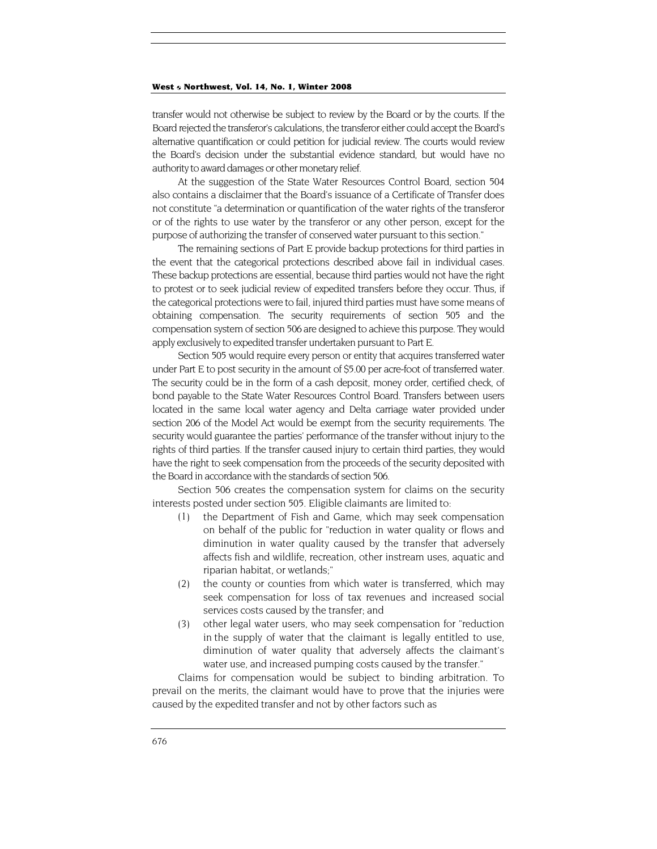transfer would not otherwise be subject to review by the Board or by the courts. If the Board rejected the transferor's calculations, the transferor either could accept the Board's alternative quantification or could petition for judicial review. The courts would review the Board's decision under the substantial evidence standard, but would have no authority to award damages or other monetary relief.

At the suggestion of the State Water Resources Control Board, section 504 also contains a disclaimer that the Board's issuance of a Certificate of Transfer does not constitute "a determination or quantification of the water rights of the transferor or of the rights to use water by the transferor or any other person, except for the purpose of authorizing the transfer of conserved water pursuant to this section."

The remaining sections of Part E provide backup protections for third parties in the event that the categorical protections described above fail in individual cases. These backup protections are essential, because third parties would not have the right to protest or to seek judicial review of expedited transfers before they occur. Thus, if the categorical protections were to fail, injured third parties must have some means of obtaining compensation. The security requirements of section 505 and the compensation system of section 506 are designed to achieve this purpose. They would apply exclusively to expedited transfer undertaken pursuant to Part E.

Section 505 would require every person or entity that acquires transferred water under Part E to post security in the amount of \$5.00 per acre-foot of transferred water. The security could be in the form of a cash deposit, money order, certified check, of bond payable to the State Water Resources Control Board. Transfers between users located in the same local water agency and Delta carriage water provided under section 206 of the Model Act would be exempt from the security requirements. The security would guarantee the parties' performance of the transfer without injury to the rights of third parties. If the transfer caused injury to certain third parties, they would have the right to seek compensation from the proceeds of the security deposited with the Board in accordance with the standards of section 506.

Section 506 creates the compensation system for claims on the security interests posted under section 505. Eligible claimants are limited to:

- (1) the Department of Fish and Game, which may seek compensation on behalf of the public for "reduction in water quality or flows and diminution in water quality caused by the transfer that adversely affects fish and wildlife, recreation, other instream uses, aquatic and riparian habitat, or wetlands;"
- (2) the county or counties from which water is transferred, which may seek compensation for loss of tax revenues and increased social services costs caused by the transfer; and
- (3) other legal water users, who may seek compensation for "reduction in the supply of water that the claimant is legally entitled to use, diminution of water quality that adversely affects the claimant's water use, and increased pumping costs caused by the transfer."

Claims for compensation would be subject to binding arbitration. To prevail on the merits, the claimant would have to prove that the injuries were caused by the expedited transfer and not by other factors such as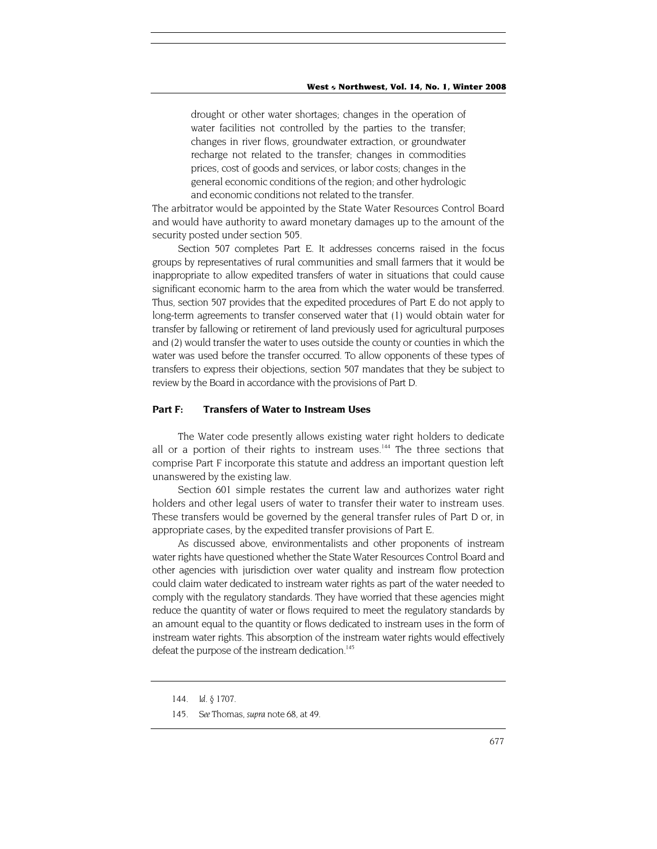drought or other water shortages; changes in the operation of water facilities not controlled by the parties to the transfer; changes in river flows, groundwater extraction, or groundwater recharge not related to the transfer; changes in commodities prices, cost of goods and services, or labor costs; changes in the general economic conditions of the region; and other hydrologic and economic conditions not related to the transfer.

The arbitrator would be appointed by the State Water Resources Control Board and would have authority to award monetary damages up to the amount of the security posted under section 505.

Section 507 completes Part E. It addresses concerns raised in the focus groups by representatives of rural communities and small farmers that it would be inappropriate to allow expedited transfers of water in situations that could cause significant economic harm to the area from which the water would be transferred. Thus, section 507 provides that the expedited procedures of Part E do not apply to long-term agreements to transfer conserved water that (1) would obtain water for transfer by fallowing or retirement of land previously used for agricultural purposes and (2) would transfer the water to uses outside the county or counties in which the water was used before the transfer occurred. To allow opponents of these types of transfers to express their objections, section 507 mandates that they be subject to review by the Board in accordance with the provisions of Part D.

## **Part F: Transfers of Water to Instream Uses**

The Water code presently allows existing water right holders to dedicate all or a portion of their rights to instream uses.<sup>144</sup> The three sections that comprise Part F incorporate this statute and address an important question left unanswered by the existing law.

Section 601 simple restates the current law and authorizes water right holders and other legal users of water to transfer their water to instream uses. These transfers would be governed by the general transfer rules of Part D or, in appropriate cases, by the expedited transfer provisions of Part E.

As discussed above, environmentalists and other proponents of instream water rights have questioned whether the State Water Resources Control Board and other agencies with jurisdiction over water quality and instream flow protection could claim water dedicated to instream water rights as part of the water needed to comply with the regulatory standards. They have worried that these agencies might reduce the quantity of water or flows required to meet the regulatory standards by an amount equal to the quantity or flows dedicated to instream uses in the form of instream water rights. This absorption of the instream water rights would effectively defeat the purpose of the instream dedication.<sup>[145](#page-55-1)</sup>

<span id="page-55-0"></span><sup>144</sup>*. Id.* § 1707.

<span id="page-55-1"></span><sup>145</sup>*. See* Thomas, *supra* note 68, at 49.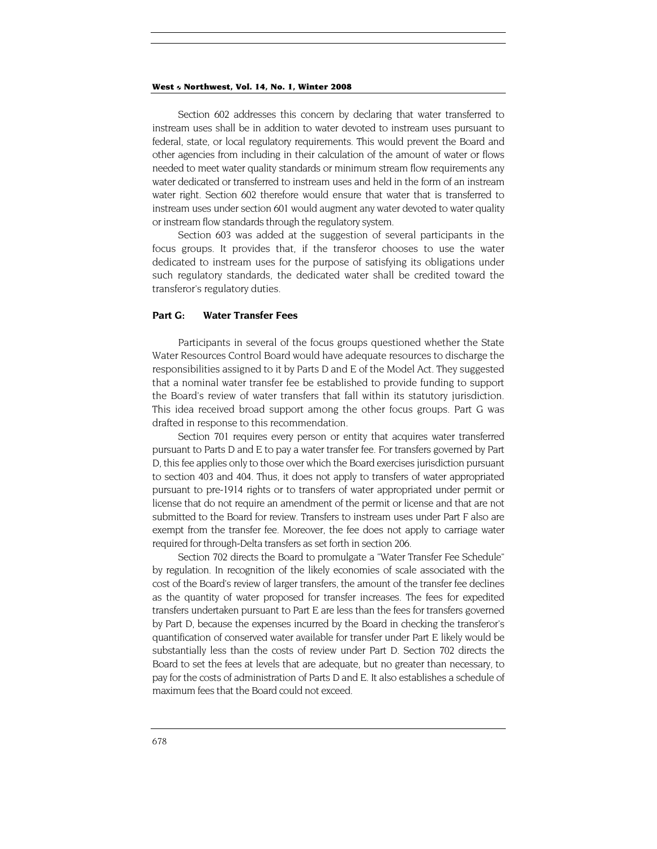Section 602 addresses this concern by declaring that water transferred to instream uses shall be in addition to water devoted to instream uses pursuant to federal, state, or local regulatory requirements. This would prevent the Board and other agencies from including in their calculation of the amount of water or flows needed to meet water quality standards or minimum stream flow requirements any water dedicated or transferred to instream uses and held in the form of an instream water right. Section 602 therefore would ensure that water that is transferred to instream uses under section 601 would augment any water devoted to water quality or instream flow standards through the regulatory system.

Section 603 was added at the suggestion of several participants in the focus groups. It provides that, if the transferor chooses to use the water dedicated to instream uses for the purpose of satisfying its obligations under such regulatory standards, the dedicated water shall be credited toward the transferor's regulatory duties.

## **Part G: Water Transfer Fees**

Participants in several of the focus groups questioned whether the State Water Resources Control Board would have adequate resources to discharge the responsibilities assigned to it by Parts D and E of the Model Act. They suggested that a nominal water transfer fee be established to provide funding to support the Board's review of water transfers that fall within its statutory jurisdiction. This idea received broad support among the other focus groups. Part G was drafted in response to this recommendation.

Section 701 requires every person or entity that acquires water transferred pursuant to Parts D and E to pay a water transfer fee. For transfers governed by Part D, this fee applies only to those over which the Board exercises jurisdiction pursuant to section 403 and 404. Thus, it does not apply to transfers of water appropriated pursuant to pre-1914 rights or to transfers of water appropriated under permit or license that do not require an amendment of the permit or license and that are not submitted to the Board for review. Transfers to instream uses under Part F also are exempt from the transfer fee. Moreover, the fee does not apply to carriage water required for through-Delta transfers as set forth in section 206.

Section 702 directs the Board to promulgate a "Water Transfer Fee Schedule" by regulation. In recognition of the likely economies of scale associated with the cost of the Board's review of larger transfers, the amount of the transfer fee declines as the quantity of water proposed for transfer increases. The fees for expedited transfers undertaken pursuant to Part E are less than the fees for transfers governed by Part D, because the expenses incurred by the Board in checking the transferor's quantification of conserved water available for transfer under Part E likely would be substantially less than the costs of review under Part D. Section 702 directs the Board to set the fees at levels that are adequate, but no greater than necessary, to pay for the costs of administration of Parts D and E. It also establishes a schedule of maximum fees that the Board could not exceed.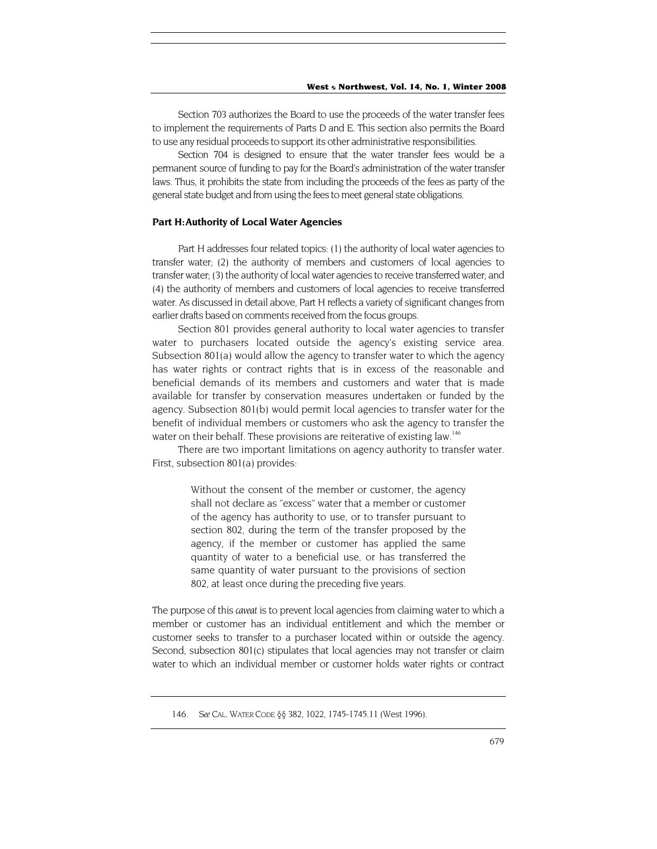Section 703 authorizes the Board to use the proceeds of the water transfer fees to implement the requirements of Parts D and E. This section also permits the Board to use any residual proceeds to support its other administrative responsibilities.

Section 704 is designed to ensure that the water transfer fees would be a permanent source of funding to pay for the Board's administration of the water transfer laws. Thus, it prohibits the state from including the proceeds of the fees as party of the general state budget and from using the fees to meet general state obligations.

## **Part H: Authority of Local Water Agencies**

Part H addresses four related topics: (1) the authority of local water agencies to transfer water; (2) the authority of members and customers of local agencies to transfer water; (3) the authority of local water agencies to receive transferred water; and (4) the authority of members and customers of local agencies to receive transferred water. As discussed in detail above, Part H reflects a variety of significant changes from earlier drafts based on comments received from the focus groups.

Section 801 provides general authority to local water agencies to transfer water to purchasers located outside the agency's existing service area. Subsection 801(a) would allow the agency to transfer water to which the agency has water rights or contract rights that is in excess of the reasonable and beneficial demands of its members and customers and water that is made available for transfer by conservation measures undertaken or funded by the agency. Subsection 801(b) would permit local agencies to transfer water for the benefit of individual members or customers who ask the agency to transfer the water on their behalf. These provisions are reiterative of existing law.<sup>146</sup>

There are two important limitations on agency authority to transfer water. First, subsection 801(a) provides:

> Without the consent of the member or customer, the agency shall not declare as "excess" water that a member or customer of the agency has authority to use, or to transfer pursuant to section 802, during the term of the transfer proposed by the agency, if the member or customer has applied the same quantity of water to a beneficial use, or has transferred the same quantity of water pursuant to the provisions of section 802, at least once during the preceding five years.

The purpose of this *caveat* is to prevent local agencies from claiming water to which a member or customer has an individual entitlement and which the member or customer seeks to transfer to a purchaser located within or outside the agency. Second, subsection 801(c) stipulates that local agencies may not transfer or claim water to which an individual member or customer holds water rights or contract

<span id="page-57-0"></span>146*. See* CAL. WATER CODE §§ 382, 1022, 1745-1745.11 (West 1996).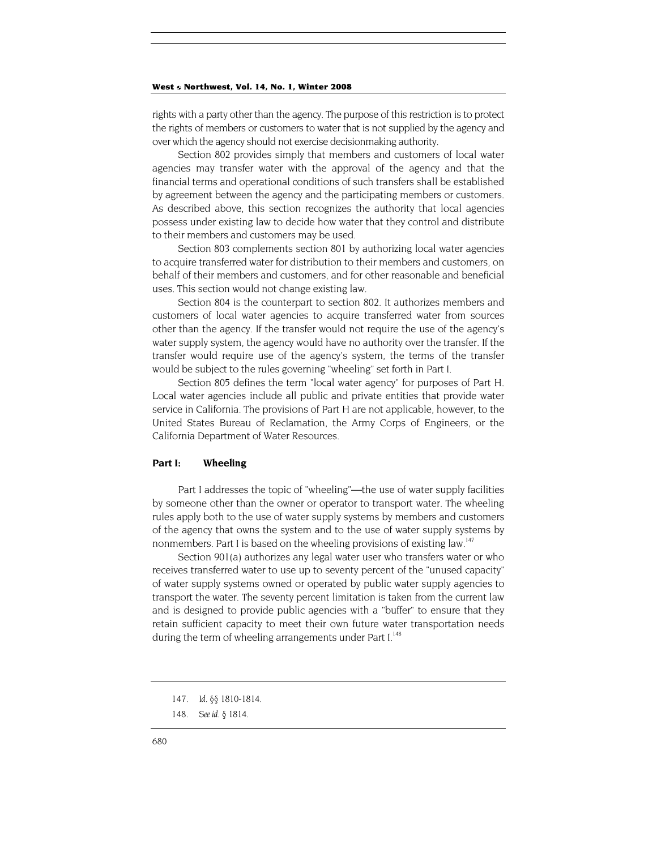rights with a party other than the agency. The purpose of this restriction is to protect the rights of members or customers to water that is not supplied by the agency and over which the agency should not exercise decisionmaking authority.

Section 802 provides simply that members and customers of local water agencies may transfer water with the approval of the agency and that the financial terms and operational conditions of such transfers shall be established by agreement between the agency and the participating members or customers. As described above, this section recognizes the authority that local agencies possess under existing law to decide how water that they control and distribute to their members and customers may be used.

Section 803 complements section 801 by authorizing local water agencies to acquire transferred water for distribution to their members and customers, on behalf of their members and customers, and for other reasonable and beneficial uses. This section would not change existing law.

Section 804 is the counterpart to section 802. It authorizes members and customers of local water agencies to acquire transferred water from sources other than the agency. If the transfer would not require the use of the agency's water supply system, the agency would have no authority over the transfer. If the transfer would require use of the agency's system, the terms of the transfer would be subject to the rules governing "wheeling" set forth in Part I.

Section 805 defines the term "local water agency" for purposes of Part H. Local water agencies include all public and private entities that provide water service in California. The provisions of Part H are not applicable, however, to the United States Bureau of Reclamation, the Army Corps of Engineers, or the California Department of Water Resources.

## **Part I: Wheeling**

Part I addresses the topic of "wheeling"—the use of water supply facilities by someone other than the owner or operator to transport water. The wheeling rules apply both to the use of water supply systems by members and customers of the agency that owns the system and to the use of water supply systems by nonmembers. Part I is based on the wheeling provisions of existing law.<sup>147</sup>

Section 901(a) authorizes any legal water user who transfers water or who receives transferred water to use up to seventy percent of the "unused capacity" of water supply systems owned or operated by public water supply agencies to transport the water. The seventy percent limitation is taken from the current law and is designed to provide public agencies with a "buffer" to ensure that they retain sufficient capacity to meet their own future water transportation needs during the term of wheeling arrangements under Part I.<sup>148</sup>

<span id="page-58-0"></span><sup>147</sup>*. Id.* §§ 1810-1814.

<span id="page-58-1"></span><sup>148</sup>*. See id.* § 1814.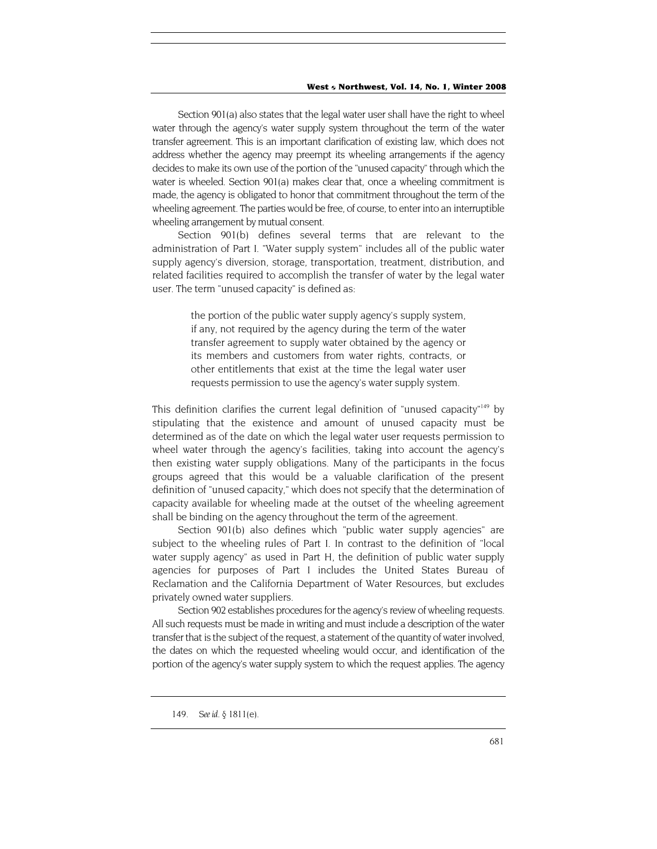Section 901(a) also states that the legal water user shall have the right to wheel water through the agency's water supply system throughout the term of the water transfer agreement. This is an important clarification of existing law, which does not address whether the agency may preempt its wheeling arrangements if the agency decides to make its own use of the portion of the "unused capacity" through which the water is wheeled. Section 901(a) makes clear that, once a wheeling commitment is made, the agency is obligated to honor that commitment throughout the term of the wheeling agreement. The parties would be free, of course, to enter into an interruptible wheeling arrangement by mutual consent.

Section 901(b) defines several terms that are relevant to the administration of Part I. "Water supply system" includes all of the public water supply agency's diversion, storage, transportation, treatment, distribution, and related facilities required to accomplish the transfer of water by the legal water user. The term "unused capacity" is defined as:

> the portion of the public water supply agency's supply system, if any, not required by the agency during the term of the water transfer agreement to supply water obtained by the agency or its members and customers from water rights, contracts, or other entitlements that exist at the time the legal water user requests permission to use the agency's water supply system.

This definition clarifies the current legal definition of "unused capacity"<sup>149</sup> by stipulating that the existence and amount of unused capacity must be determined as of the date on which the legal water user requests permission to wheel water through the agency's facilities, taking into account the agency's then existing water supply obligations. Many of the participants in the focus groups agreed that this would be a valuable clarification of the present definition of "unused capacity," which does not specify that the determination of capacity available for wheeling made at the outset of the wheeling agreement shall be binding on the agency throughout the term of the agreement.

Section 901(b) also defines which "public water supply agencies" are subject to the wheeling rules of Part I. In contrast to the definition of "local water supply agency" as used in Part H, the definition of public water supply agencies for purposes of Part I includes the United States Bureau of Reclamation and the California Department of Water Resources, but excludes privately owned water suppliers.

Section 902 establishes procedures for the agency's review of wheeling requests. All such requests must be made in writing and must include a description of the water transfer that is the subject of the request, a statement of the quantity of water involved, the dates on which the requested wheeling would occur, and identification of the portion of the agency's water supply system to which the request applies. The agency

<span id="page-59-0"></span>149*. See id.* § 1811(e).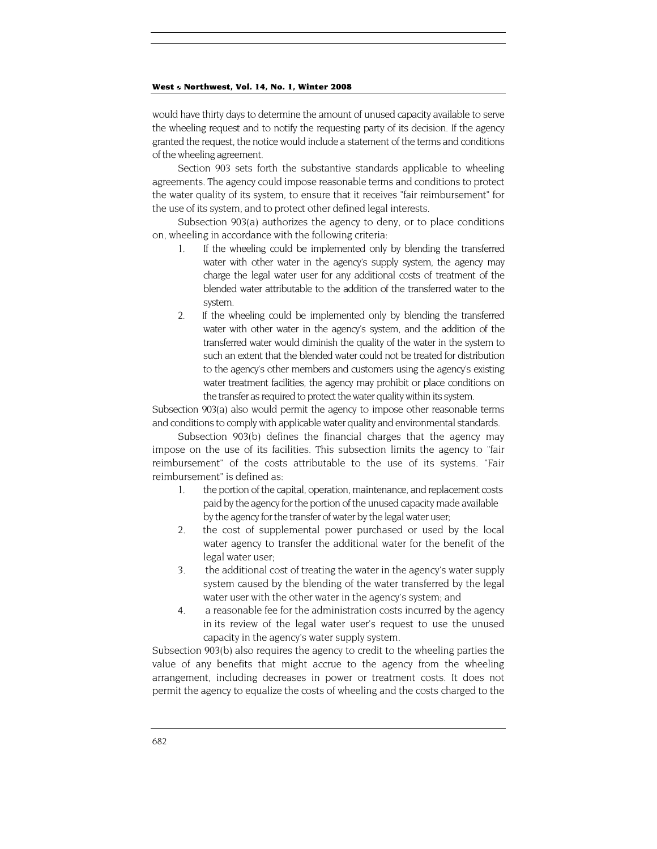would have thirty days to determine the amount of unused capacity available to serve the wheeling request and to notify the requesting party of its decision. If the agency granted the request, the notice would include a statement of the terms and conditions of the wheeling agreement.

Section 903 sets forth the substantive standards applicable to wheeling agreements. The agency could impose reasonable terms and conditions to protect the water quality of its system, to ensure that it receives "fair reimbursement" for the use of its system, and to protect other defined legal interests.

Subsection 903(a) authorizes the agency to deny, or to place conditions on, wheeling in accordance with the following criteria:

- 1. If the wheeling could be implemented only by blending the transferred water with other water in the agency's supply system, the agency may charge the legal water user for any additional costs of treatment of the blended water attributable to the addition of the transferred water to the system.
- 2. If the wheeling could be implemented only by blending the transferred water with other water in the agency's system, and the addition of the transferred water would diminish the quality of the water in the system to such an extent that the blended water could not be treated for distribution to the agency's other members and customers using the agency's existing water treatment facilities, the agency may prohibit or place conditions on the transfer as required to protect the water quality within its system.

Subsection 903(a) also would permit the agency to impose other reasonable terms and conditions to comply with applicable water quality and environmental standards.

Subsection 903(b) defines the financial charges that the agency may impose on the use of its facilities. This subsection limits the agency to "fair reimbursement" of the costs attributable to the use of its systems. "Fair reimbursement" is defined as:

- 1. the portion of the capital, operation, maintenance, and replacement costs paid by the agency for the portion of the unused capacity made available by the agency for the transfer of water by the legal water user;
- 2. the cost of supplemental power purchased or used by the local water agency to transfer the additional water for the benefit of the legal water user;
- 3. the additional cost of treating the water in the agency's water supply system caused by the blending of the water transferred by the legal water user with the other water in the agency's system; and
- 4. a reasonable fee for the administration costs incurred by the agency in its review of the legal water user's request to use the unused capacity in the agency's water supply system.

Subsection 903(b) also requires the agency to credit to the wheeling parties the value of any benefits that might accrue to the agency from the wheeling arrangement, including decreases in power or treatment costs. It does not permit the agency to equalize the costs of wheeling and the costs charged to the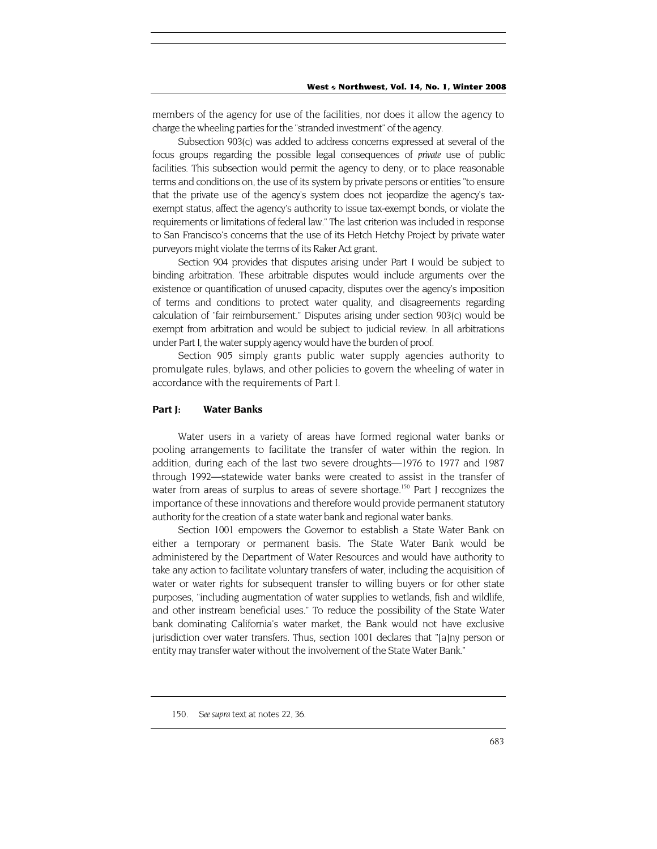members of the agency for use of the facilities, nor does it allow the agency to charge the wheeling parties for the "stranded investment" of the agency.

Subsection 903(c) was added to address concerns expressed at several of the focus groups regarding the possible legal consequences of *private* use of public facilities. This subsection would permit the agency to deny, or to place reasonable terms and conditions on, the use of its system by private persons or entities "to ensure that the private use of the agency's system does not jeopardize the agency's taxexempt status, affect the agency's authority to issue tax-exempt bonds, or violate the requirements or limitations of federal law." The last criterion was included in response to San Francisco's concerns that the use of its Hetch Hetchy Project by private water purveyors might violate the terms of its Raker Act grant.

Section 904 provides that disputes arising under Part I would be subject to binding arbitration. These arbitrable disputes would include arguments over the existence or quantification of unused capacity, disputes over the agency's imposition of terms and conditions to protect water quality, and disagreements regarding calculation of "fair reimbursement." Disputes arising under section 903(c) would be exempt from arbitration and would be subject to judicial review. In all arbitrations under Part I, the water supply agency would have the burden of proof.

Section 905 simply grants public water supply agencies authority to promulgate rules, bylaws, and other policies to govern the wheeling of water in accordance with the requirements of Part I.

### **Part J: Water Banks**

Water users in a variety of areas have formed regional water banks or pooling arrangements to facilitate the transfer of water within the region. In addition, during each of the last two severe droughts—1976 to 1977 and 1987 through 1992—statewide water banks were created to assist in the transfer of water from areas of surplus to areas of severe shortage.<sup>150</sup> Part J recognizes the importance of these innovations and therefore would provide permanent statutory authority for the creation of a state water bank and regional water banks.

Section 1001 empowers the Governor to establish a State Water Bank on either a temporary or permanent basis. The State Water Bank would be administered by the Department of Water Resources and would have authority to take any action to facilitate voluntary transfers of water, including the acquisition of water or water rights for subsequent transfer to willing buyers or for other state purposes, "including augmentation of water supplies to wetlands, fish and wildlife, and other instream beneficial uses." To reduce the possibility of the State Water bank dominating California's water market, the Bank would not have exclusive jurisdiction over water transfers. Thus, section 1001 declares that "[a]ny person or entity may transfer water without the involvement of the State Water Bank."

<span id="page-61-0"></span><sup>150</sup>*. See supra* text at notes 22, 36.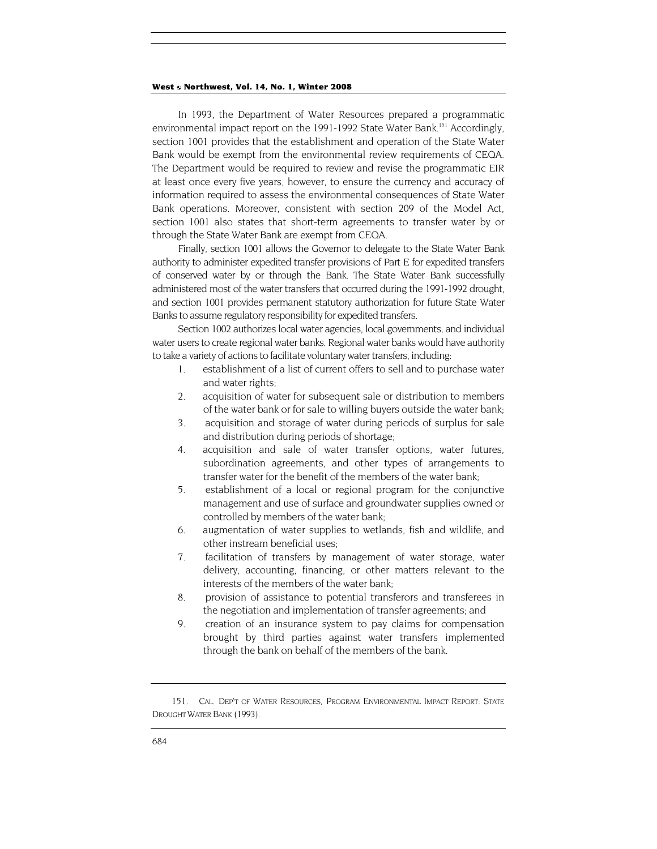In 1993, the Department of Water Resources prepared a programmatic environmental impact report on the 1991-1992 State Water Bank.<sup>151</sup> Accordingly, section 1001 provides that the establishment and operation of the State Water Bank would be exempt from the environmental review requirements of CEQA. The Department would be required to review and revise the programmatic EIR at least once every five years, however, to ensure the currency and accuracy of information required to assess the environmental consequences of State Water Bank operations. Moreover, consistent with section 209 of the Model Act, section 1001 also states that short-term agreements to transfer water by or through the State Water Bank are exempt from CEQA.

Finally, section 1001 allows the Governor to delegate to the State Water Bank authority to administer expedited transfer provisions of Part E for expedited transfers of conserved water by or through the Bank. The State Water Bank successfully administered most of the water transfers that occurred during the 1991-1992 drought, and section 1001 provides permanent statutory authorization for future State Water Banks to assume regulatory responsibility for expedited transfers.

Section 1002 authorizes local water agencies, local governments, and individual water users to create regional water banks. Regional water banks would have authority to take a variety of actions to facilitate voluntary water transfers, including:

- 1. establishment of a list of current offers to sell and to purchase water and water rights;
- 2. acquisition of water for subsequent sale or distribution to members of the water bank or for sale to willing buyers outside the water bank;
- 3. acquisition and storage of water during periods of surplus for sale and distribution during periods of shortage;
- 4. acquisition and sale of water transfer options, water futures, subordination agreements, and other types of arrangements to transfer water for the benefit of the members of the water bank;
- 5. establishment of a local or regional program for the conjunctive management and use of surface and groundwater supplies owned or controlled by members of the water bank;
- 6. augmentation of water supplies to wetlands, fish and wildlife, and other instream beneficial uses;
- 7. facilitation of transfers by management of water storage, water delivery, accounting, financing, or other matters relevant to the interests of the members of the water bank;
- 8. provision of assistance to potential transferors and transferees in the negotiation and implementation of transfer agreements; and
- 9. creation of an insurance system to pay claims for compensation brought by third parties against water transfers implemented through the bank on behalf of the members of the bank.

<span id="page-62-0"></span><sup>151.</sup> CAL. DEP'T OF WATER RESOURCES, PROGRAM ENVIRONMENTAL IMPACT REPORT: STATE DROUGHT WATER BANK (1993).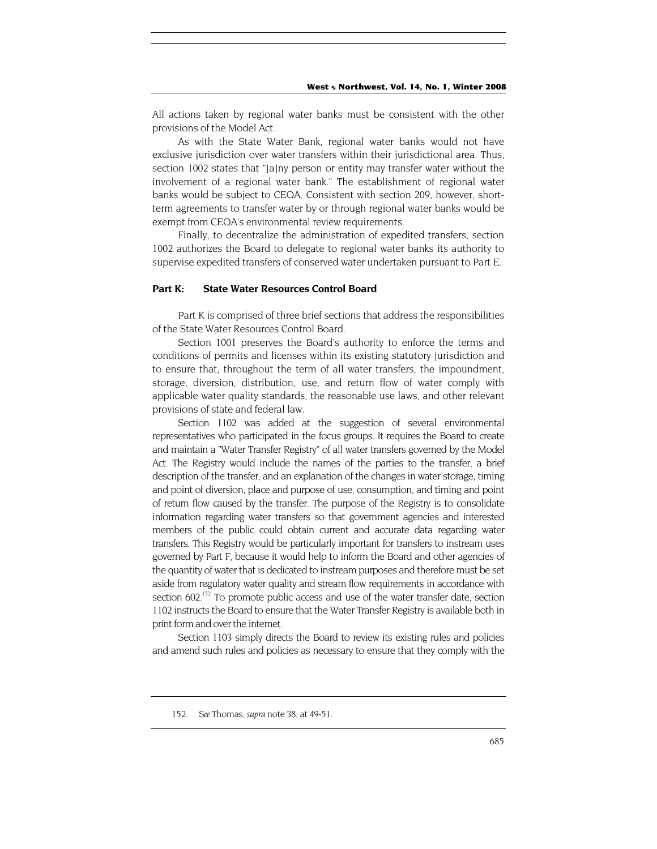All actions taken by regional water banks must be consistent with the other provisions of the Model Act.

As with the State Water Bank, regional water banks would not have exclusive jurisdiction over water transfers within their jurisdictional area. Thus, section 1002 states that "[a]ny person or entity may transfer water without the involvement of a regional water bank." The establishment of regional water banks would be subject to CEQA. Consistent with section 209, however, shortterm agreements to transfer water by or through regional water banks would be exempt from CEQA's environmental review requirements.

Finally, to decentralize the administration of expedited transfers, section 1002 authorizes the Board to delegate to regional water banks its authority to supervise expedited transfers of conserved water undertaken pursuant to Part E.

## **Part K: State Water Resources Control Board**

Part K is comprised of three brief sections that address the responsibilities of the State Water Resources Control Board.

Section 1001 preserves the Board's authority to enforce the terms and conditions of permits and licenses within its existing statutory jurisdiction and to ensure that, throughout the term of all water transfers, the impoundment, storage, diversion, distribution, use, and return flow of water comply with applicable water quality standards, the reasonable use laws, and other relevant provisions of state and federal law.

Section 1102 was added at the suggestion of several environmental representatives who participated in the focus groups. It requires the Board to create and maintain a "Water Transfer Registry" of all water transfers governed by the Model Act. The Registry would include the names of the parties to the transfer, a brief description of the transfer, and an explanation of the changes in water storage, timing and point of diversion, place and purpose of use, consumption, and timing and point of return flow caused by the transfer. The purpose of the Registry is to consolidate information regarding water transfers so that government agencies and interested members of the public could obtain current and accurate data regarding water transfers. This Registry would be particularly important for transfers to instream uses governed by Part F, because it would help to inform the Board and other agencies of the quantity of water that is dedicated to instream purposes and therefore must be set aside from regulatory water quality and stream flow requirements in accordance with section  $602$ <sup>152</sup> To promote public access and use of the water transfer date, section 1102 instructs the Board to ensure that the Water Transfer Registry is available both in print form and over the internet.

Section 1103 simply directs the Board to review its existing rules and policies and amend such rules and policies as necessary to ensure that they comply with the

<span id="page-63-0"></span><sup>152</sup>*. See* Thomas, *supra* note 38, at 49-51.